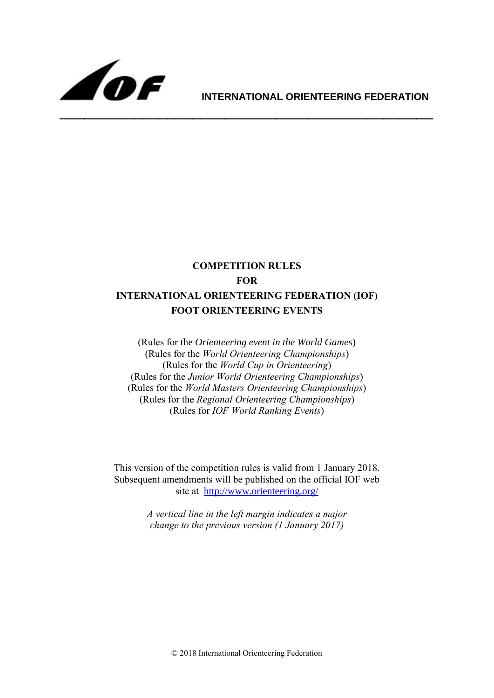

# **INTERNATIONAL ORIENTEERING FEDERATION**

# **COMPETITION RULES FOR INTERNATIONAL ORIENTEERING FEDERATION (IOF) FOOT ORIENTEERING EVENTS**

(Rules for the *Orienteering event in the World Games*) (Rules for the *World Orienteering Championships*) (Rules for the *World Cup in Orienteering*) (Rules for the *Junior World Orienteering Championships*) (Rules for the *World Masters Orienteering Championships*) (Rules for the *Regional Orienteering Championships*) (Rules for *IOF World Ranking Events*)

This version of the competition rules is valid from 1 January 2018. Subsequent amendments will be published on the official IOF web site at <http://www.orienteering.org/>

> *A vertical line in the left margin indicates a major change to the previous version (1 January 2017)*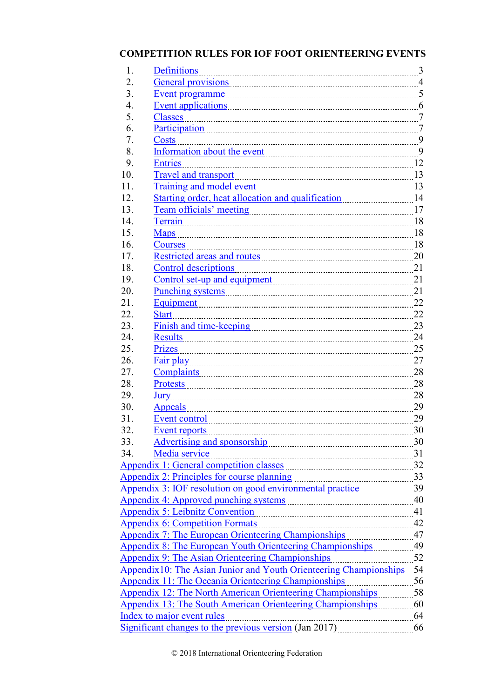# **COMPETITION RULES FOR IOF FOOT ORIENTEERING EVENTS**

| 1.  | <b>Definitions</b>                                                                                                                                                                                                                   | 3              |
|-----|--------------------------------------------------------------------------------------------------------------------------------------------------------------------------------------------------------------------------------------|----------------|
| 2.  |                                                                                                                                                                                                                                      | $\overline{4}$ |
| 3.  |                                                                                                                                                                                                                                      |                |
| 4.  |                                                                                                                                                                                                                                      |                |
| 5.  | <b>Classes</b>                                                                                                                                                                                                                       |                |
| 6.  | Participation 7                                                                                                                                                                                                                      |                |
| 7.  | <b>Costs</b>                                                                                                                                                                                                                         |                |
| 8.  | Information about the event 9                                                                                                                                                                                                        |                |
| 9.  | <b>Entries</b>                                                                                                                                                                                                                       |                |
| 10. | <b>Travel and transport</b>                                                                                                                                                                                                          | 13             |
| 11. | Training and model event                                                                                                                                                                                                             |                |
| 12. |                                                                                                                                                                                                                                      |                |
| 13. |                                                                                                                                                                                                                                      |                |
| 14. | <u>Terrain</u> 28                                                                                                                                                                                                                    |                |
| 15. | <b>Maps</b>                                                                                                                                                                                                                          | 18             |
| 16. | <b>Courses</b>                                                                                                                                                                                                                       | 18             |
| 17. |                                                                                                                                                                                                                                      |                |
| 18. | <b>Control descriptions</b>                                                                                                                                                                                                          | 21             |
| 19. | Control set-up and equipment                                                                                                                                                                                                         | 21             |
| 20. | <u>Punching systems</u> 21                                                                                                                                                                                                           |                |
| 21. |                                                                                                                                                                                                                                      | 22             |
| 22. | <b>Start</b>                                                                                                                                                                                                                         | 22             |
| 23. | Finish and time-keeping manual contains and time-keeping                                                                                                                                                                             | 23             |
| 24. |                                                                                                                                                                                                                                      | 24             |
| 25. | Prizes                                                                                                                                                                                                                               | 25             |
| 26. |                                                                                                                                                                                                                                      | 27             |
| 27. |                                                                                                                                                                                                                                      | 28             |
| 28. | <b>Protests</b>                                                                                                                                                                                                                      | 28             |
| 29. | Jury                                                                                                                                                                                                                                 | 28             |
| 30. | <b>Appeals</b>                                                                                                                                                                                                                       | 29             |
| 31. | Event control                                                                                                                                                                                                                        | 29             |
| 32. | Event reports                                                                                                                                                                                                                        | 30             |
| 33. | Advertising and sponsorship <b>container and the set of the set of the set of the set of the set of the set of the set of the set of the set of the set of the set of the set of the set of the set of the set of the set of the</b> | 30             |
| 34. | Media service                                                                                                                                                                                                                        |                |
|     | Appendix 1: General competition classes manual manual manual 32                                                                                                                                                                      |                |
|     | 33<br>Appendix 2: Principles for course planning                                                                                                                                                                                     |                |
|     |                                                                                                                                                                                                                                      |                |
|     |                                                                                                                                                                                                                                      |                |
|     | <b>Appendix 5: Leibnitz Convention</b>                                                                                                                                                                                               |                |
|     | <b>Appendix 6: Competition Formats</b><br>$\frac{42}{1}$                                                                                                                                                                             |                |
|     | Appendix 7: The European Orienteering Championships [11] 1201-131                                                                                                                                                                    |                |
|     |                                                                                                                                                                                                                                      |                |
|     | Appendix 9: The Asian Orienteering Championships                                                                                                                                                                                     | 52             |
|     | Appendix10: The Asian Junior and Youth Orienteering Championships 54                                                                                                                                                                 |                |
|     | <b>Appendix 11: The Oceania Orienteering Championships</b><br>56                                                                                                                                                                     |                |
|     | <b>Appendix 12: The North American Orienteering Championships</b> 58                                                                                                                                                                 |                |
|     | Appendix 13: The South American Orienteering Championships 60                                                                                                                                                                        |                |
|     | Index to major event rules                                                                                                                                                                                                           | 64             |
|     | Significant changes to the previous version (Jan 2017)                                                                                                                                                                               | 66             |
|     |                                                                                                                                                                                                                                      |                |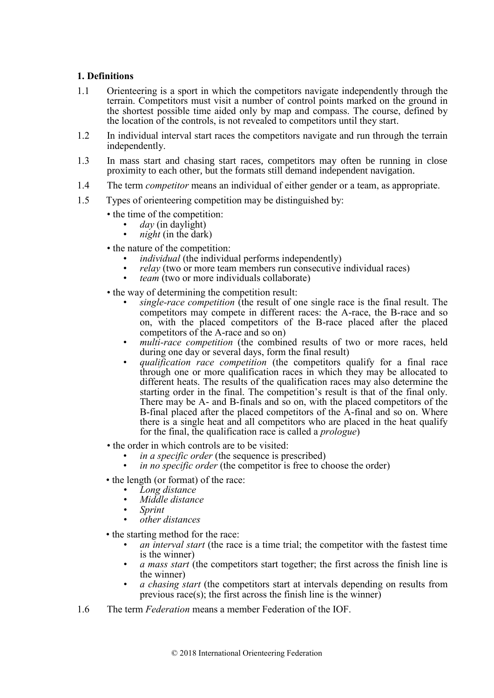# <span id="page-2-0"></span>**1. Definitions**

- 1.1 Orienteering is a sport in which the competitors navigate independently through the terrain. Competitors must visit a number of control points marked on the ground in the shortest possible time aided only by map and compass. The course, defined by the location of the controls, is not revealed to competitors until they start.
- 1.2 In individual interval start races the competitors navigate and run through the terrain independently.
- 1.3 In mass start and chasing start races, competitors may often be running in close proximity to each other, but the formats still demand independent navigation.
- 1.4 The term *competitor* means an individual of either gender or a team, as appropriate.
- 1.5 Types of orienteering competition may be distinguished by:
	- the time of the competition:
		- *day* (in daylight)
		- *night* (in the dark)
	- the nature of the competition:
		- *individual* (the individual performs independently)
		- *relay* (two or more team members run consecutive individual races)
		- *team* (two or more individuals collaborate)
	- the way of determining the competition result:
		- *single-race competition* (the result of one single race is the final result. The competitors may compete in different races: the A-race, the B-race and so on, with the placed competitors of the B-race placed after the placed competitors of the A-race and so on)
		- *multi-race competition* (the combined results of two or more races, held during one day or several days, form the final result)
		- *qualification race competition* (the competitors qualify for a final race through one or more qualification races in which they may be allocated to different heats. The results of the qualification races may also determine the starting order in the final. The competition's result is that of the final only. There may be A- and B-finals and so on, with the placed competitors of the B-final placed after the placed competitors of the A-final and so on. Where there is a single heat and all competitors who are placed in the heat qualify for the final, the qualification race is called a *prologue*)
	- the order in which controls are to be visited:
		- *in a specific order* (the sequence is prescribed)
		- *in no specific order* (the competitor is free to choose the order)
	- the length (or format) of the race:
		- *• Long distance*
		- *• Middle distance*
		- *• Sprint*
		- *• other distances*
	- the starting method for the race:
		- *an interval start* (the race is a time trial; the competitor with the fastest time is the winner)
		- *a mass start* (the competitors start together; the first across the finish line is the winner)
		- *• a chasing start* (the competitors start at intervals depending on results from previous race(s); the first across the finish line is the winner)
- 1.6 The term *Federation* means a member Federation of the IOF.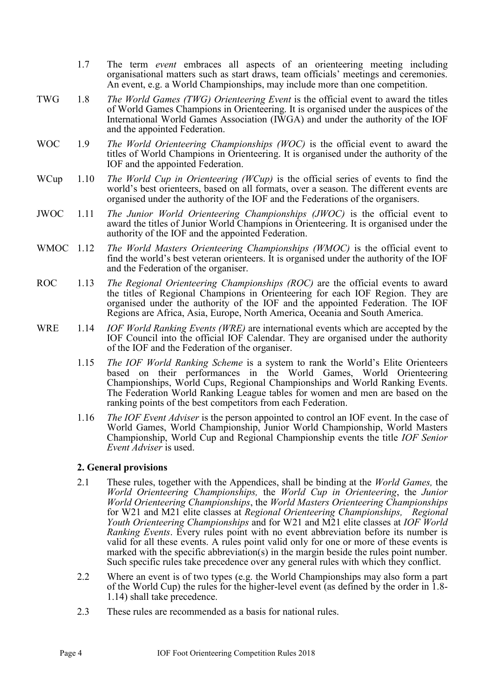- 1.7 The term *event* embraces all aspects of an orienteering meeting including organisational matters such as start draws, team officials' meetings and ceremonies. An event, e.g. a World Championships, may include more than one competition.
- TWG 1.8 *The World Games (TWG) Orienteering Event* is the official event to award the titles of World Games Champions in Orienteering. It is organised under the auspices of the International World Games Association (IWGA) and under the authority of the IOF and the appointed Federation.
- WOC 1.9 *The World Orienteering Championships (WOC)* is the official event to award the titles of World Champions in Orienteering. It is organised under the authority of the IOF and the appointed Federation.
- WCup 1.10 *The World Cup in Orienteering (WCup)* is the official series of events to find the world's best orienteers, based on all formats, over a season. The different events are organised under the authority of the IOF and the Federations of the organisers.
- JWOC 1.11 *The Junior World Orienteering Championships (JWOC)* is the official event to award the titles of Junior World Champions in Orienteering. It is organised under the authority of the IOF and the appointed Federation.
- WMOC 1.12 *The World Masters Orienteering Championships (WMOC)* is the official event to find the world's best veteran orienteers. It is organised under the authority of the IOF and the Federation of the organiser.
- ROC 1.13 *The Regional Orienteering Championships (ROC)* are the official events to award the titles of Regional Champions in Orienteering for each IOF Region. They are organised under the authority of the IOF and the appointed Federation. The IOF Regions are Africa, Asia, Europe, North America, Oceania and South America.
- WRE 1.14 *IOF World Ranking Events (WRE)* are international events which are accepted by the IOF Council into the official IOF Calendar. They are organised under the authority of the IOF and the Federation of the organiser.
	- 1.15 *The IOF World Ranking Scheme* is a system to rank the World's Elite Orienteers based on their performances in the World Games, World Orienteering Championships, World Cups, Regional Championships and World Ranking Events. The Federation World Ranking League tables for women and men are based on the ranking points of the best competitors from each Federation.
	- 1.16 *The IOF Event Adviser* is the person appointed to control an IOF event. In the case of World Games, World Championship, Junior World Championship, World Masters Championship, World Cup and Regional Championship events the title *IOF Senior Event Adviser* is used.

# <span id="page-3-0"></span>**2. General provisions**

- 2.1 These rules, together with the Appendices, shall be binding at the *World Games,* the *World Orienteering Championships,* the *World Cup in Orienteering*, the *Junior World Orienteering Championships*, the *World Masters Orienteering Championships* for W21 and M21 elite classes at *Regional Orienteering Championships, Regional Youth Orienteering Championships* and for W21 and M21 elite classes at *IOF World Ranking Events*. Every rules point with no event abbreviation before its number is valid for all these events. A rules point valid only for one or more of these events is marked with the specific abbreviation(s) in the margin beside the rules point number. Such specific rules take precedence over any general rules with which they conflict.
- 2.2 Where an event is of two types (e.g. the World Championships may also form a part of the World Cup) the rules for the higher-level event (as defined by the order in 1.8- 1.14) shall take precedence.
- 2.3 These rules are recommended as a basis for national rules.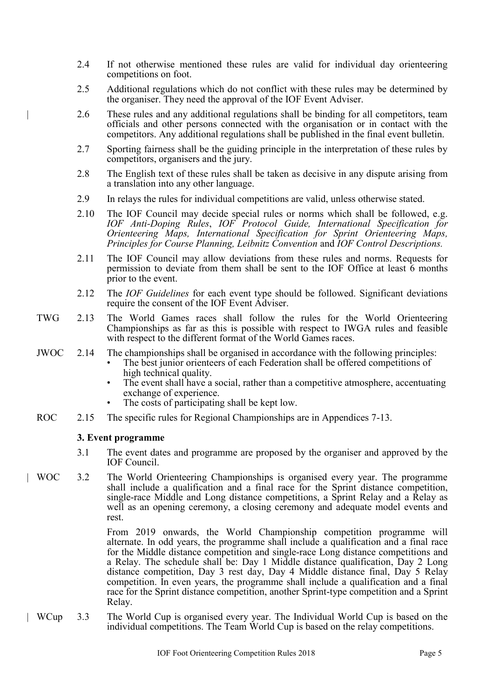- 2.4 If not otherwise mentioned these rules are valid for individual day orienteering competitions on foot.
- 2.5 Additional regulations which do not conflict with these rules may be determined by the organiser. They need the approval of the IOF Event Adviser.
- | 2.6 These rules and any additional regulations shall be binding for all competitors, team officials and other persons connected with the organisation or in contact with the competitors. Any additional regulations shall be published in the final event bulletin.
- 2.7 Sporting fairness shall be the guiding principle in the interpretation of these rules by competitors, organisers and the jury.
- 2.8 The English text of these rules shall be taken as decisive in any dispute arising from a translation into any other language.
- 2.9 In relays the rules for individual competitions are valid, unless otherwise stated.
- 2.10 The IOF Council may decide special rules or norms which shall be followed, e.g. *IOF Anti-Doping Rules*, *IOF Protocol Guide, International Specification for Orienteering Maps, International Specification for Sprint Orienteering Maps, Principles for Course Planning, Leibnitz Convention* and *IOF Control Descriptions.*
- 2.11 The IOF Council may allow deviations from these rules and norms. Requests for permission to deviate from them shall be sent to the IOF Office at least 6 months prior to the event.
- 2.12 The *IOF Guidelines* for each event type should be followed. Significant deviations require the consent of the IOF Event Adviser.
- TWG 2.13 The World Games races shall follow the rules for the World Orienteering Championships as far as this is possible with respect to IWGA rules and feasible with respect to the different format of the World Games races.
- JWOC 2.14 The championships shall be organised in accordance with the following principles:
	- The best junior orienteers of each Federation shall be offered competitions of high technical quality.
	- The event shall have a social, rather than a competitive atmosphere, accentuating exchange of experience.
	- The costs of participating shall be kept low.
- ROC 2.15 The specific rules for Regional Championships are in Appendices 7-13.

#### <span id="page-4-0"></span>**3. Event programme**

- 3.1 The event dates and programme are proposed by the organiser and approved by the IOF Council.
- | WOC 3.2 The World Orienteering Championships is organised every year. The programme shall include a qualification and a final race for the Sprint distance competition, single-race Middle and Long distance competitions, a Sprint Relay and a Relay as well as an opening ceremony, a closing ceremony and adequate model events and rest.

From 2019 onwards, the World Championship competition programme will alternate. In odd years, the programme shall include a qualification and a final race for the Middle distance competition and single-race Long distance competitions and a Relay. The schedule shall be: Day 1 Middle distance qualification, Day 2 Long distance competition, Day 3 rest day, Day 4 Middle distance final, Day 5 Relay competition. In even years, the programme shall include a qualification and a final race for the Sprint distance competition, another Sprint-type competition and a Sprint Relay.

| WCup 3.3 The World Cup is organised every year. The Individual World Cup is based on the individual competitions. The Team World Cup is based on the relay competitions.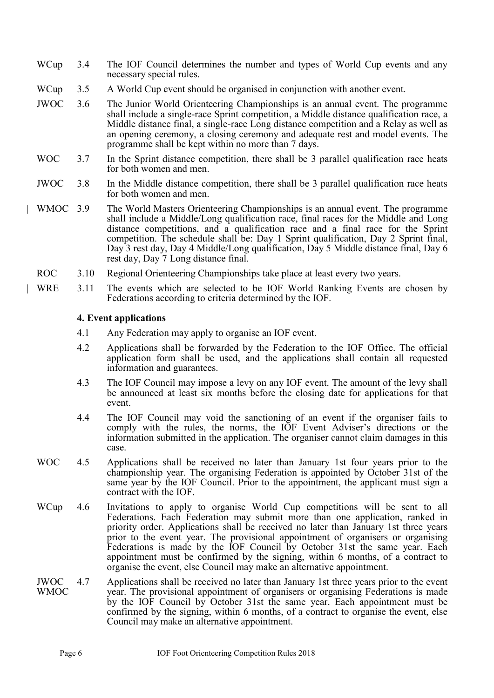- WCup 3.4 The IOF Council determines the number and types of World Cup events and any necessary special rules.
- WCup 3.5 A World Cup event should be organised in conjunction with another event.
- JWOC 3.6 The Junior World Orienteering Championships is an annual event. The programme shall include a single-race Sprint competition, a Middle distance qualification race, a Middle distance final, a single-race Long distance competition and a Relay as well as an opening ceremony, a closing ceremony and adequate rest and model events. The programme shall be kept within no more than 7 days.
- WOC 3.7 In the Sprint distance competition, there shall be 3 parallel qualification race heats for both women and men.

#### JWOC 3.8 In the Middle distance competition, there shall be 3 parallel qualification race heats for both women and men.

- | WMOC 3.9 The World Masters Orienteering Championships is an annual event. The programme shall include a Middle/Long qualification race, final races for the Middle and Long distance competitions, and a qualification race and a final race for the Sprint competition. The schedule shall be: Day 1 Sprint qualification, Day 2 Sprint final, Day 3 rest day, Day 4 Middle/Long qualification, Day 5 Middle distance final, Day 6 rest day, Day 7 Long distance final.
- ROC 3.10 Regional Orienteering Championships take place at least every two years.
- WRE 3.11 The events which are selected to be IOF World Ranking Events are chosen by Federations according to criteria determined by the IOF.

#### <span id="page-5-0"></span>**4. Event applications**

- 4.1 Any Federation may apply to organise an IOF event.
- 4.2 Applications shall be forwarded by the Federation to the IOF Office. The official application form shall be used, and the applications shall contain all requested information and guarantees.
- 4.3 The IOF Council may impose a levy on any IOF event. The amount of the levy shall be announced at least six months before the closing date for applications for that event.
- 4.4 The IOF Council may void the sanctioning of an event if the organiser fails to comply with the rules, the norms, the IOF Event Adviser's directions or the information submitted in the application. The organiser cannot claim damages in this case.
- WOC 4.5 Applications shall be received no later than January 1st four years prior to the championship year. The organising Federation is appointed by October 31st of the same year by the IOF Council. Prior to the appointment, the applicant must sign a contract with the IOF.
- WCup 4.6 Invitations to apply to organise World Cup competitions will be sent to all Federations. Each Federation may submit more than one application, ranked in priority order. Applications shall be received no later than January 1st three years prior to the event year. The provisional appointment of organisers or organising Federations is made by the IOF Council by October 31st the same year. Each appointment must be confirmed by the signing, within 6 months, of a contract to organise the event, else Council may make an alternative appointment.
- JWOC **WMOC** 4.7 Applications shall be received no later than January 1st three years prior to the event year. The provisional appointment of organisers or organising Federations is made by the IOF Council by October 31st the same year. Each appointment must be confirmed by the signing, within 6 months, of a contract to organise the event, else Council may make an alternative appointment.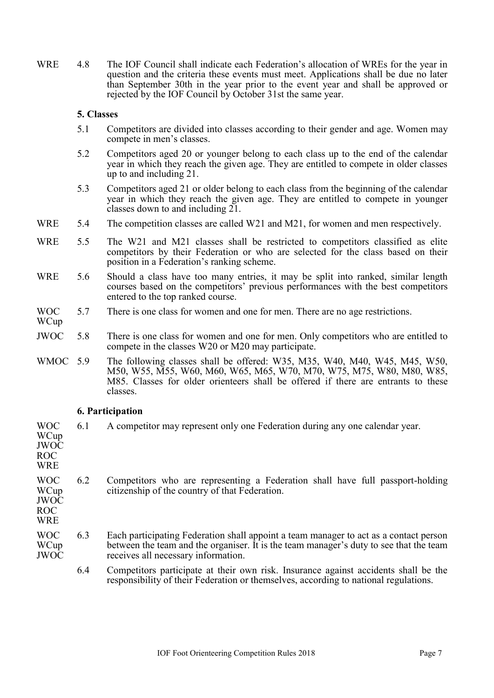WRE 4.8 The IOF Council shall indicate each Federation's allocation of WREs for the year in question and the criteria these events must meet. Applications shall be due no later than September 30th in the year prior to the event year and shall be approved or rejected by the IOF Council by October 31st the same year.

### <span id="page-6-0"></span>**5. Classes**

- 5.1 Competitors are divided into classes according to their gender and age. Women may compete in men's classes.
- 5.2 Competitors aged 20 or younger belong to each class up to the end of the calendar year in which they reach the given age. They are entitled to compete in older classes up to and including 21.
- 5.3 Competitors aged 21 or older belong to each class from the beginning of the calendar year in which they reach the given age. They are entitled to compete in younger classes down to and including 21.
- WRE 5.4 The competition classes are called W21 and M21, for women and men respectively.
- WRE 5.5 The W21 and M21 classes shall be restricted to competitors classified as elite competitors by their Federation or who are selected for the class based on their position in a Federation's ranking scheme.
- WRE 5.6 Should a class have too many entries, it may be split into ranked, similar length courses based on the competitors' previous performances with the best competitors entered to the top ranked course.
- WOC 5.7 There is one class for women and one for men. There are no age restrictions.
- WCup
- JWOC 5.8 There is one class for women and one for men. Only competitors who are entitled to compete in the classes W20 or M20 may participate.
- WMOC 5.9 The following classes shall be offered: W35, M35, W40, M40, W45, M45, W50, M50, W55, M55, W60, M60, W65, M65, W70, M70, W75, M75, W80, M80, W85, M85. Classes for older orienteers shall be offered if there are entrants to these classes.

#### <span id="page-6-1"></span>**6. Participation**

| WOC<br>WCup<br><b>JWOC</b><br>ROC<br><b>WRE</b>  | 6.1 | A competitor may represent only one Federation during any one calendar year.                                                                                                                                           |
|--------------------------------------------------|-----|------------------------------------------------------------------------------------------------------------------------------------------------------------------------------------------------------------------------|
| WOC<br>WCup<br><b>JWOC</b><br>ROC.<br><b>WRE</b> | 6.2 | Competitors who are representing a Federation shall have full passport-holding<br>citizenship of the country of that Federation.                                                                                       |
| <b>WOC</b><br>WCup<br>JWOC                       | 6.3 | Each participating Federation shall appoint a team manager to act as a contact person<br>between the team and the organiser. It is the team manager's duty to see that the team<br>receives all necessary information. |

6.4 Competitors participate at their own risk. Insurance against accidents shall be the responsibility of their Federation or themselves, according to national regulations.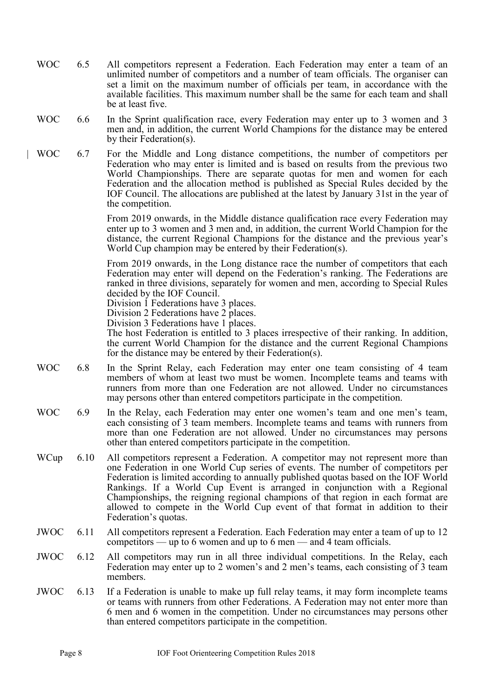- WOC 6.5 All competitors represent a Federation. Each Federation may enter a team of an unlimited number of competitors and a number of team officials. The organiser can set a limit on the maximum number of officials per team, in accordance with the available facilities. This maximum number shall be the same for each team and shall be at least five.
- WOC 6.6 In the Sprint qualification race, every Federation may enter up to 3 women and 3 men and, in addition, the current World Champions for the distance may be entered by their Federation(s).
- | WOC 6.7 For the Middle and Long distance competitions, the number of competitors per Federation who may enter is limited and is based on results from the previous two World Championships. There are separate quotas for men and women for each Federation and the allocation method is published as Special Rules decided by the IOF Council. The allocations are published at the latest by January 31st in the year of the competition.

From 2019 onwards, in the Middle distance qualification race every Federation may enter up to 3 women and 3 men and, in addition, the current World Champion for the distance, the current Regional Champions for the distance and the previous year's World Cup champion may be entered by their Federation(s).

From 2019 onwards, in the Long distance race the number of competitors that each Federation may enter will depend on the Federation's ranking. The Federations are ranked in three divisions, separately for women and men, according to Special Rules decided by the IOF Council.

Division 1 Federations have 3 places.

Division 2 Federations have 2 places.

Division 3 Federations have 1 places.

The host Federation is entitled to 3 places irrespective of their ranking. In addition, the current World Champion for the distance and the current Regional Champions for the distance may be entered by their Federation(s).

- WOC 6.8 In the Sprint Relay, each Federation may enter one team consisting of 4 team members of whom at least two must be women. Incomplete teams and teams with runners from more than one Federation are not allowed. Under no circumstances may persons other than entered competitors participate in the competition.
- WOC 6.9 In the Relay, each Federation may enter one women's team and one men's team, each consisting of 3 team members. Incomplete teams and teams with runners from more than one Federation are not allowed. Under no circumstances may persons other than entered competitors participate in the competition.
- WCup 6.10 All competitors represent a Federation. A competitor may not represent more than one Federation in one World Cup series of events. The number of competitors per Federation is limited according to annually published quotas based on the IOF World Rankings. If a World Cup Event is arranged in conjunction with a Regional Championships, the reigning regional champions of that region in each format are allowed to compete in the World Cup event of that format in addition to their Federation's quotas.
- JWOC 6.11 All competitors represent a Federation. Each Federation may enter a team of up to 12 competitors — up to 6 women and up to 6 men — and 4 team officials.
- JWOC 6.12 All competitors may run in all three individual competitions. In the Relay, each Federation may enter up to 2 women's and 2 men's teams, each consisting of 3 team members.
- JWOC 6.13 If a Federation is unable to make up full relay teams, it may form incomplete teams or teams with runners from other Federations. A Federation may not enter more than 6 men and 6 women in the competition. Under no circumstances may persons other than entered competitors participate in the competition.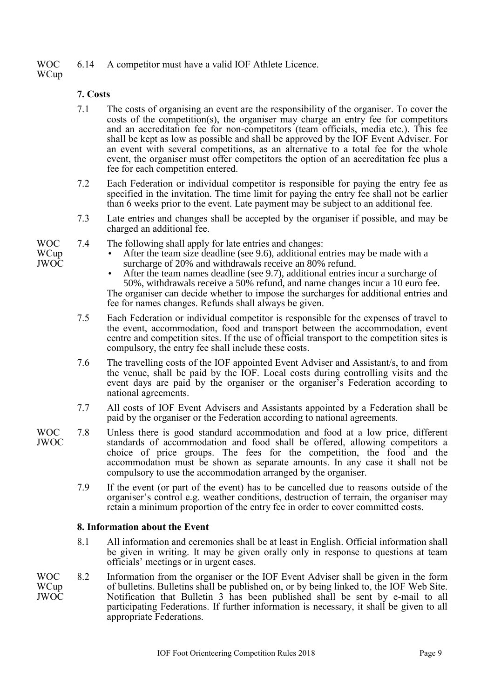WOC 6.14 A competitor must have a valid IOF Athlete Licence.

7.4 The following shall apply for late entries and changes:

**WCup** 

# <span id="page-8-0"></span>**7. Costs**

- 7.1 The costs of organising an event are the responsibility of the organiser. To cover the costs of the competition(s), the organiser may charge an entry fee for competitors and an accreditation fee for non-competitors (team officials, media etc.). This fee shall be kept as low as possible and shall be approved by the IOF Event Adviser. For an event with several competitions, as an alternative to a total fee for the whole event, the organiser must offer competitors the option of an accreditation fee plus a fee for each competition entered.
- 7.2 Each Federation or individual competitor is responsible for paying the entry fee as specified in the invitation. The time limit for paying the entry fee shall not be earlier than 6 weeks prior to the event. Late payment may be subject to an additional fee.
- 7.3 Late entries and changes shall be accepted by the organiser if possible, and may be charged an additional fee.
- WOC
- **WCup** JWOC
- After the team size deadline (see 9.6), additional entries may be made with a surcharge of 20% and withdrawals receive an 80% refund.
- After the team names deadline (see 9.7), additional entries incur a surcharge of 50%, withdrawals receive a 50% refund, and name changes incur a 10 euro fee. The organiser can decide whether to impose the surcharges for additional entries and fee for names changes. Refunds shall always be given.
- 7.5 Each Federation or individual competitor is responsible for the expenses of travel to the event, accommodation, food and transport between the accommodation, event centre and competition sites. If the use of official transport to the competition sites is compulsory, the entry fee shall include these costs.
- 7.6 The travelling costs of the IOF appointed Event Adviser and Assistant/s, to and from the venue, shall be paid by the IOF. Local costs during controlling visits and the event days are paid by the organiser or the organiser's Federation according to national agreements.
- 7.7 All costs of IOF Event Advisers and Assistants appointed by a Federation shall be paid by the organiser or the Federation according to national agreements.
- WOC JWOC 7.8 Unless there is good standard accommodation and food at a low price, different standards of accommodation and food shall be offered, allowing competitors a choice of price groups. The fees for the competition, the food and the accommodation must be shown as separate amounts. In any case it shall not be compulsory to use the accommodation arranged by the organiser.
	- 7.9 If the event (or part of the event) has to be cancelled due to reasons outside of the organiser's control e.g. weather conditions, destruction of terrain, the organiser may retain a minimum proportion of the entry fee in order to cover committed costs.

# <span id="page-8-1"></span>**8. Information about the Event**

- 8.1 All information and ceremonies shall be at least in English. Official information shall be given in writing. It may be given orally only in response to questions at team officials' meetings or in urgent cases.
- WOC **WCup** JWOC 8.2 Information from the organiser or the IOF Event Adviser shall be given in the form of bulletins. Bulletins shall be published on, or by being linked to, the IOF Web Site. Notification that Bulletin 3 has been published shall be sent by e-mail to all participating Federations. If further information is necessary, it shall be given to all appropriate Federations.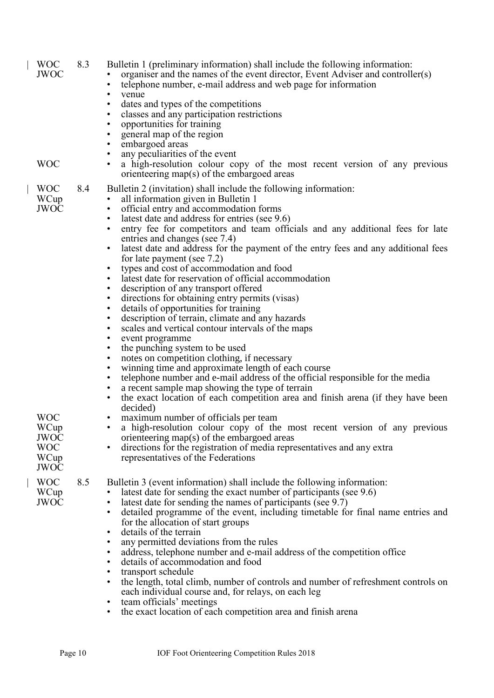| <b>WOC</b><br><b>JWOC</b><br><b>WOC</b>                                | 8.3 | Bulletin 1 (preliminary information) shall include the following information:<br>organiser and the names of the event director, Event Adviser and controller(s)<br>telephone number, e-mail address and web page for information<br>$\bullet$<br>venue<br>$\bullet$<br>dates and types of the competitions<br>$\bullet$<br>classes and any participation restrictions<br>opportunities for training<br>general map of the region<br>embargoed areas<br>any peculiarities of the event<br>a high-resolution colour copy of the most recent version of any previous<br>orienteering map(s) of the embargoed areas                                                                                                                                                                                                                                                                                                                                                                                                                                                                                                                                                                                                         |
|------------------------------------------------------------------------|-----|-------------------------------------------------------------------------------------------------------------------------------------------------------------------------------------------------------------------------------------------------------------------------------------------------------------------------------------------------------------------------------------------------------------------------------------------------------------------------------------------------------------------------------------------------------------------------------------------------------------------------------------------------------------------------------------------------------------------------------------------------------------------------------------------------------------------------------------------------------------------------------------------------------------------------------------------------------------------------------------------------------------------------------------------------------------------------------------------------------------------------------------------------------------------------------------------------------------------------|
| <b>WOC</b><br>WCup<br><b>JWOC</b>                                      | 8.4 | Bulletin 2 (invitation) shall include the following information:<br>all information given in Bulletin 1<br>official entry and accommodation forms<br>$\bullet$<br>latest date and address for entries (see 9.6)<br>$\bullet$<br>entry fee for competitors and team officials and any additional fees for late<br>entries and changes (see 7.4)<br>latest date and address for the payment of the entry fees and any additional fees<br>$\bullet$<br>for late payment (see $7.2$ )<br>types and cost of accommodation and food<br>latest date for reservation of official accommodation<br>description of any transport offered<br>directions for obtaining entry permits (visas)<br>details of opportunities for training<br>description of terrain, climate and any hazards<br>scales and vertical contour intervals of the maps<br>event programme<br>the punching system to be used<br>notes on competition clothing, if necessary<br>winning time and approximate length of each course<br>telephone number and e-mail address of the official responsible for the media<br>a recent sample map showing the type of terrain<br>the exact location of each competition area and finish arena (if they have been<br>٠ |
| <b>WOC</b><br>WCup<br><b>JWOC</b><br><b>WOC</b><br>WCup<br><b>JWOC</b> |     | decided)<br>maximum number of officials per team<br>a high-resolution colour copy of the most recent version of any previous<br>orienteering map(s) of the embargoed areas<br>directions for the registration of media representatives and any extra<br>$\bullet$<br>representatives of the Federations                                                                                                                                                                                                                                                                                                                                                                                                                                                                                                                                                                                                                                                                                                                                                                                                                                                                                                                 |
| <b>WOC</b><br>WCup<br><b>JWOC</b>                                      | 8.5 | Bulletin 3 (event information) shall include the following information:<br>latest date for sending the exact number of participants (see 9.6)<br>latest date for sending the names of participants (see 9.7)<br>detailed programme of the event, including timetable for final name entries and<br>$\bullet$<br>for the allocation of start groups<br>details of the terrain<br>any permitted deviations from the rules<br>address, telephone number and e-mail address of the competition office<br>details of accommodation and food<br>transport schedule<br>the length, total climb, number of controls and number of refreshment controls on<br>$\bullet$<br>each individual course and, for relays, on each leg<br>team officials' meetings<br>the exact location of each competition area and finish arena<br>$\bullet$                                                                                                                                                                                                                                                                                                                                                                                          |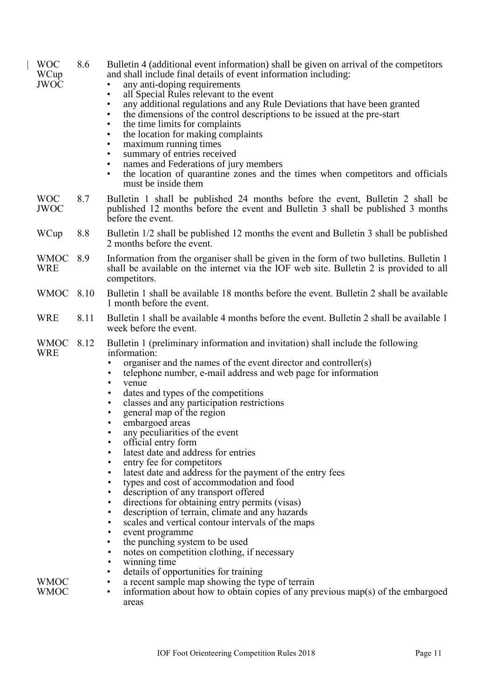| <b>WOC</b><br>WCup<br><b>JWOC</b> | 8.6<br>$\bullet$<br>$\bullet$<br>$\bullet$<br>$\bullet$<br>$\bullet$<br>$\bullet$<br>$\bullet$<br>$\bullet$<br>$\bullet$ | Bulletin 4 (additional event information) shall be given on arrival of the competitors<br>and shall include final details of event information including:<br>any anti-doping requirements<br>all Special Rules relevant to the event<br>any additional regulations and any Rule Deviations that have been granted<br>the dimensions of the control descriptions to be issued at the pre-start<br>the time limits for complaints<br>the location for making complaints<br>maximum running times<br>summary of entries received<br>names and Federations of jury members<br>the location of quarantine zones and the times when competitors and officials<br>must be inside them                                                                                                                                                                                                                                                                                                         |
|-----------------------------------|--------------------------------------------------------------------------------------------------------------------------|----------------------------------------------------------------------------------------------------------------------------------------------------------------------------------------------------------------------------------------------------------------------------------------------------------------------------------------------------------------------------------------------------------------------------------------------------------------------------------------------------------------------------------------------------------------------------------------------------------------------------------------------------------------------------------------------------------------------------------------------------------------------------------------------------------------------------------------------------------------------------------------------------------------------------------------------------------------------------------------|
| <b>WOC</b><br><b>JWOC</b>         | 8.7                                                                                                                      | Bulletin 1 shall be published 24 months before the event, Bulletin 2 shall be<br>published 12 months before the event and Bulletin 3 shall be published 3 months<br>before the event.                                                                                                                                                                                                                                                                                                                                                                                                                                                                                                                                                                                                                                                                                                                                                                                                  |
| WCup                              | 8.8                                                                                                                      | Bulletin 1/2 shall be published 12 months the event and Bulletin 3 shall be published<br>2 months before the event.                                                                                                                                                                                                                                                                                                                                                                                                                                                                                                                                                                                                                                                                                                                                                                                                                                                                    |
| <b>WMOC</b><br><b>WRE</b>         | 8.9                                                                                                                      | Information from the organiser shall be given in the form of two bulletins. Bulletin 1<br>shall be available on the internet via the IOF web site. Bulletin 2 is provided to all<br>competitors.                                                                                                                                                                                                                                                                                                                                                                                                                                                                                                                                                                                                                                                                                                                                                                                       |
| <b>WMOC</b>                       | 8.10                                                                                                                     | Bulletin 1 shall be available 18 months before the event. Bulletin 2 shall be available<br>1 month before the event.                                                                                                                                                                                                                                                                                                                                                                                                                                                                                                                                                                                                                                                                                                                                                                                                                                                                   |
| <b>WRE</b>                        | 8.11                                                                                                                     | Bulletin 1 shall be available 4 months before the event. Bulletin 2 shall be available 1<br>week before the event.                                                                                                                                                                                                                                                                                                                                                                                                                                                                                                                                                                                                                                                                                                                                                                                                                                                                     |
| <b>WMOC</b><br><b>WRE</b>         | 8.12<br>٠<br>٠<br>٠<br>$\bullet$<br>$\bullet$<br>$\bullet$<br>$\bullet$                                                  | Bulletin 1 (preliminary information and invitation) shall include the following<br>information:<br>organiser and the names of the event director and controller(s)<br>telephone number, e-mail address and web page for information<br>venue<br>dates and types of the competitions<br>classes and any participation restrictions<br>general map of the region<br>embargoed areas<br>any peculiarities of the event<br>official entry form<br>latest date and address for entries<br>entry fee for competitors<br>latest date and address for the payment of the entry fees<br>types and cost of accommodation and food<br>description of any transport offered<br>directions for obtaining entry permits (visas)<br>description of terrain, climate and any hazards<br>scales and vertical contour intervals of the maps<br>event programme<br>the punching system to be used<br>notes on competition clothing, if necessary<br>winning time<br>details of opportunities for training |
| <b>WMOC</b><br>WMOC               | ٠<br>$\bullet$                                                                                                           | a recent sample map showing the type of terrain<br>information about how to obtain copies of any previous map(s) of the embargoed<br>areas                                                                                                                                                                                                                                                                                                                                                                                                                                                                                                                                                                                                                                                                                                                                                                                                                                             |

 $\overline{\phantom{a}}$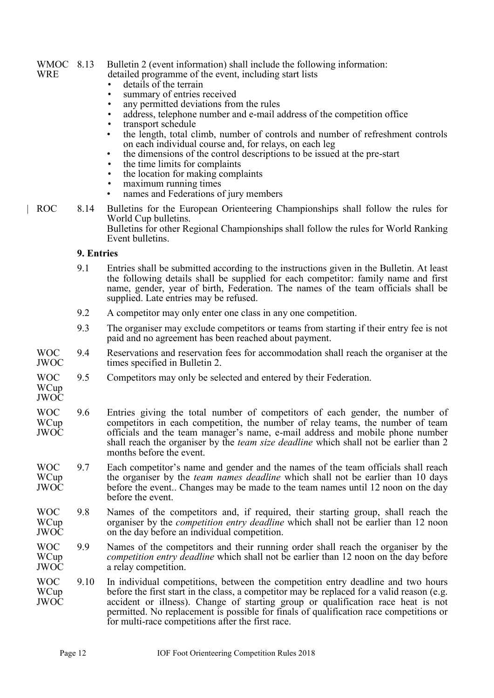#### WMOC 8.13 WRE Bulletin 2 (event information) shall include the following information:

- detailed programme of the event, including start lists
	- details of the terrain
	- summary of entries received
	- any permitted deviations from the rules
	- address, telephone number and e-mail address of the competition office
- transport schedule
- the length, total climb, number of controls and number of refreshment controls on each individual course and, for relays, on each leg
- the dimensions of the control descriptions to be issued at the pre-start
- the time limits for complaints
- the location for making complaints
- maximum running times
- names and Federations of jury members
- | ROC 8.14 Bulletins for the European Orienteering Championships shall follow the rules for World Cup bulletins.

Bulletins for other Regional Championships shall follow the rules for World Ranking Event bulletins.

### <span id="page-11-0"></span>**9. Entries**

- 9.1 Entries shall be submitted according to the instructions given in the Bulletin. At least the following details shall be supplied for each competitor: family name and first name, gender, year of birth, Federation. The names of the team officials shall be supplied. Late entries may be refused.
- 9.2 A competitor may only enter one class in any one competition.
- 9.3 The organiser may exclude competitors or teams from starting if their entry fee is not paid and no agreement has been reached about payment.
- WOC JWOC 9.4 Reservations and reservation fees for accommodation shall reach the organiser at the times specified in Bulletin 2.
- WOC 9.5 Competitors may only be selected and entered by their Federation.
- **WCup** JWOC
- WOC **WCup** JWOC 9.6 Entries giving the total number of competitors of each gender, the number of competitors in each competition, the number of relay teams, the number of team officials and the team manager's name, e-mail address and mobile phone number shall reach the organiser by the *team size deadline* which shall not be earlier than 2 months before the event.
- WOC WCup JWOC 9.7 Each competitor's name and gender and the names of the team officials shall reach the organiser by the *team names deadline* which shall not be earlier than 10 days before the event.. Changes may be made to the team names until 12 noon on the day before the event.
- WOC **WCup** JWOC 9.8 Names of the competitors and, if required, their starting group, shall reach the organiser by the *competition entry deadline* which shall not be earlier than 12 noon on the day before an individual competition.
- WOC WCup JWOC 9.9 Names of the competitors and their running order shall reach the organiser by the *competition entry deadline* which shall not be earlier than 12 noon on the day before a relay competition.
- WOC WCup JWOC 9.10 In individual competitions, between the competition entry deadline and two hours before the first start in the class, a competitor may be replaced for a valid reason (e.g. accident or illness). Change of starting group or qualification race heat is not permitted. No replacement is possible for finals of qualification race competitions or for multi-race competitions after the first race.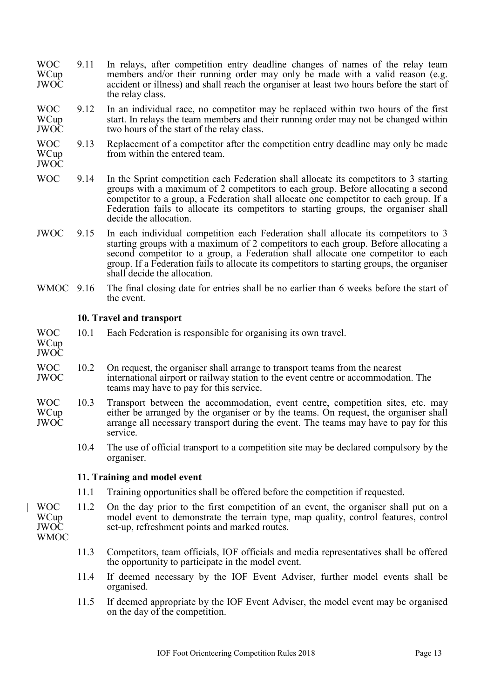- WOC **WCup** JWOC 9.11 In relays, after competition entry deadline changes of names of the relay team members and/or their running order may only be made with a valid reason (e.g. accident or illness) and shall reach the organiser at least two hours before the start of the relay class.
- WOC WCup JWOC 9.12 In an individual race, no competitor may be replaced within two hours of the first start. In relays the team members and their running order may not be changed within two hours of the start of the relay class.
- WOC WCup 9.13 Replacement of a competitor after the competition entry deadline may only be made from within the entered team.
- JWOC
- WOC 9.14 In the Sprint competition each Federation shall allocate its competitors to 3 starting groups with a maximum of 2 competitors to each group. Before allocating a second competitor to a group, a Federation shall allocate one competitor to each group. If a Federation fails to allocate its competitors to starting groups, the organiser shall decide the allocation.
- JWOC 9.15 In each individual competition each Federation shall allocate its competitors to 3 starting groups with a maximum of 2 competitors to each group. Before allocating a second competitor to a group, a Federation shall allocate one competitor to each group. If a Federation fails to allocate its competitors to starting groups, the organiser shall decide the allocation.
- WMOC 9.16 The final closing date for entries shall be no earlier than 6 weeks before the start of the event.

# <span id="page-12-0"></span>**10. Travel and transport**

- WOC 10.1 Each Federation is responsible for organising its own travel.
- WCup JWOC
- WOC JWOC 10.2 On request, the organiser shall arrange to transport teams from the nearest international airport or railway station to the event centre or accommodation. The teams may have to pay for this service.
- WOC WCup JWOC 10.3 Transport between the accommodation, event centre, competition sites, etc. may either be arranged by the organiser or by the teams. On request, the organiser shall arrange all necessary transport during the event. The teams may have to pay for this service.
	- 10.4 The use of official transport to a competition site may be declared compulsory by the organiser.

# <span id="page-12-1"></span>**11. Training and model event**

- 11.1 Training opportunities shall be offered before the competition if requested.
- | WOC WCup JWOC 11.2 On the day prior to the first competition of an event, the organiser shall put on a model event to demonstrate the terrain type, map quality, control features, control set-up, refreshment points and marked routes.
- WMOC
- 11.3 Competitors, team officials, IOF officials and media representatives shall be offered the opportunity to participate in the model event.
- 11.4 If deemed necessary by the IOF Event Adviser, further model events shall be organised.
- 11.5 If deemed appropriate by the IOF Event Adviser, the model event may be organised on the day of the competition.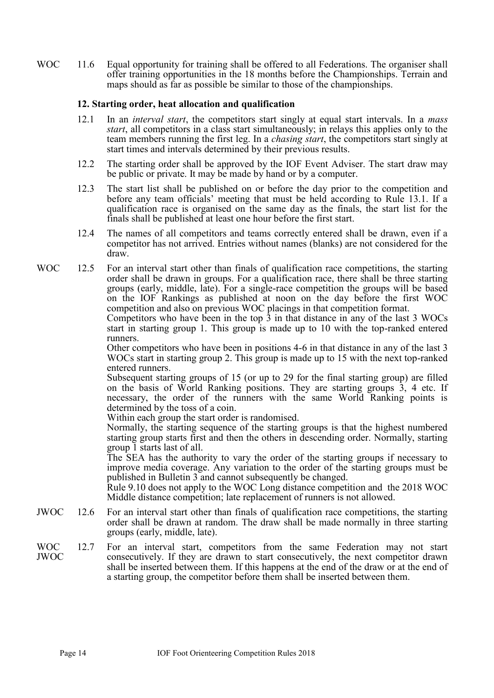WOC 11.6 Equal opportunity for training shall be offered to all Federations. The organiser shall offer training opportunities in the 18 months before the Championships. Terrain and maps should as far as possible be similar to those of the championships.

# <span id="page-13-0"></span>**12. Starting order, heat allocation and qualification**

- 12.1 In an *interval start*, the competitors start singly at equal start intervals. In a *mass start*, all competitors in a class start simultaneously; in relays this applies only to the team members running the first leg. In a *chasing start*, the competitors start singly at start times and intervals determined by their previous results.
- 12.2 The starting order shall be approved by the IOF Event Adviser. The start draw may be public or private. It may be made by hand or by a computer.
- 12.3 The start list shall be published on or before the day prior to the competition and before any team officials' meeting that must be held according to Rule 13.1. If a qualification race is organised on the same day as the finals, the start list for the finals shall be published at least one hour before the first start.
- 12.4 The names of all competitors and teams correctly entered shall be drawn, even if a competitor has not arrived. Entries without names (blanks) are not considered for the draw.
- WOC 12.5 For an interval start other than finals of qualification race competitions, the starting order shall be drawn in groups. For a qualification race, there shall be three starting groups (early, middle, late). For a single-race competition the groups will be based on the IOF Rankings as published at noon on the day before the first WOC competition and also on previous WOC placings in that competition format.

Competitors who have been in the top 3 in that distance in any of the last 3 WOCs start in starting group 1. This group is made up to 10 with the top-ranked entered runners.

Other competitors who have been in positions 4-6 in that distance in any of the last 3 WOCs start in starting group 2. This group is made up to 15 with the next top-ranked entered runners.

Subsequent starting groups of 15 (or up to 29 for the final starting group) are filled on the basis of World Ranking positions. They are starting groups 3, 4 etc. If necessary, the order of the runners with the same World Ranking points is determined by the toss of a coin.

Within each group the start order is randomised.

Normally, the starting sequence of the starting groups is that the highest numbered starting group starts first and then the others in descending order. Normally, starting group 1 starts last of all.

The SEA has the authority to vary the order of the starting groups if necessary to improve media coverage. Any variation to the order of the starting groups must be published in Bulletin 3 and cannot subsequently be changed.

Rule 9.10 does not apply to the WOC Long distance competition and the 2018 WOC Middle distance competition; late replacement of runners is not allowed.

- JWOC 12.6 For an interval start other than finals of qualification race competitions, the starting order shall be drawn at random. The draw shall be made normally in three starting groups (early, middle, late).
- WOC JWOC 12.7 For an interval start, competitors from the same Federation may not start consecutively. If they are drawn to start consecutively, the next competitor drawn shall be inserted between them. If this happens at the end of the draw or at the end of a starting group, the competitor before them shall be inserted between them.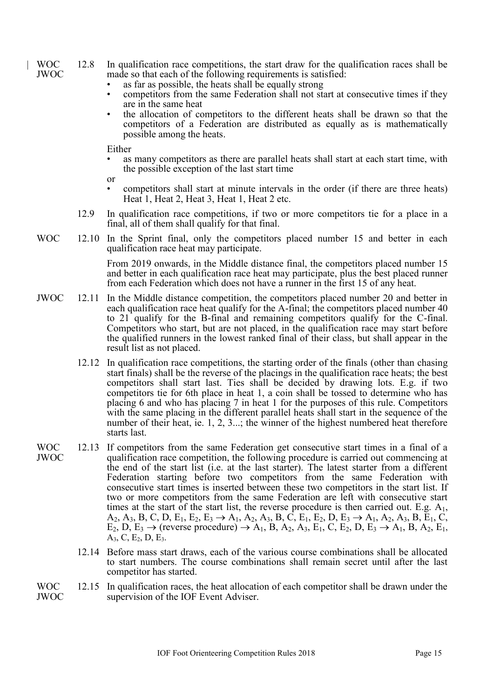- | WOC JWOC 12.8 In qualification race competitions, the start draw for the qualification races shall be made so that each of the following requirements is satisfied:
	- as far as possible, the heats shall be equally strong
	- competitors from the same Federation shall not start at consecutive times if they are in the same heat
	- the allocation of competitors to the different heats shall be drawn so that the competitors of a Federation are distributed as equally as is mathematically possible among the heats.

Either

- as many competitors as there are parallel heats shall start at each start time, with the possible exception of the last start time
- or
	- competitors shall start at minute intervals in the order (if there are three heats) Heat 1, Heat 2, Heat 3, Heat 1, Heat 2 etc.
- 12.9 In qualification race competitions, if two or more competitors tie for a place in a final, all of them shall qualify for that final.
- WOC 12.10 In the Sprint final, only the competitors placed number 15 and better in each qualification race heat may participate.

From 2019 onwards, in the Middle distance final, the competitors placed number 15 and better in each qualification race heat may participate, plus the best placed runner from each Federation which does not have a runner in the first 15 of any heat.

- JWOC 12.11 In the Middle distance competition, the competitors placed number 20 and better in each qualification race heat qualify for the A-final; the competitors placed number 40 to 21 qualify for the B-final and remaining competitors qualify for the C-final. Competitors who start, but are not placed, in the qualification race may start before the qualified runners in the lowest ranked final of their class, but shall appear in the result list as not placed.
	- 12.12 In qualification race competitions, the starting order of the finals (other than chasing start finals) shall be the reverse of the placings in the qualification race heats; the best competitors shall start last. Ties shall be decided by drawing lots. E.g. if two competitors tie for 6th place in heat 1, a coin shall be tossed to determine who has placing 6 and who has placing 7 in heat 1 for the purposes of this rule. Competitors with the same placing in the different parallel heats shall start in the sequence of the number of their heat, ie. 1, 2, 3...; the winner of the highest numbered heat therefore starts last.
- WOC JWOC 12.13 If competitors from the same Federation get consecutive start times in a final of a qualification race competition, the following procedure is carried out commencing at the end of the start list (i.e. at the last starter). The latest starter from a different Federation starting before two competitors from the same Federation with consecutive start times is inserted between these two competitors in the start list. If two or more competitors from the same Federation are left with consecutive start times at the start of the start list, the reverse procedure is then carried out. E.g.  $A_1$ ,  $A_2, A_3, B, C, D, E_1, E_2, E_3 \rightarrow A_1, A_2, A_3, B, C, E_1, E_2, D, E_3 \rightarrow A_1, A_2, A_3, B, E_1, C,$  $E_2, D, E_3 \rightarrow$  (reverse procedure)  $\rightarrow A_1$ , B, A<sub>2</sub>, A<sub>3</sub>, E<sub>1</sub>, C, E<sub>2</sub>, D, E<sub>3</sub>  $\rightarrow A_1$ , B, A<sub>2</sub>, E<sub>1</sub>,  $A_3, C, E_2, D, E_3.$ 
	- 12.14 Before mass start draws, each of the various course combinations shall be allocated to start numbers. The course combinations shall remain secret until after the last competitor has started.
- WOC JWOC 12.15 In qualification races, the heat allocation of each competitor shall be drawn under the supervision of the IOF Event Adviser.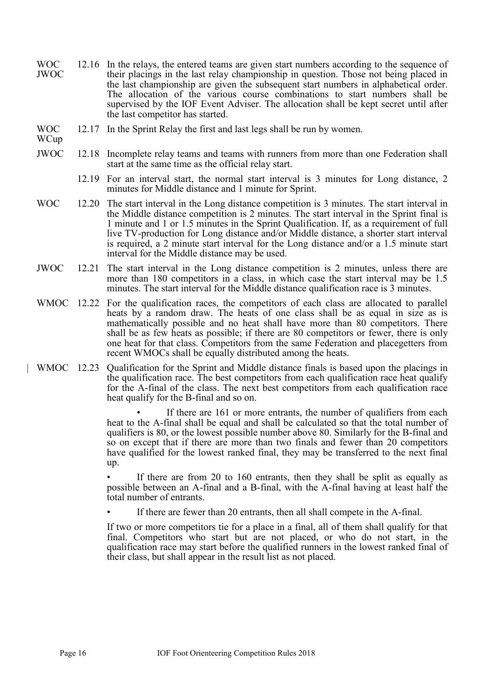- WOC JWOC 12.16 In the relays, the entered teams are given start numbers according to the sequence of their placings in the last relay championship in question. Those not being placed in the last championship are given the subsequent start numbers in alphabetical order. The allocation of the various course combinations to start numbers shall be supervised by the IOF Event Adviser. The allocation shall be kept secret until after the last competitor has started.
- WOC 12.17 In the Sprint Relay the first and last legs shall be run by women.
- WCup
- JWOC 12.18 Incomplete relay teams and teams with runners from more than one Federation shall start at the same time as the official relay start.
	- 12.19 For an interval start, the normal start interval is 3 minutes for Long distance, 2 minutes for Middle distance and 1 minute for Sprint.
- WOC 12.20 The start interval in the Long distance competition is 3 minutes. The start interval in the Middle distance competition is 2 minutes. The start interval in the Sprint final is 1 minute and 1 or 1.5 minutes in the Sprint Qualification. If, as a requirement of full live TV-production for Long distance and/or Middle distance, a shorter start interval is required, a 2 minute start interval for the Long distance and/or a 1.5 minute start interval for the Middle distance may be used.
- JWOC 12.21 The start interval in the Long distance competition is 2 minutes, unless there are more than 180 competitors in a class, in which case the start interval may be 1.5 minutes. The start interval for the Middle distance qualification race is 3 minutes.
- WMOC 12.22 For the qualification races, the competitors of each class are allocated to parallel heats by a random draw. The heats of one class shall be as equal in size as is mathematically possible and no heat shall have more than 80 competitors. There shall be as few heats as possible; if there are 80 competitors or fewer, there is only one heat for that class. Competitors from the same Federation and placegetters from recent WMOCs shall be equally distributed among the heats.
- | WMOC 12.23 Qualification for the Sprint and Middle distance finals is based upon the placings in the qualification race. The best competitors from each qualification race heat qualify for the A-final of the class. The next best competitors from each qualification race heat qualify for the B-final and so on.

If there are 161 or more entrants, the number of qualifiers from each heat to the A-final shall be equal and shall be calculated so that the total number of qualifiers is 80, or the lowest possible number above 80. Similarly for the B-final and so on except that if there are more than two finals and fewer than 20 competitors have qualified for the lowest ranked final, they may be transferred to the next final up.

If there are from 20 to 160 entrants, then they shall be split as equally as possible between an A-final and a B-final, with the A-final having at least half the total number of entrants.

If there are fewer than 20 entrants, then all shall compete in the A-final.

If two or more competitors tie for a place in a final, all of them shall qualify for that final. Competitors who start but are not placed, or who do not start, in the qualification race may start before the qualified runners in the lowest ranked final of their class, but shall appear in the result list as not placed.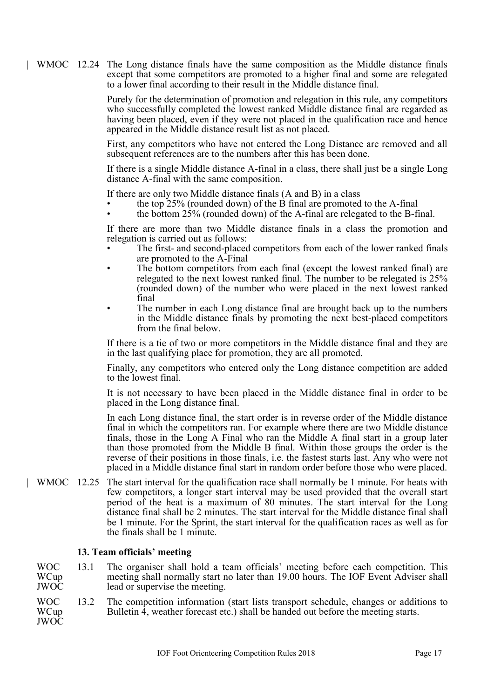| WMOC 12.24 The Long distance finals have the same composition as the Middle distance finals except that some competitors are promoted to a higher final and some are relegated to a lower final according to their result in the Middle distance final.

> Purely for the determination of promotion and relegation in this rule, any competitors who successfully completed the lowest ranked Middle distance final are regarded as having been placed, even if they were not placed in the qualification race and hence appeared in the Middle distance result list as not placed.

> First, any competitors who have not entered the Long Distance are removed and all subsequent references are to the numbers after this has been done.

> If there is a single Middle distance A-final in a class, there shall just be a single Long distance A-final with the same composition.

If there are only two Middle distance finals (A and B) in a class

- the top 25% (rounded down) of the B final are promoted to the A-final
- the bottom 25% (rounded down) of the A-final are relegated to the B-final.

If there are more than two Middle distance finals in a class the promotion and relegation is carried out as follows:

- The first- and second-placed competitors from each of the lower ranked finals are promoted to the A-Final
- The bottom competitors from each final (except the lowest ranked final) are relegated to the next lowest ranked final. The number to be relegated is 25% (rounded down) of the number who were placed in the next lowest ranked final
- The number in each Long distance final are brought back up to the numbers in the Middle distance finals by promoting the next best-placed competitors from the final below.

If there is a tie of two or more competitors in the Middle distance final and they are in the last qualifying place for promotion, they are all promoted.

Finally, any competitors who entered only the Long distance competition are added to the lowest final.

It is not necessary to have been placed in the Middle distance final in order to be placed in the Long distance final.

In each Long distance final, the start order is in reverse order of the Middle distance final in which the competitors ran. For example where there are two Middle distance finals, those in the Long A Final who ran the Middle A final start in a group later than those promoted from the Middle B final. Within those groups the order is the reverse of their positions in those finals, i.e. the fastest starts last. Any who were not placed in a Middle distance final start in random order before those who were placed.

| WMOC 12.25 The start interval for the qualification race shall normally be 1 minute. For heats with few competitors, a longer start interval may be used provided that the overall start period of the heat is a maximum of 80 minutes. The start interval for the Long distance final shall be 2 minutes. The start interval for the Middle distance final shall be 1 minute. For the Sprint, the start interval for the qualification races as well as for the finals shall be 1 minute.

# <span id="page-16-0"></span>**13. Team officials' meeting**

WOC **WCup** JWOC 13.1 The organiser shall hold a team officials' meeting before each competition. This meeting shall normally start no later than 19.00 hours. The IOF Event Adviser shall lead or supervise the meeting.

WOC **WCup** JWOC 13.2 The competition information (start lists transport schedule, changes or additions to Bulletin 4, weather forecast etc.) shall be handed out before the meeting starts.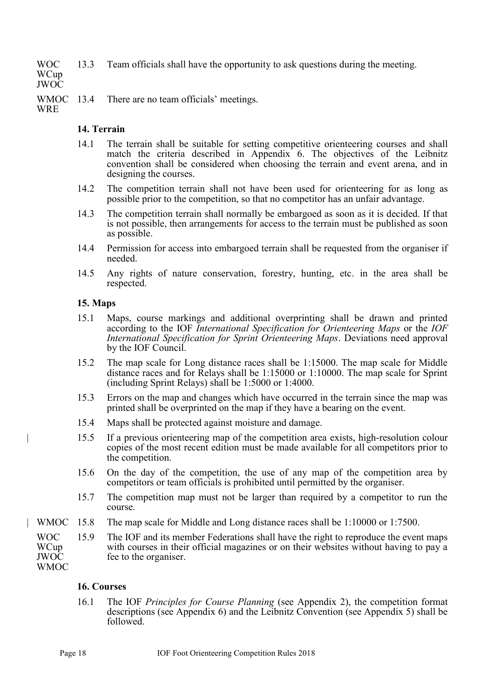WOC **WCup** JWOC 13.3 Team officials shall have the opportunity to ask questions during the meeting.

WMOC 13.4 There are no team officials' meetings.

**WRE** 

# <span id="page-17-0"></span>**14. Terrain**

- 14.1 The terrain shall be suitable for setting competitive orienteering courses and shall match the criteria described in Appendix 6. The objectives of the Leibnitz convention shall be considered when choosing the terrain and event arena, and in designing the courses.
- 14.2 The competition terrain shall not have been used for orienteering for as long as possible prior to the competition, so that no competitor has an unfair advantage.
- 14.3 The competition terrain shall normally be embargoed as soon as it is decided. If that is not possible, then arrangements for access to the terrain must be published as soon as possible.
- 14.4 Permission for access into embargoed terrain shall be requested from the organiser if needed.
- 14.5 Any rights of nature conservation, forestry, hunting, etc. in the area shall be respected.

# <span id="page-17-1"></span>**15. Maps**

- 15.1 Maps, course markings and additional overprinting shall be drawn and printed according to the IOF *International Specification for Orienteering Maps* or the *IOF International Specification for Sprint Orienteering Maps*. Deviations need approval by the IOF Council.
- 15.2 The map scale for Long distance races shall be 1:15000. The map scale for Middle distance races and for Relays shall be 1:15000 or 1:10000. The map scale for Sprint (including Sprint Relays) shall be 1:5000 or 1:4000.
- 15.3 Errors on the map and changes which have occurred in the terrain since the map was printed shall be overprinted on the map if they have a bearing on the event.
- 15.4 Maps shall be protected against moisture and damage.
- | 15.5 If a previous orienteering map of the competition area exists, high-resolution colour copies of the most recent edition must be made available for all competitors prior to the competition.
- 15.6 On the day of the competition, the use of any map of the competition area by competitors or team officials is prohibited until permitted by the organiser.
- 15.7 The competition map must not be larger than required by a competitor to run the course.
- | WMOC 15.8 The map scale for Middle and Long distance races shall be 1:10000 or 1:7500.

WOC **WCup** JWOC **WMOC** 15.9 The IOF and its member Federations shall have the right to reproduce the event maps with courses in their official magazines or on their websites without having to pay a fee to the organiser.

# <span id="page-17-2"></span>**16. Courses**

16.1 The IOF *Principles for Course Planning* (see Appendix 2), the competition format descriptions (see Appendix 6) and the Leibnitz Convention (see Appendix 5) shall be followed.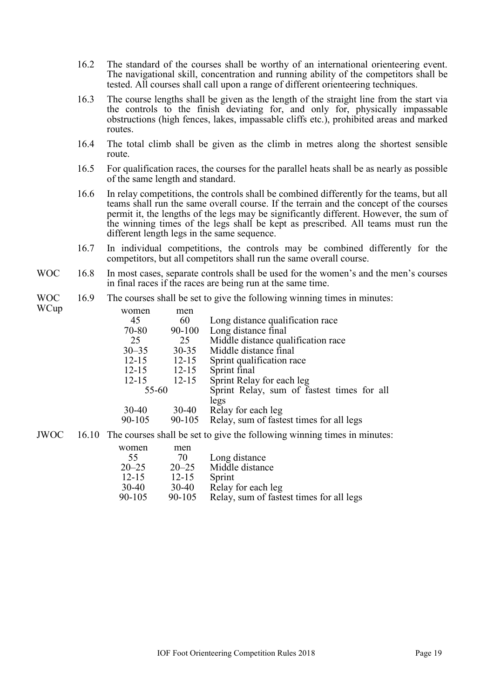- 16.2 The standard of the courses shall be worthy of an international orienteering event. The navigational skill, concentration and running ability of the competitors shall be tested. All courses shall call upon a range of different orienteering techniques.
- 16.3 The course lengths shall be given as the length of the straight line from the start via the controls to the finish deviating for, and only for, physically impassable obstructions (high fences, lakes, impassable cliffs etc.), prohibited areas and marked routes.
- 16.4 The total climb shall be given as the climb in metres along the shortest sensible route.
- 16.5 For qualification races, the courses for the parallel heats shall be as nearly as possible of the same length and standard.
- 16.6 In relay competitions, the controls shall be combined differently for the teams, but all teams shall run the same overall course. If the terrain and the concept of the courses permit it, the lengths of the legs may be significantly different. However, the sum of the winning times of the legs shall be kept as prescribed. All teams must run the different length legs in the same sequence.
- 16.7 In individual competitions, the controls may be combined differently for the competitors, but all competitors shall run the same overall course.
- WOC 16.8 In most cases, separate controls shall be used for the women's and the men's courses in final races if the races are being run at the same time.

#### WOC 16.9 The courses shall be set to give the following winning times in minutes:

WCup

| women     | men       |                                                    |
|-----------|-----------|----------------------------------------------------|
| 45        | 60        | Long distance qualification race                   |
| 70-80     | 90-100    | Long distance final                                |
| 25        | 25        | Middle distance qualification race                 |
| $30 - 35$ | $30 - 35$ | Middle distance final                              |
| $12 - 15$ | $12 - 15$ | Sprint qualification race                          |
| $12 - 15$ | $12 - 15$ | Sprint final                                       |
| $12 - 15$ | $12 - 15$ | Sprint Relay for each leg                          |
| 55-60     |           | Sprint Relay, sum of fastest times for all<br>legs |
| $30-40$   | $30 - 40$ | Relay for each leg                                 |
| 90-105    | 90-105    | Relay, sum of fastest times for all legs           |
|           |           |                                                    |

#### JWOC 16.10 The courses shall be set to give the following winning times in minutes:

| women      | men       |                                          |
|------------|-----------|------------------------------------------|
| 55         | 70        | Long distance                            |
| $20 - 25$  | $20 - 25$ | Middle distance                          |
| $12 - 15$  | $12 - 15$ | Sprint                                   |
| $30-40$    | $30-40$   | Relay for each leg                       |
| $90 - 105$ | 90-105    | Relay, sum of fastest times for all legs |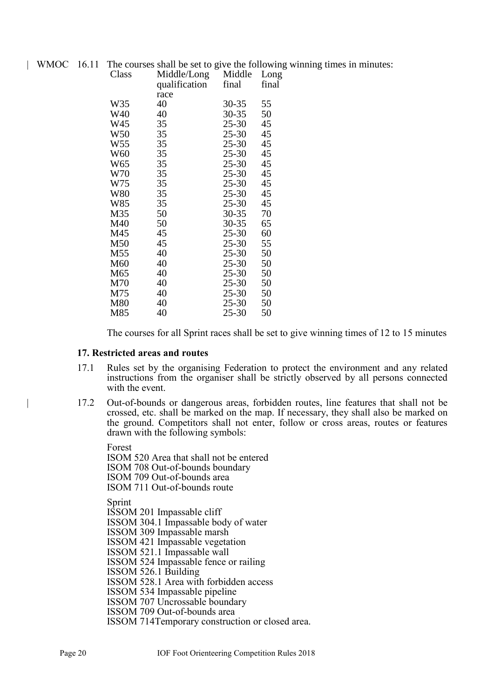|  | WMOC 16.11 The courses shall be set to give the following winning times in minutes: |  |  |  |  |
|--|-------------------------------------------------------------------------------------|--|--|--|--|
|  |                                                                                     |  |  |  |  |

| Class<br>Middle/Long<br>qualification |      | Middle<br>final | Long<br>final |
|---------------------------------------|------|-----------------|---------------|
|                                       | race |                 |               |
| W35                                   | 40   | 30-35           | 55            |
| W40                                   | 40   | $30 - 35$       | 50            |
| W45                                   | 35   | $25 - 30$       | 45            |
| W50                                   | 35   | $25 - 30$       | 45            |
| W55                                   | 35   | $25 - 30$       | 45            |
| W60                                   | 35   | $25 - 30$       | 45            |
| W65                                   | 35   | $25 - 30$       | 45            |
| W70                                   | 35   | $25 - 30$       | 45            |
| W75                                   | 35   | $25 - 30$       | 45            |
| W80                                   | 35   | $25 - 30$       | 45            |
| W85                                   | 35   | 25-30           | 45            |
| M35                                   | 50   | 30-35           | 70            |
| M40                                   | 50   | 30-35           | 65            |
| M45                                   | 45   | 25-30           | 60            |
| M50                                   | 45   | 25-30           | 55            |
| M55                                   | 40   | 25-30           | 50            |
| M60                                   | 40   | 25-30           | 50            |
| M65                                   | 40   | 25-30           | 50            |
| M70                                   | 40   | 25-30           | 50            |
| M75                                   | 40   | $25 - 30$       | 50            |
| M80                                   | 40   | 25-30           | 50            |
| M85                                   | 40   | 25-30           | 50            |
|                                       |      |                 |               |

The courses for all Sprint races shall be set to give winning times of 12 to 15 minutes

#### <span id="page-19-0"></span>**17. Restricted areas and routes**

- 17.1 Rules set by the organising Federation to protect the environment and any related instructions from the organiser shall be strictly observed by all persons connected with the event.
- | 17.2 Out-of-bounds or dangerous areas, forbidden routes, line features that shall not be crossed, etc. shall be marked on the map. If necessary, they shall also be marked on the ground. Competitors shall not enter, follow or cross areas, routes or features drawn with the following symbols:

Forest ISOM 520 Area that shall not be entered ISOM 708 Out-of-bounds boundary ISOM 709 Out-of-bounds area ISOM 711 Out-of-bounds route

Sprint

ISSOM 201 Impassable cliff ISSOM 304.1 Impassable body of water

ISSOM 309 Impassable marsh

ISSOM 421 Impassable vegetation

ISSOM 521.1 Impassable wall

ISSOM 524 Impassable fence or railing

ISSOM 526.1 Building

ISSOM 528.1 Area with forbidden access

ISSOM 534 Impassable pipeline

ISSOM 707 Uncrossable boundary

ISSOM 709 Out-of-bounds area

ISSOM 714Temporary construction or closed area.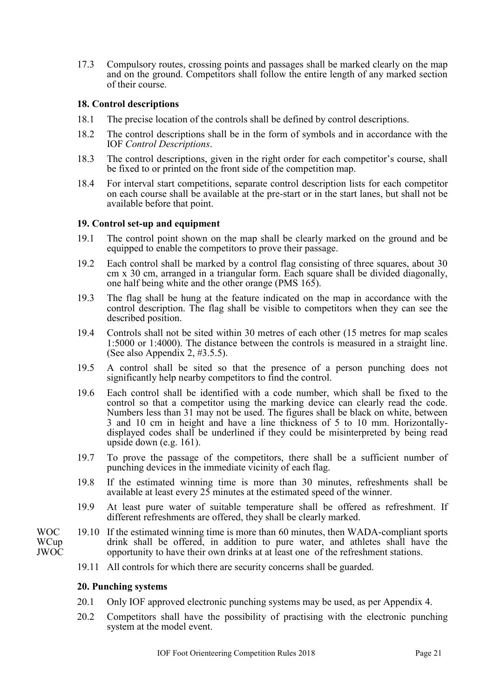17.3 Compulsory routes, crossing points and passages shall be marked clearly on the map and on the ground. Competitors shall follow the entire length of any marked section of their course.

# <span id="page-20-0"></span>**18. Control descriptions**

- 18.1 The precise location of the controls shall be defined by control descriptions.
- 18.2 The control descriptions shall be in the form of symbols and in accordance with the IOF *Control Descriptions*.
- 18.3 The control descriptions, given in the right order for each competitor's course, shall be fixed to or printed on the front side of the competition map.
- 18.4 For interval start competitions, separate control description lists for each competitor on each course shall be available at the pre-start or in the start lanes, but shall not be available before that point.

### <span id="page-20-1"></span>**19. Control set-up and equipment**

- 19.1 The control point shown on the map shall be clearly marked on the ground and be equipped to enable the competitors to prove their passage.
- 19.2 Each control shall be marked by a control flag consisting of three squares, about 30 cm x 30 cm, arranged in a triangular form. Each square shall be divided diagonally, one half being white and the other orange (PMS 165).
- 19.3 The flag shall be hung at the feature indicated on the map in accordance with the control description. The flag shall be visible to competitors when they can see the described position.
- 19.4 Controls shall not be sited within 30 metres of each other (15 metres for map scales 1:5000 or 1:4000). The distance between the controls is measured in a straight line. (See also Appendix 2, #3.5.5).
- 19.5 A control shall be sited so that the presence of a person punching does not significantly help nearby competitors to find the control.
- 19.6 Each control shall be identified with a code number, which shall be fixed to the control so that a competitor using the marking device can clearly read the code. Numbers less than 31 may not be used. The figures shall be black on white, between 3 and 10 cm in height and have a line thickness of 5 to 10 mm. Horizontallydisplayed codes shall be underlined if they could be misinterpreted by being read upside down (e.g. 161).
- 19.7 To prove the passage of the competitors, there shall be a sufficient number of punching devices in the immediate vicinity of each flag.
- 19.8 If the estimated winning time is more than 30 minutes, refreshments shall be available at least every 25 minutes at the estimated speed of the winner.
- 19.9 At least pure water of suitable temperature shall be offered as refreshment. If different refreshments are offered, they shall be clearly marked.
- WOC 19.10 If the estimated winning time is more than 60 minutes, then WADA-compliant sports drink shall be offered, in addition to pure water, and athletes shall have the opportunity to have their own drinks at at least one of the refreshment stations.
	- 19.11 All controls for which there are security concerns shall be guarded.

#### <span id="page-20-2"></span>**20. Punching systems**

- 20.1 Only IOF approved electronic punching systems may be used, as per Appendix 4.
- 20.2 Competitors shall have the possibility of practising with the electronic punching system at the model event.

**WCup** JWOC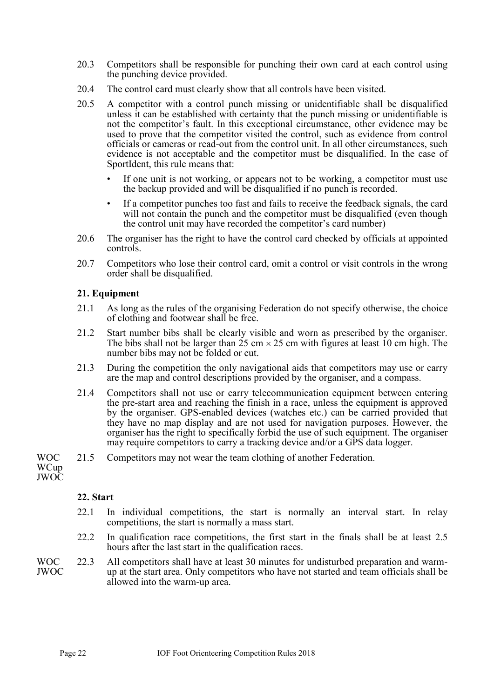- 20.3 Competitors shall be responsible for punching their own card at each control using the punching device provided.
- 20.4 The control card must clearly show that all controls have been visited.
- 20.5 A competitor with a control punch missing or unidentifiable shall be disqualified unless it can be established with certainty that the punch missing or unidentifiable is not the competitor's fault. In this exceptional circumstance, other evidence may be used to prove that the competitor visited the control, such as evidence from control officials or cameras or read-out from the control unit. In all other circumstances, such evidence is not acceptable and the competitor must be disqualified. In the case of SportIdent, this rule means that:
	- If one unit is not working, or appears not to be working, a competitor must use the backup provided and will be disqualified if no punch is recorded.
	- If a competitor punches too fast and fails to receive the feedback signals, the card will not contain the punch and the competitor must be disqualified (even though the control unit may have recorded the competitor's card number)
- 20.6 The organiser has the right to have the control card checked by officials at appointed controls.
- 20.7 Competitors who lose their control card, omit a control or visit controls in the wrong order shall be disqualified.

# <span id="page-21-0"></span>**21. Equipment**

- 21.1 As long as the rules of the organising Federation do not specify otherwise, the choice of clothing and footwear shall be free.
- 21.2 Start number bibs shall be clearly visible and worn as prescribed by the organiser. The bibs shall not be larger than  $25 \text{ cm} \times 25 \text{ cm}$  with figures at least 10 cm high. The number bibs may not be folded or cut.
- 21.3 During the competition the only navigational aids that competitors may use or carry are the map and control descriptions provided by the organiser, and a compass.
- 21.4 Competitors shall not use or carry telecommunication equipment between entering the pre-start area and reaching the finish in a race, unless the equipment is approved by the organiser. GPS-enabled devices (watches etc.) can be carried provided that they have no map display and are not used for navigation purposes. However, the organiser has the right to specifically forbid the use of such equipment. The organiser may require competitors to carry a tracking device and/or a GPS data logger.
- WOC 21.5 Competitors may not wear the team clothing of another Federation.

WCup JWOC

# <span id="page-21-1"></span>**22. Start**

- 22.1 In individual competitions, the start is normally an interval start. In relay competitions, the start is normally a mass start.
- 22.2 In qualification race competitions, the first start in the finals shall be at least 2.5 hours after the last start in the qualification races.

WOC JWOC 22.3 All competitors shall have at least 30 minutes for undisturbed preparation and warmup at the start area. Only competitors who have not started and team officials shall be allowed into the warm-up area.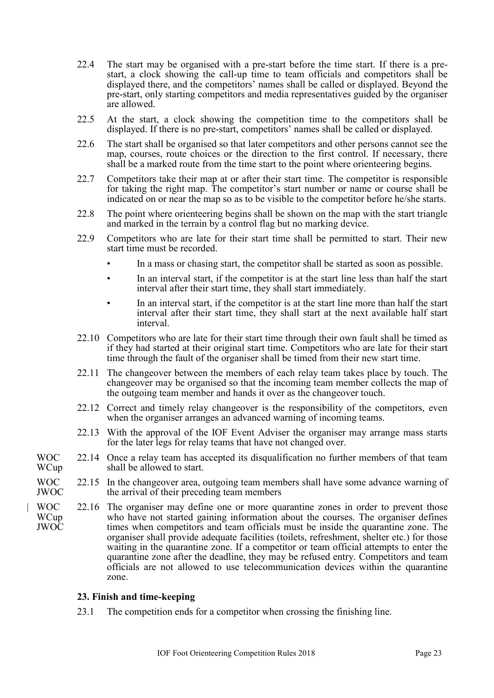- 22.4 The start may be organised with a pre-start before the time start. If there is a prestart, a clock showing the call-up time to team officials and competitors shall be displayed there, and the competitors' names shall be called or displayed. Beyond the pre-start, only starting competitors and media representatives guided by the organiser are allowed.
- 22.5 At the start, a clock showing the competition time to the competitors shall be displayed. If there is no pre-start, competitors' names shall be called or displayed.
- 22.6 The start shall be organised so that later competitors and other persons cannot see the map, courses, route choices or the direction to the first control. If necessary, there shall be a marked route from the time start to the point where orienteering begins.
- 22.7 Competitors take their map at or after their start time. The competitor is responsible for taking the right map. The competitor's start number or name or course shall be indicated on or near the map so as to be visible to the competitor before he/she starts.
- 22.8 The point where orienteering begins shall be shown on the map with the start triangle and marked in the terrain by a control flag but no marking device.
- 22.9 Competitors who are late for their start time shall be permitted to start. Their new start time must be recorded.
	- In a mass or chasing start, the competitor shall be started as soon as possible.
	- In an interval start, if the competitor is at the start line less than half the start interval after their start time, they shall start immediately.
	- In an interval start, if the competitor is at the start line more than half the start interval after their start time, they shall start at the next available half start interval.
- 22.10 Competitors who are late for their start time through their own fault shall be timed as if they had started at their original start time. Competitors who are late for their start time through the fault of the organiser shall be timed from their new start time.
- 22.11 The changeover between the members of each relay team takes place by touch. The changeover may be organised so that the incoming team member collects the map of the outgoing team member and hands it over as the changeover touch.
- 22.12 Correct and timely relay changeover is the responsibility of the competitors, even when the organiser arranges an advanced warning of incoming teams.
- 22.13 With the approval of the IOF Event Adviser the organiser may arrange mass starts for the later legs for relay teams that have not changed over.
- WOC **WCup** 22.14 Once a relay team has accepted its disqualification no further members of that team shall be allowed to start.
- WOC JWOC 22.15 In the changeover area, outgoing team members shall have some advance warning of the arrival of their preceding team members
- | WOC WCup JWOC 22.16 The organiser may define one or more quarantine zones in order to prevent those who have not started gaining information about the courses. The organiser defines times when competitors and team officials must be inside the quarantine zone. The organiser shall provide adequate facilities (toilets, refreshment, shelter etc.) for those waiting in the quarantine zone. If a competitor or team official attempts to enter the quarantine zone after the deadline, they may be refused entry. Competitors and team officials are not allowed to use telecommunication devices within the quarantine zone.

#### <span id="page-22-0"></span>**23. Finish and time-keeping**

23.1 The competition ends for a competitor when crossing the finishing line.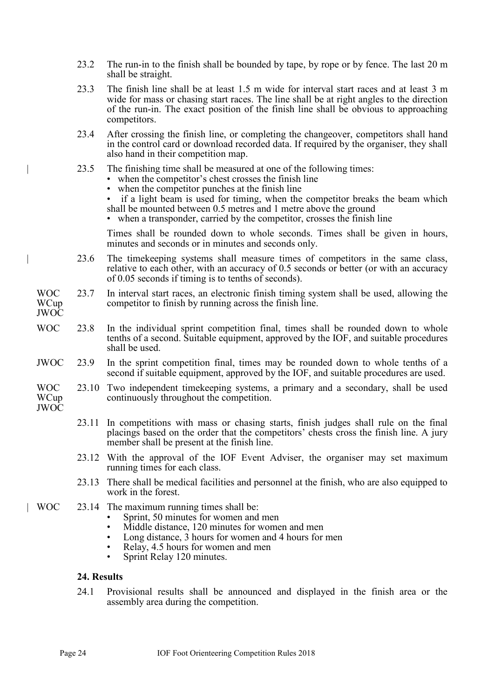- 23.2 The run-in to the finish shall be bounded by tape, by rope or by fence. The last 20 m shall be straight.
- 23.3 The finish line shall be at least 1.5 m wide for interval start races and at least 3 m wide for mass or chasing start races. The line shall be at right angles to the direction of the run-in. The exact position of the finish line shall be obvious to approaching competitors.
- 23.4 After crossing the finish line, or completing the changeover, competitors shall hand in the control card or download recorded data. If required by the organiser, they shall also hand in their competition map.
- 23.5 The finishing time shall be measured at one of the following times:
	- when the competitor's chest crosses the finish line
	- when the competitor punches at the finish line
	- if a light beam is used for timing, when the competitor breaks the beam which shall be mounted between 0.5 metres and 1 metre above the ground
	- when a transponder, carried by the competitor, crosses the finish line

Times shall be rounded down to whole seconds. Times shall be given in hours, minutes and seconds or in minutes and seconds only.

- | 23.6 The timekeeping systems shall measure times of competitors in the same class, relative to each other, with an accuracy of 0.5 seconds or better (or with an accuracy of 0.05 seconds if timing is to tenths of seconds).
- WOC WCup JWOC 23.7 In interval start races, an electronic finish timing system shall be used, allowing the competitor to finish by running across the finish line.
- WOC 23.8 In the individual sprint competition final, times shall be rounded down to whole tenths of a second. Suitable equipment, approved by the IOF, and suitable procedures shall be used.
- JWOC 23.9 In the sprint competition final, times may be rounded down to whole tenths of a second if suitable equipment, approved by the IOF, and suitable procedures are used.
- WOC **WCup** 23.10 Two independent timekeeping systems, a primary and a secondary, shall be used continuously throughout the competition.
- JWOC
- 23.11 In competitions with mass or chasing starts, finish judges shall rule on the final placings based on the order that the competitors' chests cross the finish line. A jury member shall be present at the finish line.
- 23.12 With the approval of the IOF Event Adviser, the organiser may set maximum running times for each class.
- 23.13 There shall be medical facilities and personnel at the finish, who are also equipped to work in the forest.
- | WOC 23.14 The maximum running times shall be:
	- Sprint, 50 minutes for women and men
	- Middle distance, 120 minutes for women and men
	- Long distance, 3 hours for women and 4 hours for men
	- Relay, 4.5 hours for women and men
	- Sprint Relay 120 minutes.

#### <span id="page-23-0"></span>**24. Results**

24.1 Provisional results shall be announced and displayed in the finish area or the assembly area during the competition.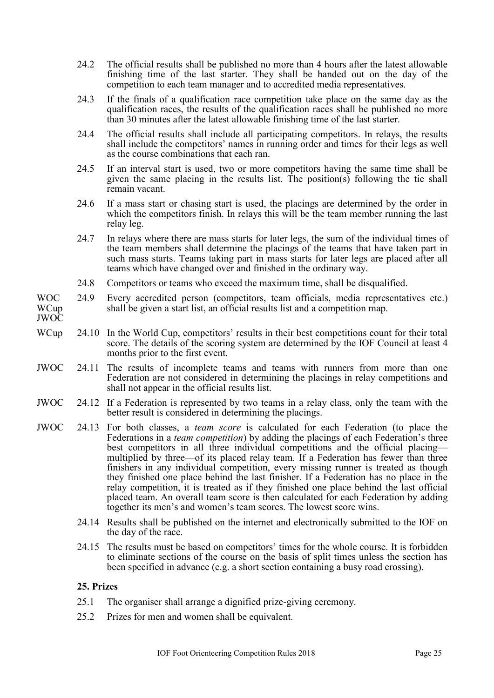- 24.2 The official results shall be published no more than 4 hours after the latest allowable finishing time of the last starter. They shall be handed out on the day of the competition to each team manager and to accredited media representatives.
- 24.3 If the finals of a qualification race competition take place on the same day as the qualification races, the results of the qualification races shall be published no more than 30 minutes after the latest allowable finishing time of the last starter.
- 24.4 The official results shall include all participating competitors. In relays, the results shall include the competitors' names in running order and times for their legs as well as the course combinations that each ran.
- 24.5 If an interval start is used, two or more competitors having the same time shall be given the same placing in the results list. The position(s) following the tie shall remain vacant.
- 24.6 If a mass start or chasing start is used, the placings are determined by the order in which the competitors finish. In relays this will be the team member running the last relay leg.
- 24.7 In relays where there are mass starts for later legs, the sum of the individual times of the team members shall determine the placings of the teams that have taken part in such mass starts. Teams taking part in mass starts for later legs are placed after all teams which have changed over and finished in the ordinary way.
- 24.8 Competitors or teams who exceed the maximum time, shall be disqualified.
- WOC WCup 24.9 Every accredited person (competitors, team officials, media representatives etc.) shall be given a start list, an official results list and a competition map.
- JWOC
- WCup 24.10 In the World Cup, competitors' results in their best competitions count for their total score. The details of the scoring system are determined by the IOF Council at least 4 months prior to the first event.
- JWOC 24.11 The results of incomplete teams and teams with runners from more than one Federation are not considered in determining the placings in relay competitions and shall not appear in the official results list.
- JWOC 24.12 If a Federation is represented by two teams in a relay class, only the team with the better result is considered in determining the placings.
- JWOC 24.13 For both classes, a *team score* is calculated for each Federation (to place the Federations in a *team competition*) by adding the placings of each Federation's three best competitors in all three individual competitions and the official placing multiplied by three—of its placed relay team. If a Federation has fewer than three finishers in any individual competition, every missing runner is treated as though they finished one place behind the last finisher. If a Federation has no place in the relay competition, it is treated as if they finished one place behind the last official placed team. An overall team score is then calculated for each Federation by adding together its men's and women's team scores. The lowest score wins.
	- 24.14 Results shall be published on the internet and electronically submitted to the IOF on the day of the race.
	- 24.15 The results must be based on competitors' times for the whole course. It is forbidden to eliminate sections of the course on the basis of split times unless the section has been specified in advance (e.g. a short section containing a busy road crossing).

# <span id="page-24-0"></span>**25. Prizes**

- 25.1 The organiser shall arrange a dignified prize-giving ceremony.
- 25.2 Prizes for men and women shall be equivalent.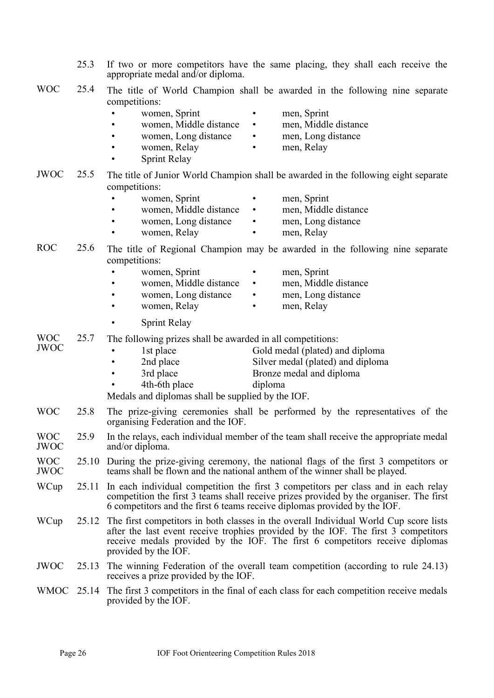- 25.3 If two or more competitors have the same placing, they shall each receive the appropriate medal and/or diploma.
- WOC 25.4 The title of World Champion shall be awarded in the following nine separate competitions:

|                           |       | women, Sprint<br>men, Sprint<br>٠<br>women, Middle distance<br>men, Middle distance<br>$\bullet$<br>men, Long distance<br>women, Long distance<br>women, Relay<br>men, Relay<br><b>Sprint Relay</b>                                                                                       |
|---------------------------|-------|-------------------------------------------------------------------------------------------------------------------------------------------------------------------------------------------------------------------------------------------------------------------------------------------|
| <b>JWOC</b>               | 25.5  | The title of Junior World Champion shall be awarded in the following eight separate<br>competitions:                                                                                                                                                                                      |
|                           |       | women, Sprint<br>men, Sprint<br>women, Middle distance<br>men, Middle distance<br>$\bullet$<br>women, Long distance<br>men, Long distance<br>$\bullet$<br>women, Relay<br>men, Relay                                                                                                      |
| <b>ROC</b>                | 25.6  | The title of Regional Champion may be awarded in the following nine separate<br>competitions:<br>women, Sprint<br>men, Sprint<br>women, Middle distance<br>men, Middle distance<br>$\bullet$<br>men, Long distance<br>women, Long distance<br>٠<br>women, Relay<br>men, Relay             |
|                           |       | Sprint Relay                                                                                                                                                                                                                                                                              |
| <b>WOC</b><br><b>JWOC</b> | 25.7  | The following prizes shall be awarded in all competitions:<br>Gold medal (plated) and diploma<br>1st place<br>Silver medal (plated) and diploma<br>2nd place<br>3rd place<br>Bronze medal and diploma<br>4th-6th place<br>diploma<br>Medals and diplomas shall be supplied by the IOF.    |
| <b>WOC</b>                | 25.8  | The prize-giving ceremonies shall be performed by the representatives of the<br>organising Federation and the IOF.                                                                                                                                                                        |
| <b>WOC</b><br><b>JWOC</b> | 25.9  | In the relays, each individual member of the team shall receive the appropriate medal<br>and/or diploma.                                                                                                                                                                                  |
| <b>WOC</b><br><b>JWOC</b> | 25.10 | During the prize-giving ceremony, the national flags of the first 3 competitors or<br>teams shall be flown and the national anthem of the winner shall be played.                                                                                                                         |
| WCup                      | 25.11 | In each individual competition the first 3 competitors per class and in each relay<br>competition the first 3 teams shall receive prizes provided by the organiser. The first<br>6 competitors and the first 6 teams receive diplomas provided by the IOF.                                |
| WCup                      |       | 25.12 The first competitors in both classes in the overall Individual World Cup score lists<br>after the last event receive trophies provided by the IOF. The first 3 competitors<br>receive medals provided by the IOF. The first 6 competitors receive diplomas<br>provided by the IOF. |
| <b>JWOC</b>               | 25.13 | The winning Federation of the overall team competition (according to rule 24.13)<br>receives a prize provided by the IOF.                                                                                                                                                                 |
| <b>WMOC</b>               |       | 25.14 The first 3 competitors in the final of each class for each competition receive medals                                                                                                                                                                                              |

provided by the IOF.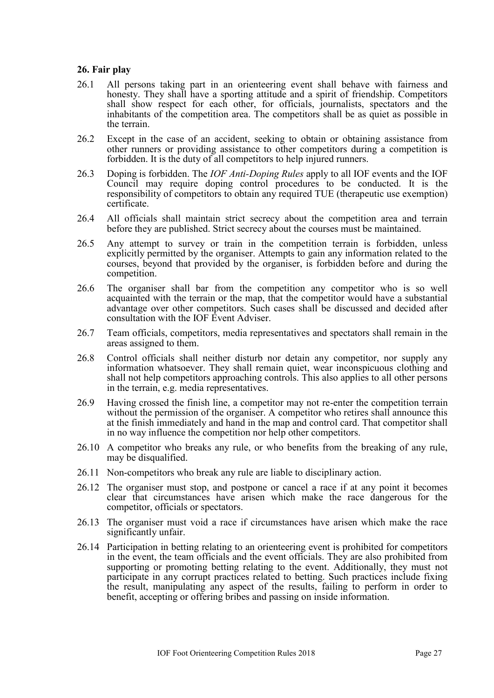# <span id="page-26-0"></span>**26. Fair play**

- 26.1 All persons taking part in an orienteering event shall behave with fairness and honesty. They shall have a sporting attitude and a spirit of friendship. Competitors shall show respect for each other, for officials, journalists, spectators and the inhabitants of the competition area. The competitors shall be as quiet as possible in the terrain.
- 26.2 Except in the case of an accident, seeking to obtain or obtaining assistance from other runners or providing assistance to other competitors during a competition is forbidden. It is the duty of all competitors to help injured runners.
- 26.3 Doping is forbidden. The *IOF Anti-Doping Rules* apply to all IOF events and the IOF Council may require doping control procedures to be conducted. It is the responsibility of competitors to obtain any required TUE (therapeutic use exemption) certificate.
- 26.4 All officials shall maintain strict secrecy about the competition area and terrain before they are published. Strict secrecy about the courses must be maintained.
- 26.5 Any attempt to survey or train in the competition terrain is forbidden, unless explicitly permitted by the organiser. Attempts to gain any information related to the courses, beyond that provided by the organiser, is forbidden before and during the competition.
- 26.6 The organiser shall bar from the competition any competitor who is so well acquainted with the terrain or the map, that the competitor would have a substantial advantage over other competitors. Such cases shall be discussed and decided after consultation with the IOF Event Adviser.
- 26.7 Team officials, competitors, media representatives and spectators shall remain in the areas assigned to them.
- 26.8 Control officials shall neither disturb nor detain any competitor, nor supply any information whatsoever. They shall remain quiet, wear inconspicuous clothing and shall not help competitors approaching controls. This also applies to all other persons in the terrain, e.g. media representatives.
- 26.9 Having crossed the finish line, a competitor may not re-enter the competition terrain without the permission of the organiser. A competitor who retires shall announce this at the finish immediately and hand in the map and control card. That competitor shall in no way influence the competition nor help other competitors.
- 26.10 A competitor who breaks any rule, or who benefits from the breaking of any rule, may be disqualified.
- 26.11 Non-competitors who break any rule are liable to disciplinary action.
- 26.12 The organiser must stop, and postpone or cancel a race if at any point it becomes clear that circumstances have arisen which make the race dangerous for the competitor, officials or spectators.
- 26.13 The organiser must void a race if circumstances have arisen which make the race significantly unfair.
- 26.14 Participation in betting relating to an orienteering event is prohibited for competitors in the event, the team officials and the event officials. They are also prohibited from supporting or promoting betting relating to the event. Additionally, they must not participate in any corrupt practices related to betting. Such practices include fixing the result, manipulating any aspect of the results, failing to perform in order to benefit, accepting or offering bribes and passing on inside information.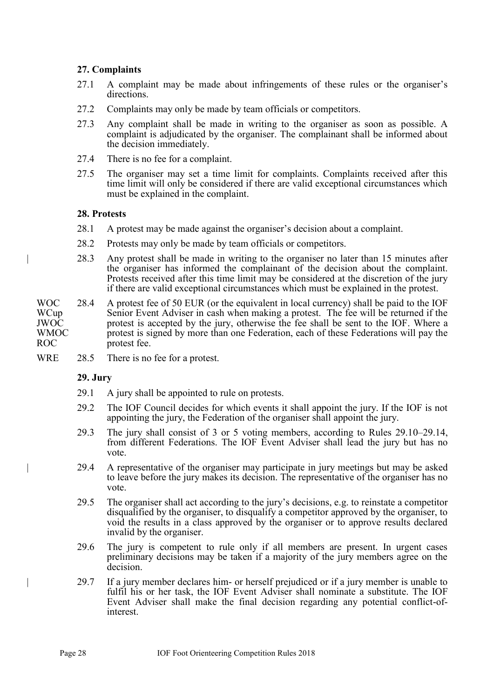# <span id="page-27-0"></span>**27. Complaints**

- 27.1 A complaint may be made about infringements of these rules or the organiser's directions.
- 27.2 Complaints may only be made by team officials or competitors.
- 27.3 Any complaint shall be made in writing to the organiser as soon as possible. A complaint is adjudicated by the organiser. The complainant shall be informed about the decision immediately.
- 27.4 There is no fee for a complaint.
- 27.5 The organiser may set a time limit for complaints. Complaints received after this time limit will only be considered if there are valid exceptional circumstances which must be explained in the complaint.

### <span id="page-27-1"></span>**28. Protests**

- 28.1 A protest may be made against the organiser's decision about a complaint.
- 28.2 Protests may only be made by team officials or competitors.
- | 28.3 Any protest shall be made in writing to the organiser no later than 15 minutes after the organiser has informed the complainant of the decision about the complaint. Protests received after this time limit may be considered at the discretion of the jury if there are valid exceptional circumstances which must be explained in the protest.
- WOC WCup JWOC WMOC ROC 28.4 A protest fee of 50 EUR (or the equivalent in local currency) shall be paid to the IOF Senior Event Adviser in cash when making a protest. The fee will be returned if the protest is accepted by the jury, otherwise the fee shall be sent to the IOF. Where a protest is signed by more than one Federation, each of these Federations will pay the protest fee.
- WRE 28.5 There is no fee for a protest.

#### <span id="page-27-2"></span>**29. Jury**

- 29.1 A jury shall be appointed to rule on protests.
- 29.2 The IOF Council decides for which events it shall appoint the jury. If the IOF is not appointing the jury, the Federation of the organiser shall appoint the jury.
- 29.3 The jury shall consist of 3 or 5 voting members, according to Rules 29.10–29.14, from different Federations. The IOF Event Adviser shall lead the jury but has no vote.
- | 29.4 A representative of the organiser may participate in jury meetings but may be asked to leave before the jury makes its decision. The representative of the organiser has no vote.
- 29.5 The organiser shall act according to the jury's decisions, e.g. to reinstate a competitor disqualified by the organiser, to disqualify a competitor approved by the organiser, to void the results in a class approved by the organiser or to approve results declared invalid by the organiser.
- 29.6 The jury is competent to rule only if all members are present. In urgent cases preliminary decisions may be taken if a majority of the jury members agree on the decision.
- | 29.7 If a jury member declares him- or herself prejudiced or if a jury member is unable to fulfil his or her task, the IOF Event Adviser shall nominate a substitute. The IOF Event Adviser shall make the final decision regarding any potential conflict-ofinterest.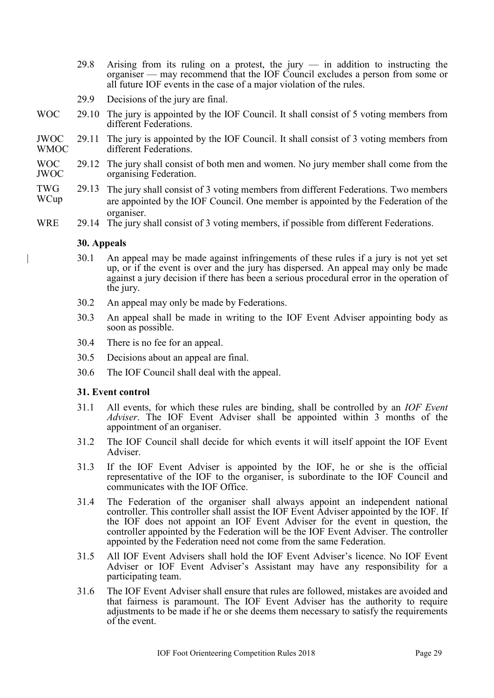- 29.8 Arising from its ruling on a protest, the jury in addition to instructing the organiser — may recommend that the IOF Council excludes a person from some or all future IOF events in the case of a major violation of the rules.
- 29.9 Decisions of the jury are final.
- WOC 29.10 The jury is appointed by the IOF Council. It shall consist of 5 voting members from different Federations.
- JWOC WMOC 29.11 The jury is appointed by the IOF Council. It shall consist of 3 voting members from different Federations.
- WOC JWOC 29.12 The jury shall consist of both men and women. No jury member shall come from the organising Federation.
- TWG WCup 29.13 The jury shall consist of 3 voting members from different Federations. Two members are appointed by the IOF Council. One member is appointed by the Federation of the organiser.
- WRE 29.14 The jury shall consist of 3 voting members, if possible from different Federations.

### <span id="page-28-0"></span>**30. Appeals**

- | 30.1 An appeal may be made against infringements of these rules if a jury is not yet set up, or if the event is over and the jury has dispersed. An appeal may only be made against a jury decision if there has been a serious procedural error in the operation of the jury.
- 30.2 An appeal may only be made by Federations.
- 30.3 An appeal shall be made in writing to the IOF Event Adviser appointing body as soon as possible.
- 30.4 There is no fee for an appeal.
- 30.5 Decisions about an appeal are final.
- 30.6 The IOF Council shall deal with the appeal.

# <span id="page-28-1"></span>**31. Event control**

- 31.1 All events, for which these rules are binding, shall be controlled by an *IOF Event Adviser*. The IOF Event Adviser shall be appointed within 3 months of the appointment of an organiser.
- 31.2 The IOF Council shall decide for which events it will itself appoint the IOF Event Adviser.
- 31.3 If the IOF Event Adviser is appointed by the IOF, he or she is the official representative of the IOF to the organiser, is subordinate to the IOF Council and communicates with the IOF Office.
- 31.4 The Federation of the organiser shall always appoint an independent national controller. This controller shall assist the IOF Event Adviser appointed by the IOF. If the IOF does not appoint an IOF Event Adviser for the event in question, the controller appointed by the Federation will be the IOF Event Adviser. The controller appointed by the Federation need not come from the same Federation.
- 31.5 All IOF Event Advisers shall hold the IOF Event Adviser's licence. No IOF Event Adviser or IOF Event Adviser's Assistant may have any responsibility for a participating team.
- 31.6 The IOF Event Adviser shall ensure that rules are followed, mistakes are avoided and that fairness is paramount. The IOF Event Adviser has the authority to require adjustments to be made if he or she deems them necessary to satisfy the requirements of the event.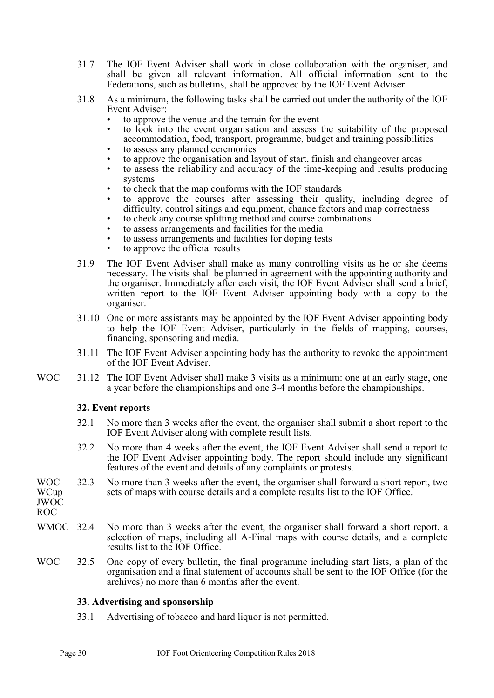- 31.7 The IOF Event Adviser shall work in close collaboration with the organiser, and shall be given all relevant information. All official information sent to the Federations, such as bulletins, shall be approved by the IOF Event Adviser.
- 31.8 As a minimum, the following tasks shall be carried out under the authority of the IOF Event Adviser:
	- to approve the venue and the terrain for the event
	- to look into the event organisation and assess the suitability of the proposed accommodation, food, transport, programme, budget and training possibilities
	- to assess any planned ceremonies
	- to approve the organisation and layout of start, finish and changeover areas
	- to assess the reliability and accuracy of the time-keeping and results producing systems
	- to check that the map conforms with the IOF standards
	- to approve the courses after assessing their quality, including degree of difficulty, control sitings and equipment, chance factors and map correctness
	- to check any course splitting method and course combinations
	- to assess arrangements and facilities for the media
	- to assess arrangements and facilities for doping tests
	- to approve the official results
- 31.9 The IOF Event Adviser shall make as many controlling visits as he or she deems necessary. The visits shall be planned in agreement with the appointing authority and the organiser. Immediately after each visit, the IOF Event Adviser shall send a brief, written report to the IOF Event Adviser appointing body with a copy to the organiser.
- 31.10 One or more assistants may be appointed by the IOF Event Adviser appointing body to help the IOF Event Adviser, particularly in the fields of mapping, courses, financing, sponsoring and media.
- 31.11 The IOF Event Adviser appointing body has the authority to revoke the appointment of the IOF Event Adviser.
- WOC 31.12 The IOF Event Adviser shall make 3 visits as a minimum: one at an early stage, one a year before the championships and one 3-4 months before the championships.

#### <span id="page-29-0"></span>**32. Event reports**

- 32.1 No more than 3 weeks after the event, the organiser shall submit a short report to the IOF Event Adviser along with complete result lists.
- 32.2 No more than 4 weeks after the event, the IOF Event Adviser shall send a report to the IOF Event Adviser appointing body. The report should include any significant features of the event and details of any complaints or protests.
- WOC **WCup** JWOC 32.3 No more than 3 weeks after the event, the organiser shall forward a short report, two sets of maps with course details and a complete results list to the IOF Office.

ROC

- WMOC 32.4 No more than 3 weeks after the event, the organiser shall forward a short report, a selection of maps, including all A-Final maps with course details, and a complete results list to the IOF Office.
- WOC 32.5 One copy of every bulletin, the final programme including start lists, a plan of the organisation and a final statement of accounts shall be sent to the IOF Office (for the archives) no more than 6 months after the event.

#### <span id="page-29-1"></span>**33. Advertising and sponsorship**

33.1 Advertising of tobacco and hard liquor is not permitted.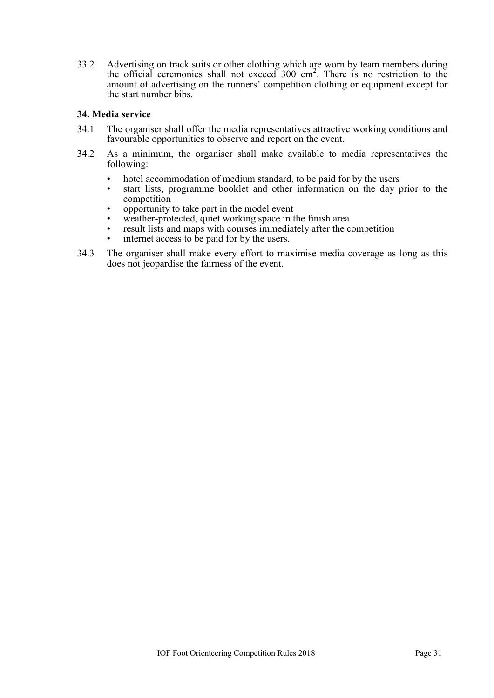33.2 Advertising on track suits or other clothing which are worn by team members during the official ceremonies shall not exceed 300 cm<sup>2</sup> . There is no restriction to the amount of advertising on the runners' competition clothing or equipment except for the start number bibs.

# <span id="page-30-0"></span>**34. Media service**

- 34.1 The organiser shall offer the media representatives attractive working conditions and favourable opportunities to observe and report on the event.
- 34.2 As a minimum, the organiser shall make available to media representatives the following:
	- hotel accommodation of medium standard, to be paid for by the users
	- start lists, programme booklet and other information on the day prior to the competition
	- opportunity to take part in the model event
	- weather-protected, quiet working space in the finish area
	- result lists and maps with courses immediately after the competition
	- internet access to be paid for by the users.
- 34.3 The organiser shall make every effort to maximise media coverage as long as this does not jeopardise the fairness of the event.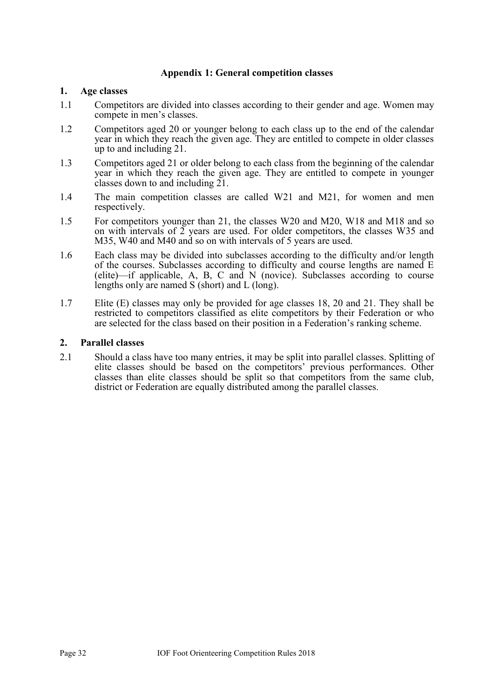# <span id="page-31-0"></span>**Appendix 1: General competition classes**

### **1. Age classes**

- 1.1 Competitors are divided into classes according to their gender and age. Women may compete in men's classes.
- 1.2 Competitors aged 20 or younger belong to each class up to the end of the calendar year in which they reach the given age. They are entitled to compete in older classes up to and including 21.
- 1.3 Competitors aged 21 or older belong to each class from the beginning of the calendar year in which they reach the given age. They are entitled to compete in younger classes down to and including 21.
- 1.4 The main competition classes are called W21 and M21, for women and men respectively.
- 1.5 For competitors younger than 21, the classes W20 and M20, W18 and M18 and so on with intervals of  $\tilde{2}$  years are used. For older competitors, the classes W35 and M35, W40 and M40 and so on with intervals of 5 years are used.
- 1.6 Each class may be divided into subclasses according to the difficulty and/or length of the courses. Subclasses according to difficulty and course lengths are named E (elite)—if applicable, A, B, C and N (novice). Subclasses according to course lengths only are named S (short) and L (long).
- 1.7 Elite (E) classes may only be provided for age classes 18, 20 and 21. They shall be restricted to competitors classified as elite competitors by their Federation or who are selected for the class based on their position in a Federation's ranking scheme.

### **2. Parallel classes**

2.1 Should a class have too many entries, it may be split into parallel classes. Splitting of elite classes should be based on the competitors' previous performances. Other classes than elite classes should be split so that competitors from the same club, district or Federation are equally distributed among the parallel classes.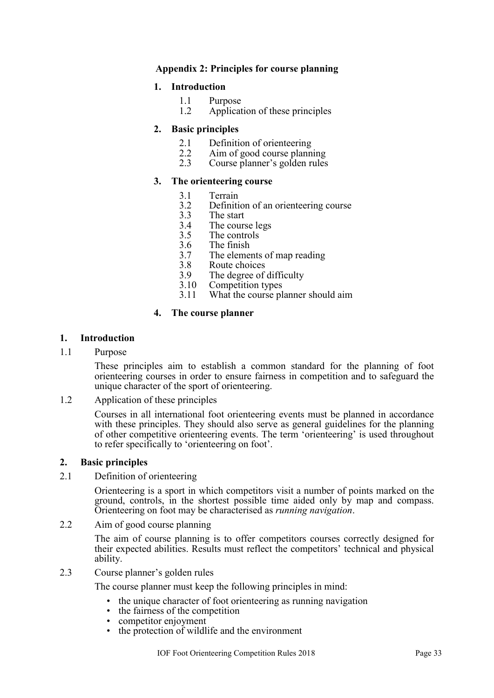# **Appendix 2: Principles for course planning**

# **1. Introduction**

- <span id="page-32-0"></span>1.1 Purpose
- 1.2 Application of these principles

# **2. Basic principles**

- 2.1 Definition of orienteering<br>2.2 Aim of good course plann
- 2.2 Aim of good course planning<br>2.3 Course planner's golden rules
- Course planner's golden rules

# **3. The orienteering course**

- 3.1 Terrain
- 3.2 Definition of an orienteering course<br>3.3 The start
- The start
- 3.4 The course legs
- 3.5 The controls
- 3.6 The finish<br>3.7 The eleme
- The elements of map reading
- 3.8 Route choices
- 3.9 The degree of difficulty
- 3.10 Competition types
- 3.11 What the course planner should aim

# **4. The course planner**

# **1. Introduction**

1.1 Purpose

These principles aim to establish a common standard for the planning of foot orienteering courses in order to ensure fairness in competition and to safeguard the unique character of the sport of orienteering.

1.2 Application of these principles

Courses in all international foot orienteering events must be planned in accordance with these principles. They should also serve as general guidelines for the planning of other competitive orienteering events. The term 'orienteering' is used throughout to refer specifically to 'orienteering on foot'.

# **2. Basic principles**

2.1 Definition of orienteering

Orienteering is a sport in which competitors visit a number of points marked on the ground, controls, in the shortest possible time aided only by map and compass. Orienteering on foot may be characterised as *running navigation*.

2.2 Aim of good course planning

The aim of course planning is to offer competitors courses correctly designed for their expected abilities. Results must reflect the competitors' technical and physical ability.

2.3 Course planner's golden rules

The course planner must keep the following principles in mind:

- the unique character of foot orienteering as running navigation
- the fairness of the competition
- competitor enjoyment
- the protection of wildlife and the environment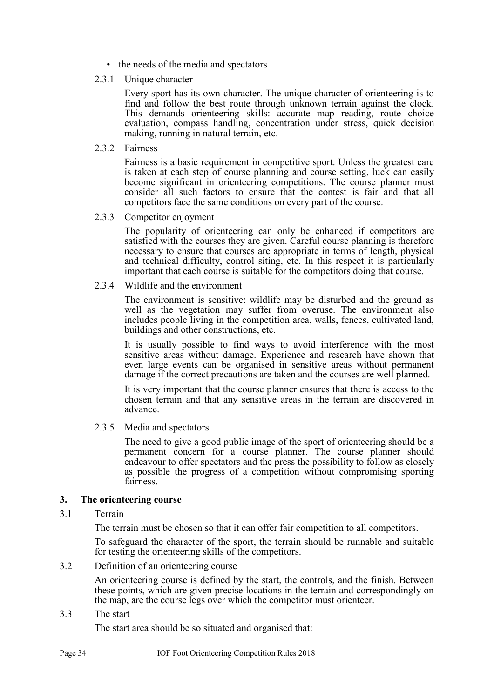- the needs of the media and spectators
- 2.3.1 Unique character

Every sport has its own character. The unique character of orienteering is to find and follow the best route through unknown terrain against the clock. This demands orienteering skills: accurate map reading, route choice evaluation, compass handling, concentration under stress, quick decision making, running in natural terrain, etc.

2.3.2 Fairness

Fairness is a basic requirement in competitive sport. Unless the greatest care is taken at each step of course planning and course setting, luck can easily become significant in orienteering competitions. The course planner must consider all such factors to ensure that the contest is fair and that all competitors face the same conditions on every part of the course.

2.3.3 Competitor enjoyment

The popularity of orienteering can only be enhanced if competitors are satisfied with the courses they are given. Careful course planning is therefore necessary to ensure that courses are appropriate in terms of length, physical and technical difficulty, control siting, etc. In this respect it is particularly important that each course is suitable for the competitors doing that course.

2.3.4 Wildlife and the environment

The environment is sensitive: wildlife may be disturbed and the ground as well as the vegetation may suffer from overuse. The environment also includes people living in the competition area, walls, fences, cultivated land, buildings and other constructions, etc.

It is usually possible to find ways to avoid interference with the most sensitive areas without damage. Experience and research have shown that even large events can be organised in sensitive areas without permanent damage if the correct precautions are taken and the courses are well planned.

It is very important that the course planner ensures that there is access to the chosen terrain and that any sensitive areas in the terrain are discovered in advance.

2.3.5 Media and spectators

The need to give a good public image of the sport of orienteering should be a permanent concern for a course planner. The course planner should endeavour to offer spectators and the press the possibility to follow as closely as possible the progress of a competition without compromising sporting fairness.

# **3. The orienteering course**

3.1 Terrain

The terrain must be chosen so that it can offer fair competition to all competitors.

To safeguard the character of the sport, the terrain should be runnable and suitable for testing the orienteering skills of the competitors.

3.2 Definition of an orienteering course

An orienteering course is defined by the start, the controls, and the finish. Between these points, which are given precise locations in the terrain and correspondingly on the map, are the course legs over which the competitor must orienteer.

3.3 The start

The start area should be so situated and organised that: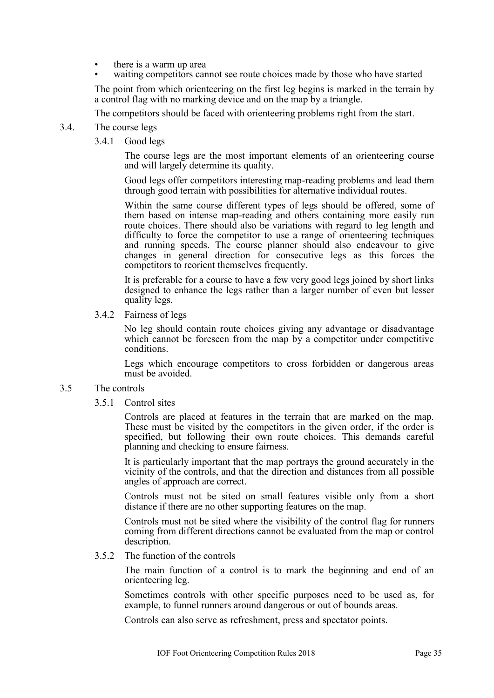- there is a warm up area
- waiting competitors cannot see route choices made by those who have started

The point from which orienteering on the first leg begins is marked in the terrain by a control flag with no marking device and on the map by a triangle.

The competitors should be faced with orienteering problems right from the start.

- 3.4. The course legs
	- 3.4.1 Good legs

The course legs are the most important elements of an orienteering course and will largely determine its quality.

Good legs offer competitors interesting map-reading problems and lead them through good terrain with possibilities for alternative individual routes.

Within the same course different types of legs should be offered, some of them based on intense map-reading and others containing more easily run route choices. There should also be variations with regard to leg length and difficulty to force the competitor to use a range of orienteering techniques and running speeds. The course planner should also endeavour to give changes in general direction for consecutive legs as this forces the competitors to reorient themselves frequently.

It is preferable for a course to have a few very good legs joined by short links designed to enhance the legs rather than a larger number of even but lesser quality legs.

3.4.2 Fairness of legs

No leg should contain route choices giving any advantage or disadvantage which cannot be foreseen from the map by a competitor under competitive conditions.

Legs which encourage competitors to cross forbidden or dangerous areas must be avoided.

#### 3.5 The controls

3.5.1 Control sites

Controls are placed at features in the terrain that are marked on the map. These must be visited by the competitors in the given order, if the order is specified, but following their own route choices. This demands careful planning and checking to ensure fairness.

It is particularly important that the map portrays the ground accurately in the vicinity of the controls, and that the direction and distances from all possible angles of approach are correct.

Controls must not be sited on small features visible only from a short distance if there are no other supporting features on the map.

Controls must not be sited where the visibility of the control flag for runners coming from different directions cannot be evaluated from the map or control description.

3.5.2 The function of the controls

The main function of a control is to mark the beginning and end of an orienteering leg.

Sometimes controls with other specific purposes need to be used as, for example, to funnel runners around dangerous or out of bounds areas.

Controls can also serve as refreshment, press and spectator points.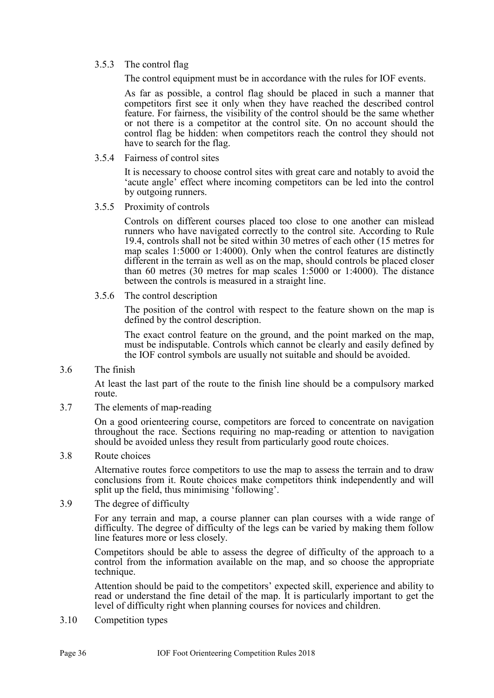### 3.5.3 The control flag

The control equipment must be in accordance with the rules for IOF events.

As far as possible, a control flag should be placed in such a manner that competitors first see it only when they have reached the described control feature. For fairness, the visibility of the control should be the same whether or not there is a competitor at the control site. On no account should the control flag be hidden: when competitors reach the control they should not have to search for the flag.

3.5.4 Fairness of control sites

It is necessary to choose control sites with great care and notably to avoid the 'acute angle' effect where incoming competitors can be led into the control by outgoing runners.

3.5.5 Proximity of controls

Controls on different courses placed too close to one another can mislead runners who have navigated correctly to the control site. According to Rule 19.4, controls shall not be sited within 30 metres of each other (15 metres for map scales 1:5000 or 1:4000). Only when the control features are distinctly different in the terrain as well as on the map, should controls be placed closer than 60 metres (30 metres for map scales 1:5000 or 1:4000). The distance between the controls is measured in a straight line.

3.5.6 The control description

The position of the control with respect to the feature shown on the map is defined by the control description.

The exact control feature on the ground, and the point marked on the map, must be indisputable. Controls which cannot be clearly and easily defined by the IOF control symbols are usually not suitable and should be avoided.

3.6 The finish

At least the last part of the route to the finish line should be a compulsory marked route.

3.7 The elements of map-reading

On a good orienteering course, competitors are forced to concentrate on navigation throughout the race. Sections requiring no map-reading or attention to navigation should be avoided unless they result from particularly good route choices.

3.8 Route choices

Alternative routes force competitors to use the map to assess the terrain and to draw conclusions from it. Route choices make competitors think independently and will split up the field, thus minimising 'following'.

3.9 The degree of difficulty

For any terrain and map, a course planner can plan courses with a wide range of difficulty. The degree of difficulty of the legs can be varied by making them follow line features more or less closely.

Competitors should be able to assess the degree of difficulty of the approach to a control from the information available on the map, and so choose the appropriate technique.

Attention should be paid to the competitors' expected skill, experience and ability to read or understand the fine detail of the map. It is particularly important to get the level of difficulty right when planning courses for novices and children.

3.10 Competition types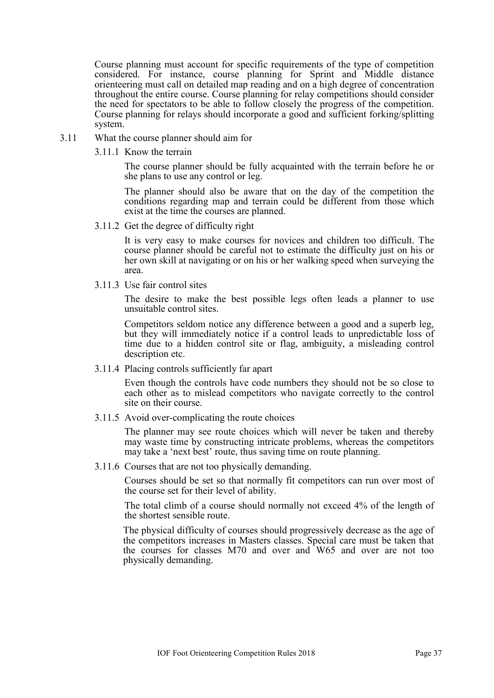Course planning must account for specific requirements of the type of competition considered. For instance, course planning for Sprint and Middle distance orienteering must call on detailed map reading and on a high degree of concentration throughout the entire course. Course planning for relay competitions should consider the need for spectators to be able to follow closely the progress of the competition. Course planning for relays should incorporate a good and sufficient forking/splitting system.

- 3.11 What the course planner should aim for
	- 3.11.1 Know the terrain

The course planner should be fully acquainted with the terrain before he or she plans to use any control or leg.

The planner should also be aware that on the day of the competition the conditions regarding map and terrain could be different from those which exist at the time the courses are planned.

3.11.2 Get the degree of difficulty right

It is very easy to make courses for novices and children too difficult. The course planner should be careful not to estimate the difficulty just on his or her own skill at navigating or on his or her walking speed when surveying the area.

3.11.3 Use fair control sites

The desire to make the best possible legs often leads a planner to use unsuitable control sites.

Competitors seldom notice any difference between a good and a superb leg, but they will immediately notice if a control leads to unpredictable loss of time due to a hidden control site or flag, ambiguity, a misleading control description etc.

3.11.4 Placing controls sufficiently far apart

Even though the controls have code numbers they should not be so close to each other as to mislead competitors who navigate correctly to the control site on their course.

3.11.5 Avoid over-complicating the route choices

The planner may see route choices which will never be taken and thereby may waste time by constructing intricate problems, whereas the competitors may take a 'next best' route, thus saving time on route planning.

3.11.6 Courses that are not too physically demanding.

Courses should be set so that normally fit competitors can run over most of the course set for their level of ability.

The total climb of a course should normally not exceed 4% of the length of the shortest sensible route.

The physical difficulty of courses should progressively decrease as the age of the competitors increases in Masters classes. Special care must be taken that the courses for classes M70 and over and W65 and over are not too physically demanding.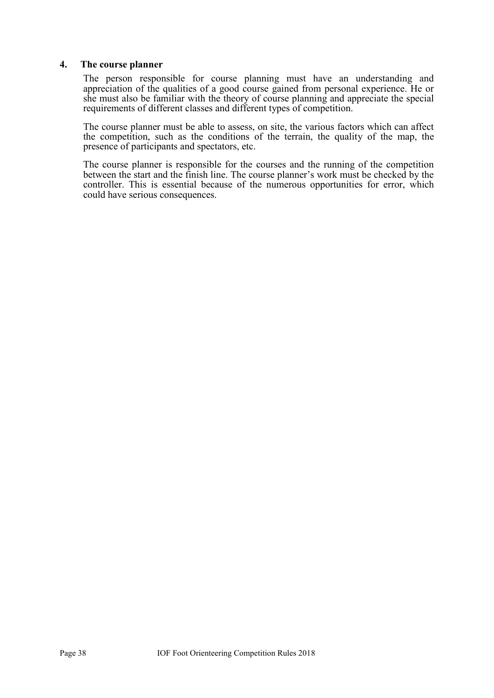### **4. The course planner**

The person responsible for course planning must have an understanding and appreciation of the qualities of a good course gained from personal experience. He or she must also be familiar with the theory of course planning and appreciate the special requirements of different classes and different types of competition.

The course planner must be able to assess, on site, the various factors which can affect the competition, such as the conditions of the terrain, the quality of the map, the presence of participants and spectators, etc.

The course planner is responsible for the courses and the running of the competition between the start and the finish line. The course planner's work must be checked by the controller. This is essential because of the numerous opportunities for error, which could have serious consequences.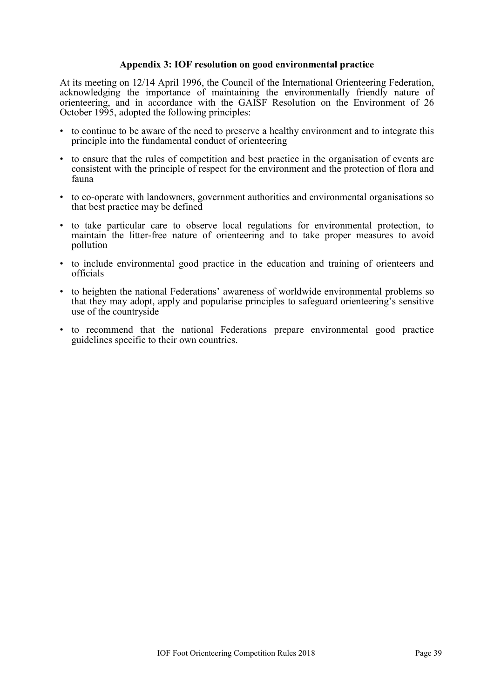### <span id="page-38-0"></span>**Appendix 3: IOF resolution on good environmental practice**

At its meeting on 12/14 April 1996, the Council of the International Orienteering Federation, acknowledging the importance of maintaining the environmentally friendly nature of orienteering, and in accordance with the GAISF Resolution on the Environment of 26 October 1995, adopted the following principles:

- to continue to be aware of the need to preserve a healthy environment and to integrate this principle into the fundamental conduct of orienteering
- to ensure that the rules of competition and best practice in the organisation of events are consistent with the principle of respect for the environment and the protection of flora and fauna
- to co-operate with landowners, government authorities and environmental organisations so that best practice may be defined
- to take particular care to observe local regulations for environmental protection, to maintain the litter-free nature of orienteering and to take proper measures to avoid pollution
- to include environmental good practice in the education and training of orienteers and officials
- to heighten the national Federations' awareness of worldwide environmental problems so that they may adopt, apply and popularise principles to safeguard orienteering's sensitive use of the countryside
- to recommend that the national Federations prepare environmental good practice guidelines specific to their own countries.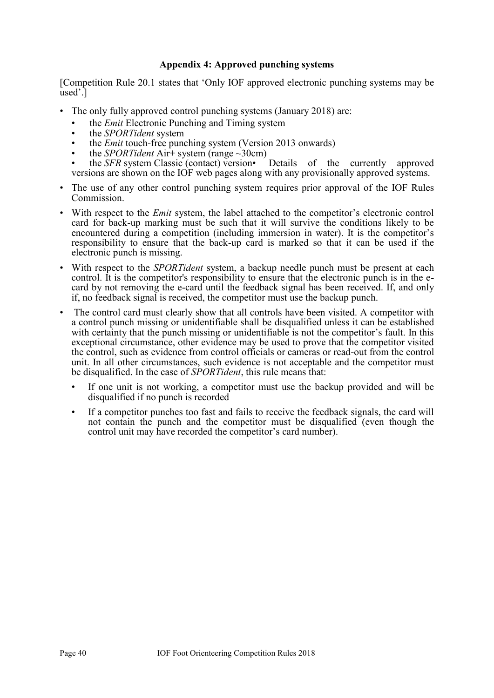# <span id="page-39-0"></span>**Appendix 4: Approved punching systems**

[Competition Rule 20.1 states that 'Only IOF approved electronic punching systems may be used'.]

- The only fully approved control punching systems (January 2018) are:
	- the *Emit* Electronic Punching and Timing system
	- the *SPORTident* system
	- the *Emit* touch-free punching system (Version 2013 onwards)
	- the *SPORTident* Air+ system (range ~30cm)
	- the *SFR* system Classic (contact) version• Details of the currently approved versions are shown on the IOF web pages along with any provisionally approved systems.
- The use of any other control punching system requires prior approval of the IOF Rules Commission.
- With respect to the *Emit* system, the label attached to the competitor's electronic control card for back-up marking must be such that it will survive the conditions likely to be encountered during a competition (including immersion in water). It is the competitor's responsibility to ensure that the back-up card is marked so that it can be used if the electronic punch is missing.
- With respect to the *SPORTident* system, a backup needle punch must be present at each control. It is the competitor's responsibility to ensure that the electronic punch is in the ecard by not removing the e-card until the feedback signal has been received. If, and only if, no feedback signal is received, the competitor must use the backup punch.
- The control card must clearly show that all controls have been visited. A competitor with a control punch missing or unidentifiable shall be disqualified unless it can be established with certainty that the punch missing or unidentifiable is not the competitor's fault. In this exceptional circumstance, other evidence may be used to prove that the competitor visited the control, such as evidence from control officials or cameras or read-out from the control unit. In all other circumstances, such evidence is not acceptable and the competitor must be disqualified. In the case of *SPORTident*, this rule means that:
	- If one unit is not working, a competitor must use the backup provided and will be disqualified if no punch is recorded
	- If a competitor punches too fast and fails to receive the feedback signals, the card will not contain the punch and the competitor must be disqualified (even though the control unit may have recorded the competitor's card number).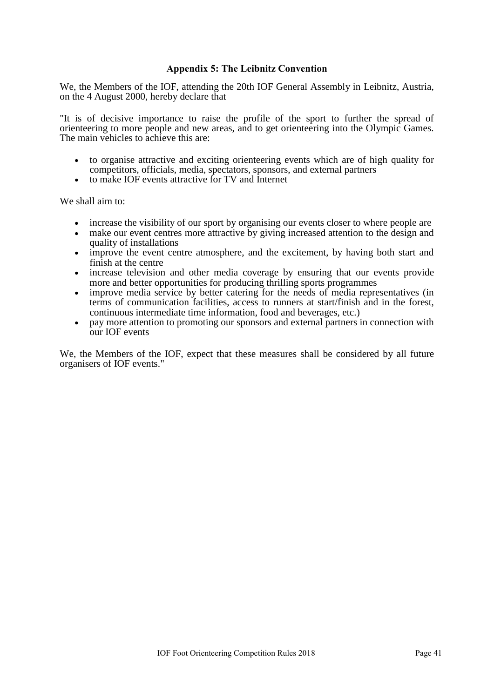### <span id="page-40-0"></span>**Appendix 5: The Leibnitz Convention**

We, the Members of the IOF, attending the 20th IOF General Assembly in Leibnitz, Austria, on the 4 August 2000, hereby declare that

"It is of decisive importance to raise the profile of the sport to further the spread of orienteering to more people and new areas, and to get orienteering into the Olympic Games. The main vehicles to achieve this are:

- to organise attractive and exciting orienteering events which are of high quality for competitors, officials, media, spectators, sponsors, and external partners
- to make IOF events attractive for TV and Internet

We shall aim to:

- increase the visibility of our sport by organising our events closer to where people are
- make our event centres more attractive by giving increased attention to the design and quality of installations
- improve the event centre atmosphere, and the excitement, by having both start and finish at the centre
- increase television and other media coverage by ensuring that our events provide more and better opportunities for producing thrilling sports programmes
- improve media service by better catering for the needs of media representatives (in terms of communication facilities, access to runners at start/finish and in the forest, continuous intermediate time information, food and beverages, etc.)
- pay more attention to promoting our sponsors and external partners in connection with our IOF events

We, the Members of the IOF, expect that these measures shall be considered by all future organisers of IOF events."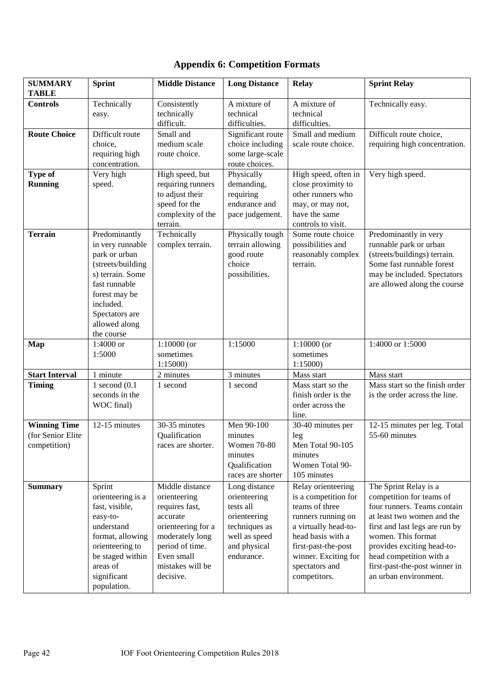| <b>SUMMARY</b><br><b>TABLE</b>                            | <b>Sprint</b>                                                                                                                                                                               | <b>Middle Distance</b>                                                                                                                                                   | <b>Long Distance</b>                                                                                                       | <b>Relay</b>                                                                                                                                                                                                     | <b>Sprint Relay</b>                                                                                                                                                                                                                                                                       |
|-----------------------------------------------------------|---------------------------------------------------------------------------------------------------------------------------------------------------------------------------------------------|--------------------------------------------------------------------------------------------------------------------------------------------------------------------------|----------------------------------------------------------------------------------------------------------------------------|------------------------------------------------------------------------------------------------------------------------------------------------------------------------------------------------------------------|-------------------------------------------------------------------------------------------------------------------------------------------------------------------------------------------------------------------------------------------------------------------------------------------|
| <b>Controls</b>                                           | Technically<br>easy.                                                                                                                                                                        | Consistently<br>technically<br>difficult.                                                                                                                                | A mixture of<br>technical<br>difficulties.                                                                                 | A mixture of<br>technical<br>difficulties.                                                                                                                                                                       | Technically easy.                                                                                                                                                                                                                                                                         |
| <b>Route Choice</b>                                       | Difficult route<br>choice,<br>requiring high<br>concentration.                                                                                                                              | Small and<br>medium scale<br>route choice.                                                                                                                               | Significant route<br>choice including<br>some large-scale<br>route choices.                                                | Small and medium<br>scale route choice.                                                                                                                                                                          | Difficult route choice,<br>requiring high concentration.                                                                                                                                                                                                                                  |
| <b>Type of</b><br><b>Running</b>                          | Very high<br>speed.                                                                                                                                                                         | High speed, but<br>requiring runners<br>to adjust their<br>speed for the<br>complexity of the<br>terrain.                                                                | Physically<br>demanding,<br>requiring<br>endurance and<br>pace judgement.                                                  | High speed, often in<br>close proximity to<br>other runners who<br>may, or may not,<br>have the same<br>controls to visit.                                                                                       | Very high speed.                                                                                                                                                                                                                                                                          |
| <b>Terrain</b>                                            | Predominantly<br>in very runnable<br>park or urban<br>(streets/building<br>s) terrain. Some<br>fast runnable<br>forest may be<br>included.<br>Spectators are<br>allowed along<br>the course | Technically<br>complex terrain.                                                                                                                                          | Physically tough<br>terrain allowing<br>good route<br>choice<br>possibilities.                                             | Some route choice<br>possibilities and<br>reasonably complex<br>terrain.                                                                                                                                         | Predominantly in very<br>runnable park or urban<br>(streets/buildings) terrain.<br>Some fast runnable forest<br>may be included. Spectators<br>are allowed along the course                                                                                                               |
| Map                                                       | 1:4000 or<br>1:5000                                                                                                                                                                         | $1:10000$ (or<br>sometimes<br>1:15000                                                                                                                                    | 1:15000                                                                                                                    | $1:10000$ (or<br>sometimes<br>1:15000)                                                                                                                                                                           | 1:4000 or 1:5000                                                                                                                                                                                                                                                                          |
| <b>Start Interval</b>                                     | 1 minute                                                                                                                                                                                    | 2 minutes                                                                                                                                                                | 3 minutes                                                                                                                  | Mass start                                                                                                                                                                                                       | Mass start                                                                                                                                                                                                                                                                                |
| <b>Timing</b>                                             | 1 second $(0.1)$<br>seconds in the<br>WOC final)                                                                                                                                            | 1 second                                                                                                                                                                 | 1 second                                                                                                                   | Mass start so the<br>finish order is the<br>order across the<br>line.                                                                                                                                            | Mass start so the finish order<br>is the order across the line.                                                                                                                                                                                                                           |
| <b>Winning Time</b><br>(for Senior Elite)<br>competition) | 12-15 minutes                                                                                                                                                                               | 30-35 minutes<br>Qualification<br>races are shorter.                                                                                                                     | Men 90-100<br>minutes<br>Women 70-80<br>minutes<br>Qualification<br>races are shorter                                      | 30-40 minutes per<br>leg<br><b>Men Total 90-105</b><br>minutes<br>Women Total 90-<br>105 minutes                                                                                                                 | 12-15 minutes per leg. Total<br>55-60 minutes                                                                                                                                                                                                                                             |
| <b>Summary</b>                                            | Sprint<br>orienteering is a<br>fast, visible,<br>easy-to-<br>understand<br>format, allowing<br>orienteering to<br>be staged within<br>areas of<br>significant<br>population.                | Middle distance<br>orienteering<br>requires fast,<br>accurate<br>orienteering for a<br>moderately long<br>period of time.<br>Even small<br>mistakes will be<br>decisive. | Long distance<br>orienteering<br>tests all<br>orienteering<br>techniques as<br>well as speed<br>and physical<br>endurance. | Relay orienteering<br>is a competition for<br>teams of three<br>runners running on<br>a virtually head-to-<br>head basis with a<br>first-past-the-post<br>winner. Exciting for<br>spectators and<br>competitors. | The Sprint Relay is a<br>competition for teams of<br>four runners. Teams contain<br>at least two women and the<br>first and last legs are run by<br>women. This format<br>provides exciting head-to-<br>head competition with a<br>first-past-the-post winner in<br>an urban environment. |

# <span id="page-41-0"></span>**Appendix 6: Competition Formats**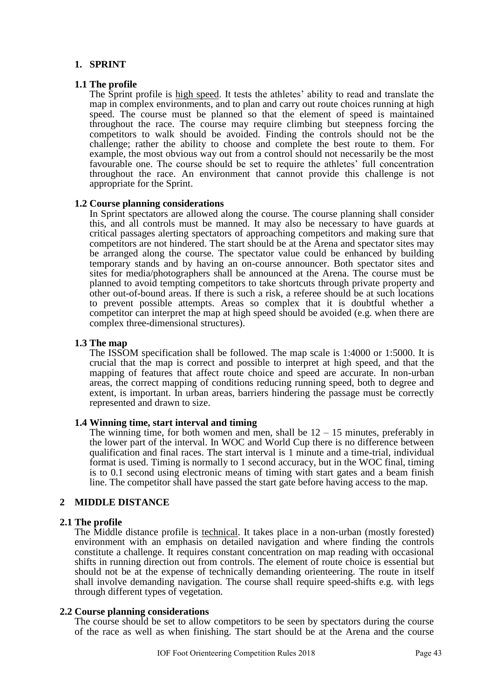# **1. SPRINT**

### **1.1 The profile**

The Sprint profile is high speed. It tests the athletes' ability to read and translate the map in complex environments, and to plan and carry out route choices running at high speed. The course must be planned so that the element of speed is maintained throughout the race. The course may require climbing but steepness forcing the competitors to walk should be avoided. Finding the controls should not be the challenge; rather the ability to choose and complete the best route to them. For example, the most obvious way out from a control should not necessarily be the most favourable one. The course should be set to require the athletes' full concentration throughout the race. An environment that cannot provide this challenge is not appropriate for the Sprint.

### **1.2 Course planning considerations**

In Sprint spectators are allowed along the course. The course planning shall consider this, and all controls must be manned. It may also be necessary to have guards at critical passages alerting spectators of approaching competitors and making sure that competitors are not hindered. The start should be at the Arena and spectator sites may be arranged along the course. The spectator value could be enhanced by building temporary stands and by having an on-course announcer. Both spectator sites and sites for media/photographers shall be announced at the Arena. The course must be planned to avoid tempting competitors to take shortcuts through private property and other out-of-bound areas. If there is such a risk, a referee should be at such locations to prevent possible attempts. Areas so complex that it is doubtful whether a competitor can interpret the map at high speed should be avoided (e.g. when there are complex three-dimensional structures).

### **1.3 The map**

The ISSOM specification shall be followed. The map scale is 1:4000 or 1:5000. It is crucial that the map is correct and possible to interpret at high speed, and that the mapping of features that affect route choice and speed are accurate. In non-urban areas, the correct mapping of conditions reducing running speed, both to degree and extent, is important. In urban areas, barriers hindering the passage must be correctly represented and drawn to size.

#### **1.4 Winning time, start interval and timing**

The winning time, for both women and men, shall be  $12 - 15$  minutes, preferably in the lower part of the interval. In WOC and World Cup there is no difference between qualification and final races. The start interval is 1 minute and a time-trial, individual format is used. Timing is normally to 1 second accuracy, but in the WOC final, timing is to 0.1 second using electronic means of timing with start gates and a beam finish line. The competitor shall have passed the start gate before having access to the map.

# **2 MIDDLE DISTANCE**

# **2.1 The profile**

The Middle distance profile is technical. It takes place in a non-urban (mostly forested) environment with an emphasis on detailed navigation and where finding the controls constitute a challenge. It requires constant concentration on map reading with occasional shifts in running direction out from controls. The element of route choice is essential but should not be at the expense of technically demanding orienteering. The route in itself shall involve demanding navigation. The course shall require speed-shifts e.g. with legs through different types of vegetation.

#### **2.2 Course planning considerations**

The course should be set to allow competitors to be seen by spectators during the course of the race as well as when finishing. The start should be at the Arena and the course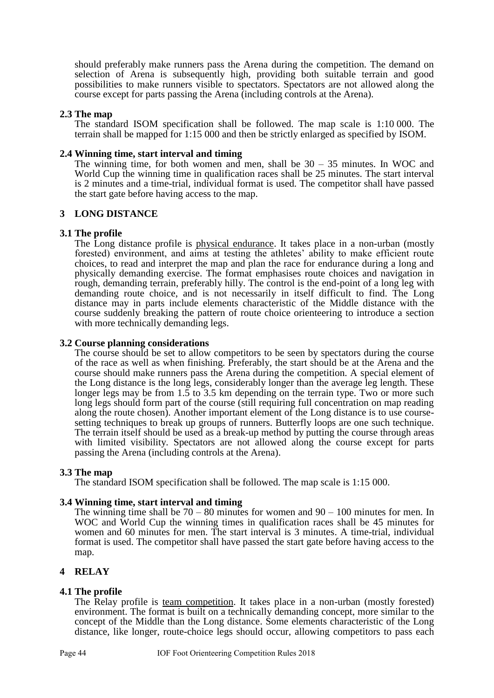should preferably make runners pass the Arena during the competition. The demand on selection of Arena is subsequently high, providing both suitable terrain and good possibilities to make runners visible to spectators. Spectators are not allowed along the course except for parts passing the Arena (including controls at the Arena).

#### **2.3 The map**

The standard ISOM specification shall be followed. The map scale is 1:10 000. The terrain shall be mapped for 1:15 000 and then be strictly enlarged as specified by ISOM.

### **2.4 Winning time, start interval and timing**

The winning time, for both women and men, shall be  $30 - 35$  minutes. In WOC and World Cup the winning time in qualification races shall be 25 minutes. The start interval is 2 minutes and a time-trial, individual format is used. The competitor shall have passed the start gate before having access to the map.

# **3 LONG DISTANCE**

# **3.1 The profile**

The Long distance profile is physical endurance. It takes place in a non-urban (mostly forested) environment, and aims at testing the athletes' ability to make efficient route choices, to read and interpret the map and plan the race for endurance during a long and physically demanding exercise. The format emphasises route choices and navigation in rough, demanding terrain, preferably hilly. The control is the end-point of a long leg with demanding route choice, and is not necessarily in itself difficult to find. The Long distance may in parts include elements characteristic of the Middle distance with the course suddenly breaking the pattern of route choice orienteering to introduce a section with more technically demanding legs.

# **3.2 Course planning considerations**

The course should be set to allow competitors to be seen by spectators during the course of the race as well as when finishing. Preferably, the start should be at the Arena and the course should make runners pass the Arena during the competition. A special element of the Long distance is the long legs, considerably longer than the average leg length. These longer legs may be from 1.5 to 3.5 km depending on the terrain type. Two or more such long legs should form part of the course (still requiring full concentration on map reading along the route chosen). Another important element of the Long distance is to use coursesetting techniques to break up groups of runners. Butterfly loops are one such technique. The terrain itself should be used as a break-up method by putting the course through areas with limited visibility. Spectators are not allowed along the course except for parts passing the Arena (including controls at the Arena).

# **3.3 The map**

The standard ISOM specification shall be followed. The map scale is 1:15 000.

# **3.4 Winning time, start interval and timing**

The winning time shall be  $70 - 80$  minutes for women and  $90 - 100$  minutes for men. In WOC and World Cup the winning times in qualification races shall be 45 minutes for women and 60 minutes for men. The start interval is 3 minutes. A time-trial, individual format is used. The competitor shall have passed the start gate before having access to the map.

# **4 RELAY**

# **4.1 The profile**

The Relay profile is team competition. It takes place in a non-urban (mostly forested) environment. The format is built on a technically demanding concept, more similar to the concept of the Middle than the Long distance. Some elements characteristic of the Long distance, like longer, route-choice legs should occur, allowing competitors to pass each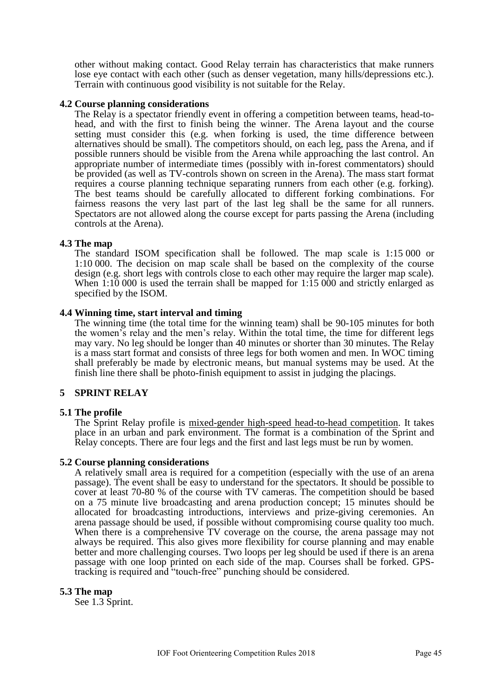other without making contact. Good Relay terrain has characteristics that make runners lose eye contact with each other (such as denser vegetation, many hills/depressions etc.). Terrain with continuous good visibility is not suitable for the Relay.

#### **4.2 Course planning considerations**

The Relay is a spectator friendly event in offering a competition between teams, head-tohead, and with the first to finish being the winner. The Arena layout and the course setting must consider this (e.g. when forking is used, the time difference between alternatives should be small). The competitors should, on each leg, pass the Arena, and if possible runners should be visible from the Arena while approaching the last control. An appropriate number of intermediate times (possibly with in-forest commentators) should be provided (as well as TV-controls shown on screen in the Arena). The mass start format requires a course planning technique separating runners from each other (e.g. forking). The best teams should be carefully allocated to different forking combinations. For fairness reasons the very last part of the last leg shall be the same for all runners. Spectators are not allowed along the course except for parts passing the Arena (including controls at the Arena).

### **4.3 The map**

The standard ISOM specification shall be followed. The map scale is 1:15 000 or 1:10 000. The decision on map scale shall be based on the complexity of the course design (e.g. short legs with controls close to each other may require the larger map scale). When  $1:10000$  is used the terrain shall be mapped for  $1:15000$  and strictly enlarged as specified by the ISOM.

### **4.4 Winning time, start interval and timing**

The winning time (the total time for the winning team) shall be 90-105 minutes for both the women's relay and the men's relay. Within the total time, the time for different legs may vary. No leg should be longer than 40 minutes or shorter than 30 minutes. The Relay is a mass start format and consists of three legs for both women and men. In WOC timing shall preferably be made by electronic means, but manual systems may be used. At the finish line there shall be photo-finish equipment to assist in judging the placings.

# **5 SPRINT RELAY**

# **5.1 The profile**

The Sprint Relay profile is mixed-gender high-speed head-to-head competition. It takes place in an urban and park environment. The format is a combination of the Sprint and Relay concepts. There are four legs and the first and last legs must be run by women.

#### **5.2 Course planning considerations**

A relatively small area is required for a competition (especially with the use of an arena passage). The event shall be easy to understand for the spectators. It should be possible to cover at least 70-80 % of the course with TV cameras. The competition should be based on a 75 minute live broadcasting and arena production concept; 15 minutes should be allocated for broadcasting introductions, interviews and prize-giving ceremonies. An arena passage should be used, if possible without compromising course quality too much. When there is a comprehensive TV coverage on the course, the arena passage may not always be required. This also gives more flexibility for course planning and may enable better and more challenging courses. Two loops per leg should be used if there is an arena passage with one loop printed on each side of the map. Courses shall be forked. GPStracking is required and "touch-free" punching should be considered.

#### **5.3 The map**

See 1.3 Sprint.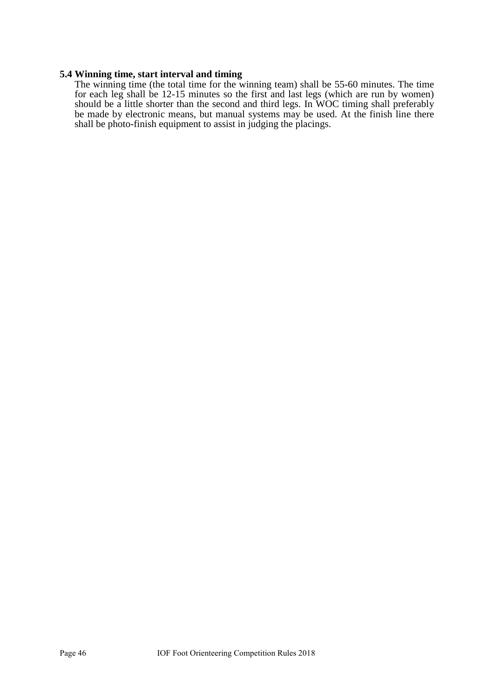#### **5.4 Winning time, start interval and timing**

The winning time (the total time for the winning team) shall be 55-60 minutes. The time for each leg shall be 12-15 minutes so the first and last legs (which are run by women) should be a little shorter than the second and third legs. In WOC timing shall preferably be made by electronic means, but manual systems may be used. At the finish line there shall be photo-finish equipment to assist in judging the placings.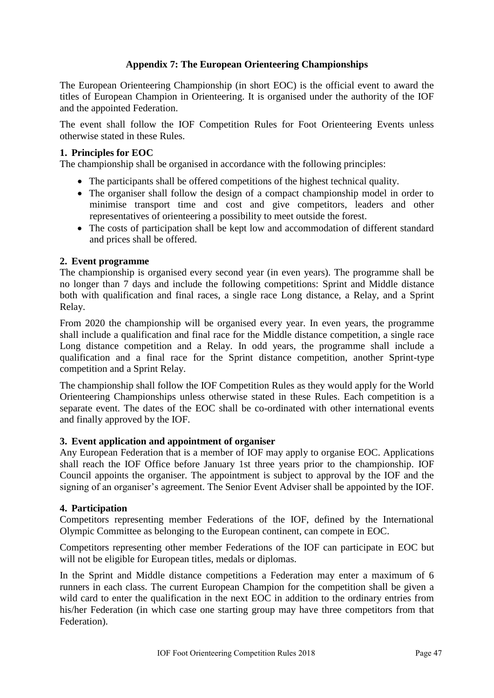# <span id="page-46-0"></span>**Appendix 7: The European Orienteering Championships**

The European Orienteering Championship (in short EOC) is the official event to award the titles of European Champion in Orienteering. It is organised under the authority of the IOF and the appointed Federation.

The event shall follow the IOF Competition Rules for Foot Orienteering Events unless otherwise stated in these Rules.

# **1. Principles for EOC**

The championship shall be organised in accordance with the following principles:

- The participants shall be offered competitions of the highest technical quality.
- The organiser shall follow the design of a compact championship model in order to minimise transport time and cost and give competitors, leaders and other representatives of orienteering a possibility to meet outside the forest.
- The costs of participation shall be kept low and accommodation of different standard and prices shall be offered.

# **2. Event programme**

The championship is organised every second year (in even years). The programme shall be no longer than 7 days and include the following competitions: Sprint and Middle distance both with qualification and final races, a single race Long distance, a Relay, and a Sprint Relay.

From 2020 the championship will be organised every year. In even years, the programme shall include a qualification and final race for the Middle distance competition, a single race Long distance competition and a Relay. In odd years, the programme shall include a qualification and a final race for the Sprint distance competition, another Sprint-type competition and a Sprint Relay.

The championship shall follow the IOF Competition Rules as they would apply for the World Orienteering Championships unless otherwise stated in these Rules. Each competition is a separate event. The dates of the EOC shall be co-ordinated with other international events and finally approved by the IOF.

# **3. Event application and appointment of organiser**

Any European Federation that is a member of IOF may apply to organise EOC. Applications shall reach the IOF Office before January 1st three years prior to the championship. IOF Council appoints the organiser. The appointment is subject to approval by the IOF and the signing of an organiser's agreement. The Senior Event Adviser shall be appointed by the IOF.

# **4. Participation**

Competitors representing member Federations of the IOF, defined by the International Olympic Committee as belonging to the European continent, can compete in EOC.

Competitors representing other member Federations of the IOF can participate in EOC but will not be eligible for European titles, medals or diplomas.

In the Sprint and Middle distance competitions a Federation may enter a maximum of 6 runners in each class. The current European Champion for the competition shall be given a wild card to enter the qualification in the next EOC in addition to the ordinary entries from his/her Federation (in which case one starting group may have three competitors from that Federation).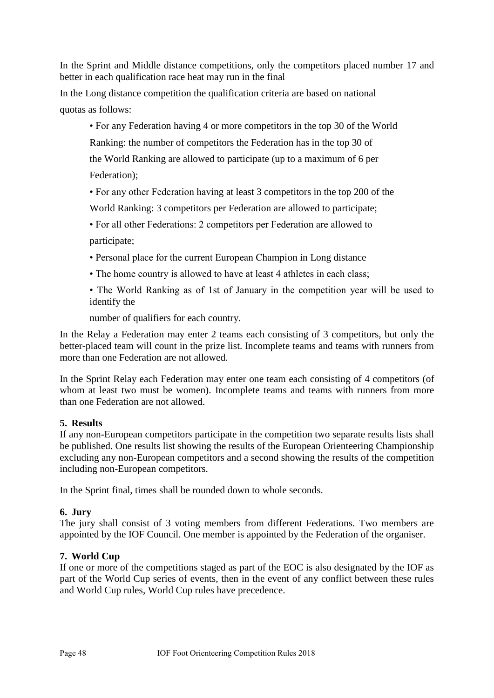In the Sprint and Middle distance competitions, only the competitors placed number 17 and better in each qualification race heat may run in the final

In the Long distance competition the qualification criteria are based on national quotas as follows:

• For any Federation having 4 or more competitors in the top 30 of the World

Ranking: the number of competitors the Federation has in the top 30 of

the World Ranking are allowed to participate (up to a maximum of 6 per Federation);

• For any other Federation having at least 3 competitors in the top 200 of the

World Ranking: 3 competitors per Federation are allowed to participate;

• For all other Federations: 2 competitors per Federation are allowed to participate;

- Personal place for the current European Champion in Long distance
- The home country is allowed to have at least 4 athletes in each class;

• The World Ranking as of 1st of January in the competition year will be used to identify the

number of qualifiers for each country.

In the Relay a Federation may enter 2 teams each consisting of 3 competitors, but only the better-placed team will count in the prize list. Incomplete teams and teams with runners from more than one Federation are not allowed.

In the Sprint Relay each Federation may enter one team each consisting of 4 competitors (of whom at least two must be women). Incomplete teams and teams with runners from more than one Federation are not allowed.

# **5. Results**

If any non-European competitors participate in the competition two separate results lists shall be published. One results list showing the results of the European Orienteering Championship excluding any non-European competitors and a second showing the results of the competition including non-European competitors.

In the Sprint final, times shall be rounded down to whole seconds.

# **6. Jury**

The jury shall consist of 3 voting members from different Federations. Two members are appointed by the IOF Council. One member is appointed by the Federation of the organiser.

# **7. World Cup**

If one or more of the competitions staged as part of the EOC is also designated by the IOF as part of the World Cup series of events, then in the event of any conflict between these rules and World Cup rules, World Cup rules have precedence.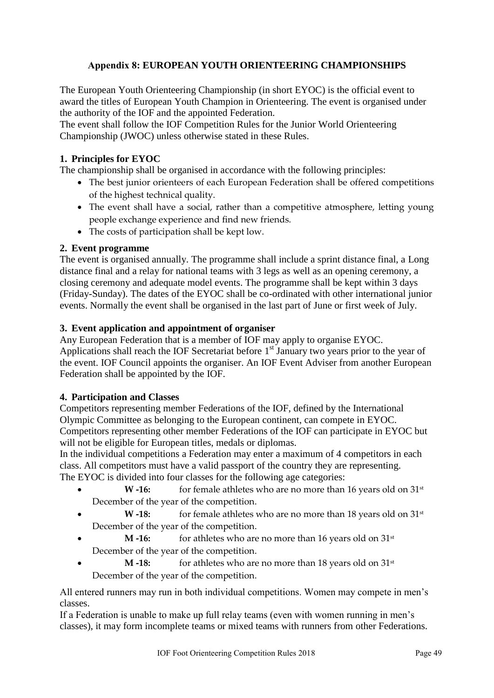# <span id="page-48-0"></span>**Appendix 8: EUROPEAN YOUTH ORIENTEERING CHAMPIONSHIPS**

The European Youth Orienteering Championship (in short EYOC) is the official event to award the titles of European Youth Champion in Orienteering. The event is organised under the authority of the IOF and the appointed Federation.

The event shall follow the IOF Competition Rules for the Junior World Orienteering Championship (JWOC) unless otherwise stated in these Rules.

# **1. Principles for EYOC**

The championship shall be organised in accordance with the following principles:

- The best junior orienteers of each European Federation shall be offered competitions of the highest technical quality.
- The event shall have a social, rather than a competitive atmosphere, letting young people exchange experience and find new friends.
- The costs of participation shall be kept low.

# **2. Event programme**

The event is organised annually. The programme shall include a sprint distance final, a Long distance final and a relay for national teams with 3 legs as well as an opening ceremony, a closing ceremony and adequate model events. The programme shall be kept within 3 days (Friday-Sunday). The dates of the EYOC shall be co-ordinated with other international junior events. Normally the event shall be organised in the last part of June or first week of July.

# **3. Event application and appointment of organiser**

Any European Federation that is a member of IOF may apply to organise EYOC. Applications shall reach the IOF Secretariat before  $1<sup>st</sup>$  January two years prior to the year of the event. IOF Council appoints the organiser. An IOF Event Adviser from another European Federation shall be appointed by the IOF.

# **4. Participation and Classes**

Competitors representing member Federations of the IOF, defined by the International Olympic Committee as belonging to the European continent, can compete in EYOC. Competitors representing other member Federations of the IOF can participate in EYOC but will not be eligible for European titles, medals or diplomas.

In the individual competitions a Federation may enter a maximum of 4 competitors in each class. All competitors must have a valid passport of the country they are representing. The EYOC is divided into four classes for the following age categories:

- **W** -16: for female athletes who are no more than 16 years old on 31<sup>st</sup> December of the year of the competition.
- **W** -18: for female athletes who are no more than 18 years old on 31<sup>st</sup> December of the year of the competition.
- **M** -16: for athletes who are no more than 16 years old on 31<sup>st</sup> December of the year of the competition.
- **M** -18: for athletes who are no more than 18 years old on 31<sup>st</sup> December of the year of the competition.

All entered runners may run in both individual competitions. Women may compete in men's classes.

If a Federation is unable to make up full relay teams (even with women running in men's classes), it may form incomplete teams or mixed teams with runners from other Federations.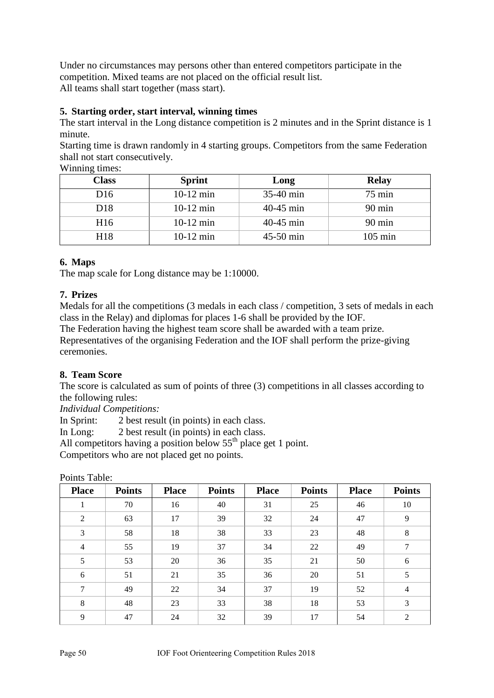Under no circumstances may persons other than entered competitors participate in the competition. Mixed teams are not placed on the official result list. All teams shall start together (mass start).

# **5. Starting order, start interval, winning times**

The start interval in the Long distance competition is 2 minutes and in the Sprint distance is 1 minute.

Starting time is drawn randomly in 4 starting groups. Competitors from the same Federation shall not start consecutively.

| ----            |               |             |                   |  |  |  |  |  |
|-----------------|---------------|-------------|-------------------|--|--|--|--|--|
| <b>Class</b>    | <b>Sprint</b> | Long        | <b>Relay</b>      |  |  |  |  |  |
| D <sub>16</sub> | $10-12$ min   | 35-40 min   | $75 \text{ min}$  |  |  |  |  |  |
| D <sub>18</sub> | $10-12$ min   | $40-45$ min | $90 \text{ min}$  |  |  |  |  |  |
| H <sub>16</sub> | $10-12$ min   | $40-45$ min | $90 \text{ min}$  |  |  |  |  |  |
| H18             | $10-12$ min   | $45-50$ min | $105 \text{ min}$ |  |  |  |  |  |

Winning times:

# **6. Maps**

The map scale for Long distance may be 1:10000.

# **7. Prizes**

Medals for all the competitions (3 medals in each class / competition, 3 sets of medals in each class in the Relay) and diplomas for places 1-6 shall be provided by the IOF.

The Federation having the highest team score shall be awarded with a team prize.

Representatives of the organising Federation and the IOF shall perform the prize-giving ceremonies.

# **8. Team Score**

The score is calculated as sum of points of three (3) competitions in all classes according to the following rules:

*Individual Competitions:*

In Sprint: 2 best result (in points) in each class.

In Long: 2 best result (in points) in each class.

All competitors having a position below  $55<sup>th</sup>$  place get 1 point.

Competitors who are not placed get no points.

| <b>Place</b>   | <b>Points</b> | <b>Place</b> | <b>Points</b> | <b>Place</b> | <b>Points</b> | <b>Place</b> | <b>Points</b>  |
|----------------|---------------|--------------|---------------|--------------|---------------|--------------|----------------|
| - 1            | 70            | 16           | 40            | 31           | 25            | 46           | 10             |
| $\overline{2}$ | 63            | 17           | 39            | 32           | 24            | 47           | 9              |
| 3              | 58            | 18           | 38            | 33           | 23            | 48           | $\,8\,$        |
| $\overline{4}$ | 55            | 19           | 37            | 34           | 22            | 49           | 7              |
| 5              | 53            | 20           | 36            | 35           | 21            | 50           | 6              |
| 6              | 51            | 21           | 35            | 36           | 20            | 51           | 5              |
| $\tau$         | 49            | 22           | 34            | 37           | 19            | 52           | $\overline{4}$ |
| 8              | 48            | 23           | 33            | 38           | 18            | 53           | 3              |
| 9              | 47            | 24           | 32            | 39           | 17            | 54           | 2              |

Points Table: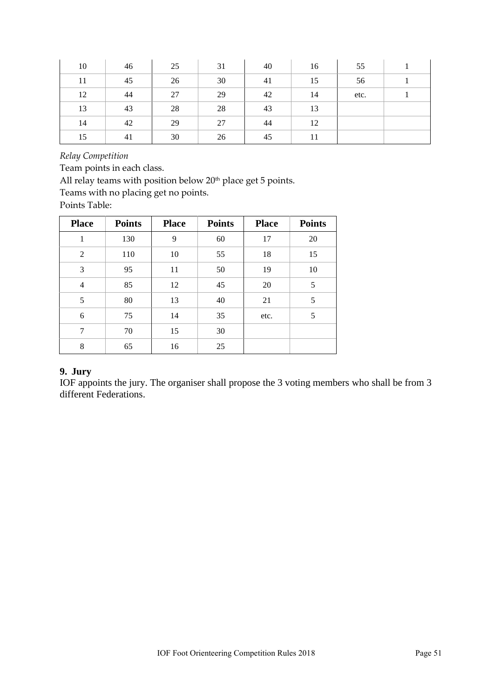| 10 | 46 | 25 | 31 | 40 | 16 | 55   |  |
|----|----|----|----|----|----|------|--|
| 11 | 45 | 26 | 30 | 41 | 15 | 56   |  |
| 12 | 44 | 27 | 29 | 42 | 14 | etc. |  |
| 13 | 43 | 28 | 28 | 43 | 13 |      |  |
| 14 | 42 | 29 | 27 | 44 | 12 |      |  |
| 15 | 41 | 30 | 26 | 45 | 11 |      |  |

*Relay Competition*

Team points in each class.

All relay teams with position below 20<sup>th</sup> place get 5 points.

Teams with no placing get no points.

Points Table:

| <b>Place</b>   | <b>Points</b> | <b>Place</b> | <b>Points</b> | <b>Place</b> | <b>Points</b> |
|----------------|---------------|--------------|---------------|--------------|---------------|
| 1              | 130           | 9            | 60            | 17           | 20            |
| $\overline{2}$ | 110           | 10           | 55            | 18           | 15            |
| 3              | 95            | 11           | 50            | 19           | 10            |
| $\overline{4}$ | 85            | 12           | 45            | 20           | 5             |
| 5              | 80            | 13           | 40            | 21           | 5             |
| 6              | 75            | 14           | 35            | etc.         | 5             |
| 7              | 70            | 15           | 30            |              |               |
| 8              | 65            | 16           | 25            |              |               |

# **9. Jury**

IOF appoints the jury. The organiser shall propose the 3 voting members who shall be from 3 different Federations.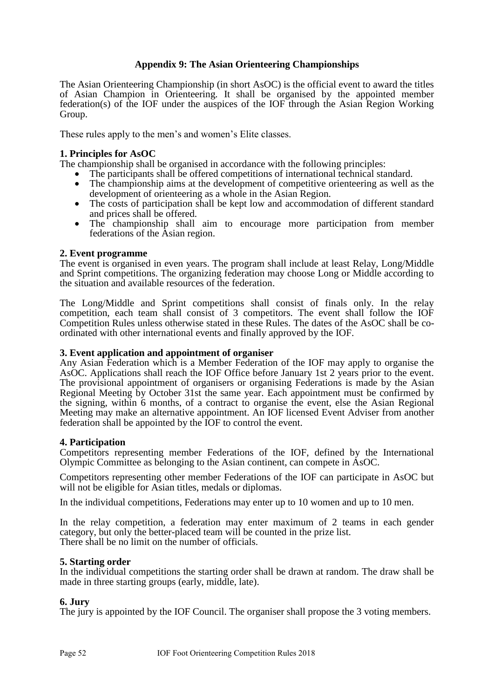# <span id="page-51-0"></span>**Appendix 9: The Asian Orienteering Championships**

The Asian Orienteering Championship (in short AsOC) is the official event to award the titles of Asian Champion in Orienteering. It shall be organised by the appointed member federation(s) of the IOF under the auspices of the IOF through the Asian Region Working Group.

These rules apply to the men's and women's Elite classes.

# **1. Principles for AsOC**

The championship shall be organised in accordance with the following principles:

- The participants shall be offered competitions of international technical standard.
- The championship aims at the development of competitive orienteering as well as the development of orienteering as a whole in the Asian Region.
- The costs of participation shall be kept low and accommodation of different standard and prices shall be offered.
- The championship shall aim to encourage more participation from member federations of the Asian region.

### **2. Event programme**

The event is organised in even years. The program shall include at least Relay, Long/Middle and Sprint competitions. The organizing federation may choose Long or Middle according to the situation and available resources of the federation.

The Long/Middle and Sprint competitions shall consist of finals only. In the relay competition, each team shall consist of 3 competitors. The event shall follow the IOF Competition Rules unless otherwise stated in these Rules. The dates of the AsOC shall be coordinated with other international events and finally approved by the IOF.

#### **3. Event application and appointment of organiser**

Any Asian Federation which is a Member Federation of the IOF may apply to organise the AsOC. Applications shall reach the IOF Office before January 1st 2 years prior to the event. The provisional appointment of organisers or organising Federations is made by the Asian Regional Meeting by October 31st the same year. Each appointment must be confirmed by the signing, within 6 months, of a contract to organise the event, else the Asian Regional Meeting may make an alternative appointment. An IOF licensed Event Adviser from another federation shall be appointed by the IOF to control the event.

#### **4. Participation**

Competitors representing member Federations of the IOF, defined by the International Olympic Committee as belonging to the Asian continent, can compete in AsOC.

Competitors representing other member Federations of the IOF can participate in AsOC but will not be eligible for Asian titles, medals or diplomas.

In the individual competitions, Federations may enter up to 10 women and up to 10 men.

In the relay competition, a federation may enter maximum of 2 teams in each gender category, but only the better-placed team will be counted in the prize list. There shall be no limit on the number of officials.

#### **5. Starting order**

In the individual competitions the starting order shall be drawn at random. The draw shall be made in three starting groups (early, middle, late).

# **6. Jury**

The jury is appointed by the IOF Council. The organiser shall propose the 3 voting members.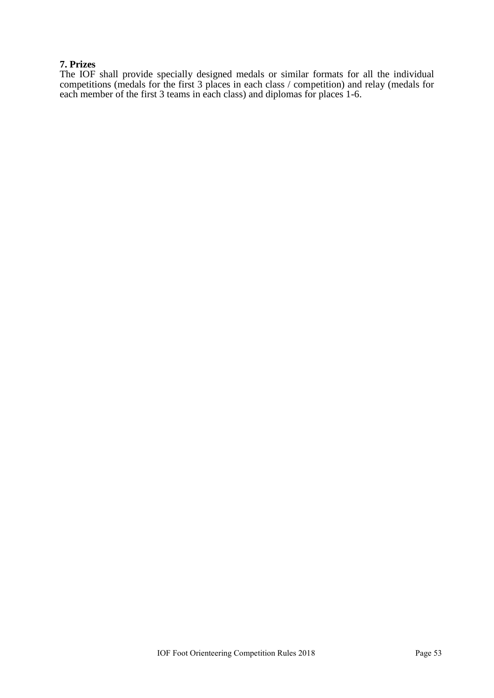# **7. Prizes**

The IOF shall provide specially designed medals or similar formats for all the individual competitions (medals for the first 3 places in each class / competition) and relay (medals for each member of the first 3 teams in each class) and diplomas for places 1-6.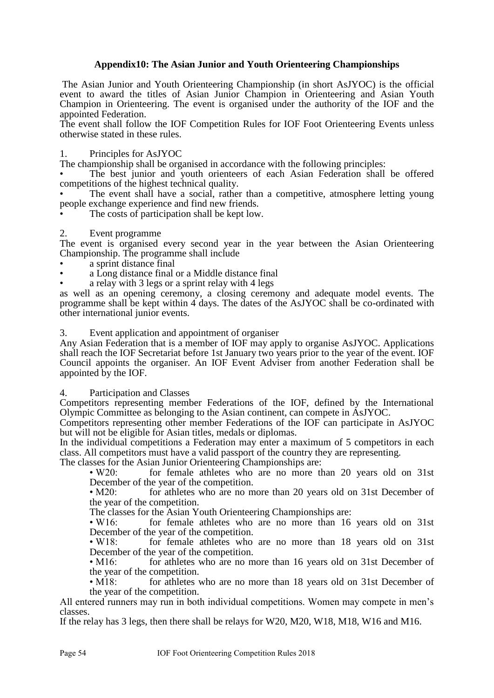# <span id="page-53-0"></span>**Appendix10: The Asian Junior and Youth Orienteering Championships**

The Asian Junior and Youth Orienteering Championship (in short AsJYOC) is the official event to award the titles of Asian Junior Champion in Orienteering and Asian Youth Champion in Orienteering. The event is organised under the authority of the IOF and the appointed Federation.

The event shall follow the IOF Competition Rules for IOF Foot Orienteering Events unless otherwise stated in these rules.

### 1. Principles for AsJYOC

The championship shall be organised in accordance with the following principles:

The best junior and youth orienteers of each Asian Federation shall be offered competitions of the highest technical quality.

The event shall have a social, rather than a competitive, atmosphere letting young people exchange experience and find new friends.

The costs of participation shall be kept low.

#### 2. Event programme

The event is organised every second year in the year between the Asian Orienteering Championship. The programme shall include

- a sprint distance final
- a Long distance final or a Middle distance final
- a relay with 3 legs or a sprint relay with 4 legs

as well as an opening ceremony, a closing ceremony and adequate model events. The programme shall be kept within 4 days. The dates of the AsJYOC shall be co-ordinated with other international junior events.

3. Event application and appointment of organiser

Any Asian Federation that is a member of IOF may apply to organise AsJYOC. Applications shall reach the IOF Secretariat before 1st January two years prior to the year of the event. IOF Council appoints the organiser. An IOF Event Adviser from another Federation shall be appointed by the IOF.

#### 4. Participation and Classes

Competitors representing member Federations of the IOF, defined by the International Olympic Committee as belonging to the Asian continent, can compete in AsJYOC.

Competitors representing other member Federations of the IOF can participate in AsJYOC but will not be eligible for Asian titles, medals or diplomas.

In the individual competitions a Federation may enter a maximum of 5 competitors in each class. All competitors must have a valid passport of the country they are representing.

The classes for the Asian Junior Orienteering Championships are:

• W20: for female athletes who are no more than 20 years old on 31st December of the year of the competition.

• M20: for athletes who are no more than 20 years old on 31st December of the year of the competition.

The classes for the Asian Youth Orienteering Championships are:<br>• W16: for female athletes who are no more than 16

for female athletes who are no more than 16 years old on 31st December of the year of the competition.

• W18: for female athletes who are no more than 18 years old on 31st December of the year of the competition.

• M16: for athletes who are no more than 16 years old on 31st December of the year of the competition.

• M18: for athletes who are no more than 18 years old on 31st December of the year of the competition.

All entered runners may run in both individual competitions. Women may compete in men's classes.

If the relay has 3 legs, then there shall be relays for W20, M20, W18, M18, W16 and M16.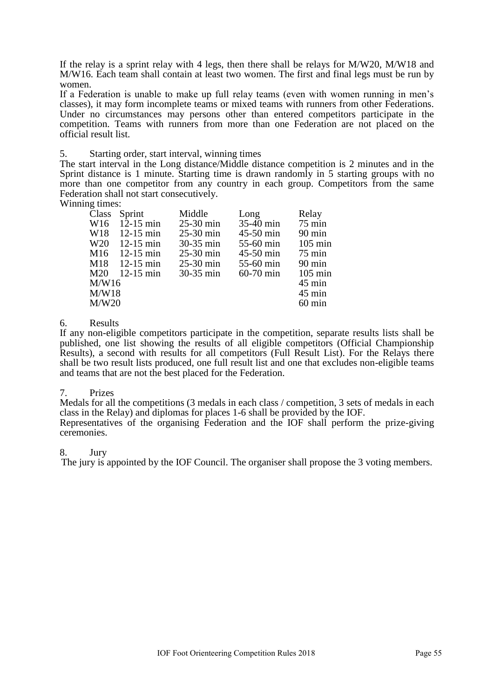If the relay is a sprint relay with 4 legs, then there shall be relays for M/W20, M/W18 and M/W16. Each team shall contain at least two women. The first and final legs must be run by women.

If a Federation is unable to make up full relay teams (even with women running in men's classes), it may form incomplete teams or mixed teams with runners from other Federations. Under no circumstances may persons other than entered competitors participate in the competition. Teams with runners from more than one Federation are not placed on the official result list.

5. Starting order, start interval, winning times

The start interval in the Long distance/Middle distance competition is 2 minutes and in the Sprint distance is 1 minute. Starting time is drawn randomly in 5 starting groups with no more than one competitor from any country in each group. Competitors from the same Federation shall not start consecutively.

Winning times:

| Class           | Sprint                    | Middle      | Long        | Relay             |
|-----------------|---------------------------|-------------|-------------|-------------------|
|                 | W <sub>16</sub> 12-15 min | $25-30$ min | 35-40 min   | $75 \text{ min}$  |
| W <sub>18</sub> | $12-15$ min               | $25-30$ min | 45-50 min   | $90 \text{ min}$  |
| W <sub>20</sub> | $12-15$ min               | 30-35 min   | $55-60$ min | $105 \text{ min}$ |
| M <sub>16</sub> | $12-15$ min               | $25-30$ min | $45-50$ min | $75 \text{ min}$  |
| M18             | $12-15$ min               | $25-30$ min | 55-60 min   | $90 \text{ min}$  |
| M20             | $12-15$ min               | $30-35$ min | $60-70$ min | $105 \text{ min}$ |
| M/W16           |                           |             |             | $45 \text{ min}$  |
| M/W18           |                           |             |             | $45 \text{ min}$  |
| M/W20           |                           |             |             | $60 \text{ min}$  |
|                 |                           |             |             |                   |

### 6. Results

If any non-eligible competitors participate in the competition, separate results lists shall be published, one list showing the results of all eligible competitors (Official Championship Results), a second with results for all competitors (Full Result List). For the Relays there shall be two result lists produced, one full result list and one that excludes non-eligible teams and teams that are not the best placed for the Federation.

#### 7. Prizes

Medals for all the competitions (3 medals in each class / competition, 3 sets of medals in each class in the Relay) and diplomas for places 1-6 shall be provided by the IOF. Representatives of the organising Federation and the IOF shall perform the prize-giving

#### 8. Jury

ceremonies.

The jury is appointed by the IOF Council. The organiser shall propose the 3 voting members.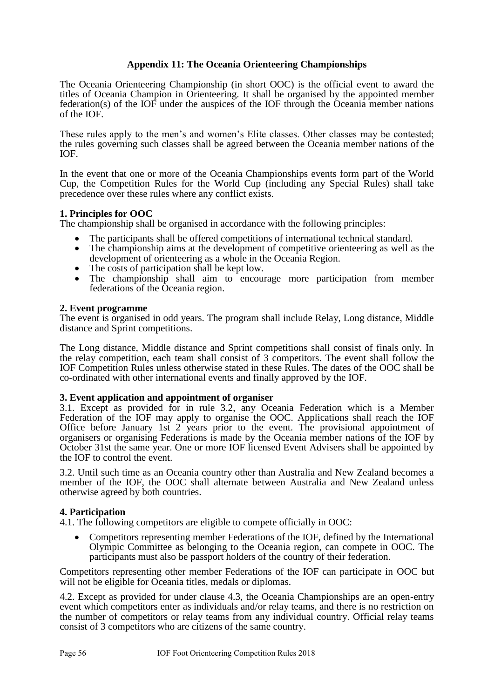# <span id="page-55-0"></span>**Appendix 11: The Oceania Orienteering Championships**

The Oceania Orienteering Championship (in short OOC) is the official event to award the titles of Oceania Champion in Orienteering. It shall be organised by the appointed member federation(s) of the IOF under the auspices of the IOF through the Oceania member nations of the IOF.

These rules apply to the men's and women's Elite classes. Other classes may be contested; the rules governing such classes shall be agreed between the Oceania member nations of the IOF.

In the event that one or more of the Oceania Championships events form part of the World Cup, the Competition Rules for the World Cup (including any Special Rules) shall take precedence over these rules where any conflict exists.

# **1. Principles for OOC**

The championship shall be organised in accordance with the following principles:

- The participants shall be offered competitions of international technical standard.
- The championship aims at the development of competitive orienteering as well as the development of orienteering as a whole in the Oceania Region.
- The costs of participation shall be kept low.
- The championship shall aim to encourage more participation from member federations of the Oceania region.

# **2. Event programme**

The event is organised in odd years. The program shall include Relay, Long distance, Middle distance and Sprint competitions.

The Long distance, Middle distance and Sprint competitions shall consist of finals only. In the relay competition, each team shall consist of 3 competitors. The event shall follow the IOF Competition Rules unless otherwise stated in these Rules. The dates of the OOC shall be co-ordinated with other international events and finally approved by the IOF.

# **3. Event application and appointment of organiser**

3.1. Except as provided for in rule 3.2, any Oceania Federation which is a Member Federation of the IOF may apply to organise the OOC. Applications shall reach the IOF Office before January 1st 2 years prior to the event. The provisional appointment of organisers or organising Federations is made by the Oceania member nations of the IOF by October 31st the same year. One or more IOF licensed Event Advisers shall be appointed by the IOF to control the event.

3.2. Until such time as an Oceania country other than Australia and New Zealand becomes a member of the IOF, the OOC shall alternate between Australia and New Zealand unless otherwise agreed by both countries.

# **4. Participation**

4.1. The following competitors are eligible to compete officially in OOC:

 Competitors representing member Federations of the IOF, defined by the International Olympic Committee as belonging to the Oceania region, can compete in OOC. The participants must also be passport holders of the country of their federation.

Competitors representing other member Federations of the IOF can participate in OOC but will not be eligible for Oceania titles, medals or diplomas.

4.2. Except as provided for under clause 4.3, the Oceania Championships are an open-entry event which competitors enter as individuals and/or relay teams, and there is no restriction on the number of competitors or relay teams from any individual country. Official relay teams consist of 3 competitors who are citizens of the same country.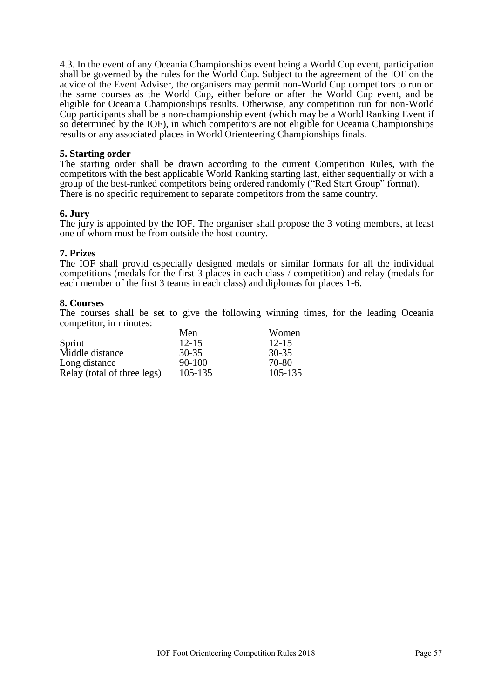4.3. In the event of any Oceania Championships event being a World Cup event, participation shall be governed by the rules for the World Cup. Subject to the agreement of the IOF on the advice of the Event Adviser, the organisers may permit non-World Cup competitors to run on the same courses as the World Cup, either before or after the World Cup event, and be eligible for Oceania Championships results. Otherwise, any competition run for non-World Cup participants shall be a non-championship event (which may be a World Ranking Event if so determined by the IOF), in which competitors are not eligible for Oceania Championships results or any associated places in World Orienteering Championships finals.

### **5. Starting order**

The starting order shall be drawn according to the current Competition Rules, with the competitors with the best applicable World Ranking starting last, either sequentially or with a group of the best-ranked competitors being ordered randomly ("Red Start Group" format). There is no specific requirement to separate competitors from the same country.

### **6. Jury**

The jury is appointed by the IOF. The organiser shall propose the 3 voting members, at least one of whom must be from outside the host country.

### **7. Prizes**

The IOF shall provid especially designed medals or similar formats for all the individual competitions (medals for the first 3 places in each class / competition) and relay (medals for each member of the first 3 teams in each class) and diplomas for places 1-6.

#### **8. Courses**

The courses shall be set to give the following winning times, for the leading Oceania competitor, in minutes:

|                             | Men        | Women     |
|-----------------------------|------------|-----------|
| Sprint                      | $12 - 15$  | $12 - 15$ |
| Middle distance             | 30-35      | 30-35     |
| Long distance               | $90 - 100$ | 70-80     |
| Relay (total of three legs) | 105-135    | 105-135   |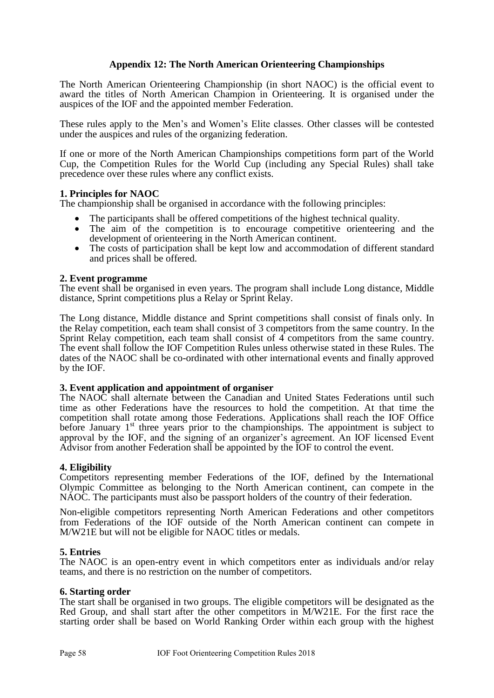# <span id="page-57-0"></span>**Appendix 12: The North American Orienteering Championships**

The North American Orienteering Championship (in short NAOC) is the official event to award the titles of North American Champion in Orienteering. It is organised under the auspices of the IOF and the appointed member Federation.

These rules apply to the Men's and Women's Elite classes. Other classes will be contested under the auspices and rules of the organizing federation.

If one or more of the North American Championships competitions form part of the World Cup, the Competition Rules for the World Cup (including any Special Rules) shall take precedence over these rules where any conflict exists.

### **1. Principles for NAOC**

The championship shall be organised in accordance with the following principles:

- The participants shall be offered competitions of the highest technical quality.
- The aim of the competition is to encourage competitive orienteering and the development of orienteering in the North American continent.
- The costs of participation shall be kept low and accommodation of different standard and prices shall be offered.

#### **2. Event programme**

The event shall be organised in even years. The program shall include Long distance, Middle distance, Sprint competitions plus a Relay or Sprint Relay.

The Long distance, Middle distance and Sprint competitions shall consist of finals only. In the Relay competition, each team shall consist of 3 competitors from the same country. In the Sprint Relay competition, each team shall consist of 4 competitors from the same country. The event shall follow the IOF Competition Rules unless otherwise stated in these Rules. The dates of the NAOC shall be co-ordinated with other international events and finally approved by the IOF.

#### **3. Event application and appointment of organiser**

The NAOC shall alternate between the Canadian and United States Federations until such time as other Federations have the resources to hold the competition. At that time the competition shall rotate among those Federations. Applications shall reach the IOF Office before January  $1<sup>st</sup>$  three years prior to the championships. The appointment is subject to approval by the IOF, and the signing of an organizer's agreement. An IOF licensed Event Advisor from another Federation shall be appointed by the IOF to control the event.

#### **4. Eligibility**

Competitors representing member Federations of the IOF, defined by the International Olympic Committee as belonging to the North American continent, can compete in the NAOC. The participants must also be passport holders of the country of their federation.

Non-eligible competitors representing North American Federations and other competitors from Federations of the IOF outside of the North American continent can compete in M/W21E but will not be eligible for NAOC titles or medals.

#### **5. Entries**

The NAOC is an open-entry event in which competitors enter as individuals and/or relay teams, and there is no restriction on the number of competitors.

#### **6. Starting order**

The start shall be organised in two groups. The eligible competitors will be designated as the Red Group, and shall start after the other competitors in M/W21E. For the first race the starting order shall be based on World Ranking Order within each group with the highest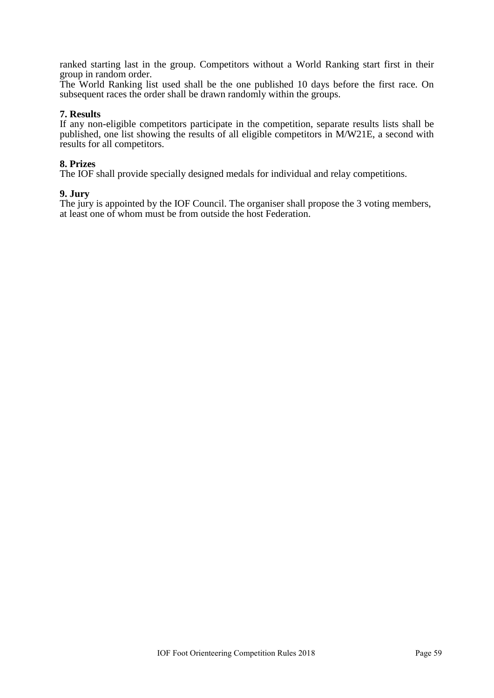ranked starting last in the group. Competitors without a World Ranking start first in their group in random order.

The World Ranking list used shall be the one published 10 days before the first race. On subsequent races the order shall be drawn randomly within the groups.

#### **7. Results**

If any non-eligible competitors participate in the competition, separate results lists shall be published, one list showing the results of all eligible competitors in M/W21E, a second with results for all competitors.

#### **8. Prizes**

The IOF shall provide specially designed medals for individual and relay competitions.

#### **9. Jury**

The jury is appointed by the IOF Council. The organiser shall propose the 3 voting members, at least one of whom must be from outside the host Federation.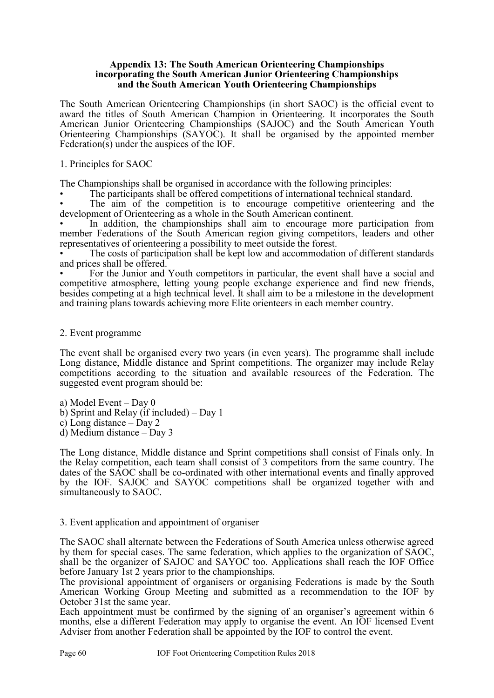#### <span id="page-59-0"></span>**Appendix 13: The South American Orienteering Championships incorporating the South American Junior Orienteering Championships and the South American Youth Orienteering Championships**

The South American Orienteering Championships (in short SAOC) is the official event to award the titles of South American Champion in Orienteering. It incorporates the South American Junior Orienteering Championships (SAJOC) and the South American Youth Orienteering Championships (SAYOC). It shall be organised by the appointed member Federation(s) under the auspices of the IOF.

1. Principles for SAOC

The Championships shall be organised in accordance with the following principles:

• The participants shall be offered competitions of international technical standard.

The aim of the competition is to encourage competitive orienteering and the development of Orienteering as a whole in the South American continent.

In addition, the championships shall aim to encourage more participation from member Federations of the South American region giving competitors, leaders and other representatives of orienteering a possibility to meet outside the forest.

The costs of participation shall be kept low and accommodation of different standards and prices shall be offered.

• For the Junior and Youth competitors in particular, the event shall have a social and competitive atmosphere, letting young people exchange experience and find new friends, besides competing at a high technical level. It shall aim to be a milestone in the development and training plans towards achieving more Elite orienteers in each member country.

# 2. Event programme

The event shall be organised every two years (in even years). The programme shall include Long distance, Middle distance and Sprint competitions. The organizer may include Relay competitions according to the situation and available resources of the Federation. The suggested event program should be:

a) Model Event – Day 0

- b) Sprint and Relay (if included) Day 1
- c) Long distance Day 2

d) Medium distance – Day 3

The Long distance, Middle distance and Sprint competitions shall consist of Finals only. In the Relay competition, each team shall consist of 3 competitors from the same country. The dates of the SAOC shall be co-ordinated with other international events and finally approved by the IOF. SAJOC and SAYOC competitions shall be organized together with and simultaneously to SAOC.

# 3. Event application and appointment of organiser

The SAOC shall alternate between the Federations of South America unless otherwise agreed by them for special cases. The same federation, which applies to the organization of SAOC, shall be the organizer of SAJOC and SAYOC too. Applications shall reach the IOF Office before January 1st 2 years prior to the championships.

The provisional appointment of organisers or organising Federations is made by the South American Working Group Meeting and submitted as a recommendation to the IOF by October 31st the same year.

Each appointment must be confirmed by the signing of an organiser's agreement within 6 months, else a different Federation may apply to organise the event. An IOF licensed Event Adviser from another Federation shall be appointed by the IOF to control the event.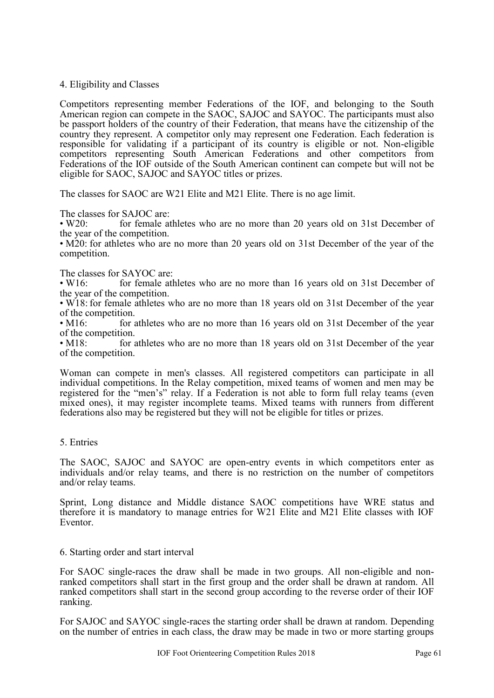#### 4. Eligibility and Classes

Competitors representing member Federations of the IOF, and belonging to the South American region can compete in the SAOC, SAJOC and SAYOC. The participants must also be passport holders of the country of their Federation, that means have the citizenship of the country they represent. A competitor only may represent one Federation. Each federation is responsible for validating if a participant of its country is eligible or not. Non-eligible competitors representing South American Federations and other competitors from Federations of the IOF outside of the South American continent can compete but will not be eligible for SAOC, SAJOC and SAYOC titles or prizes.

The classes for SAOC are W21 Elite and M21 Elite. There is no age limit.

The classes for SAJOC are:<br>• W20: for female at

for female athletes who are no more than 20 years old on 31st December of the year of the competition.

• M20: for athletes who are no more than 20 years old on 31st December of the year of the competition.

The classes for SAYOC are:<br>• W16: for female at

for female athletes who are no more than 16 years old on 31st December of the year of the competition.

• W18: for female athletes who are no more than 18 years old on 31st December of the year of the competition.

• M16: for athletes who are no more than 16 years old on 31st December of the year of the competition.<br> $\cdot$  M18: for a

for athletes who are no more than 18 years old on 31st December of the year of the competition.

Woman can compete in men's classes. All registered competitors can participate in all individual competitions. In the Relay competition, mixed teams of women and men may be registered for the "men's" relay. If a Federation is not able to form full relay teams (even mixed ones), it may register incomplete teams. Mixed teams with runners from different federations also may be registered but they will not be eligible for titles or prizes.

#### 5. Entries

The SAOC, SAJOC and SAYOC are open-entry events in which competitors enter as individuals and/or relay teams, and there is no restriction on the number of competitors and/or relay teams.

Sprint, Long distance and Middle distance SAOC competitions have WRE status and therefore it is mandatory to manage entries for W21 Elite and M21 Elite classes with IOF Eventor.

#### 6. Starting order and start interval

For SAOC single-races the draw shall be made in two groups. All non-eligible and nonranked competitors shall start in the first group and the order shall be drawn at random. All ranked competitors shall start in the second group according to the reverse order of their IOF ranking.

For SAJOC and SAYOC single-races the starting order shall be drawn at random. Depending on the number of entries in each class, the draw may be made in two or more starting groups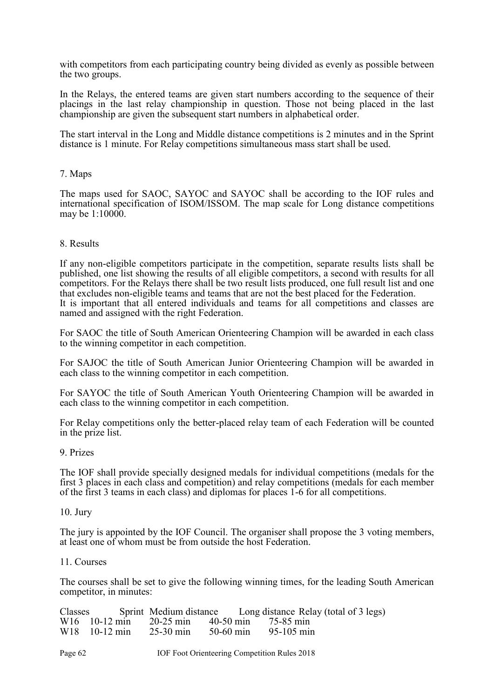with competitors from each participating country being divided as evenly as possible between the two groups.

In the Relays, the entered teams are given start numbers according to the sequence of their placings in the last relay championship in question. Those not being placed in the last championship are given the subsequent start numbers in alphabetical order.

The start interval in the Long and Middle distance competitions is 2 minutes and in the Sprint distance is 1 minute. For Relay competitions simultaneous mass start shall be used.

#### 7. Maps

The maps used for SAOC, SAYOC and SAYOC shall be according to the IOF rules and international specification of ISOM/ISSOM. The map scale for Long distance competitions may be 1:10000.

#### 8. Results

If any non-eligible competitors participate in the competition, separate results lists shall be published, one list showing the results of all eligible competitors, a second with results for all competitors. For the Relays there shall be two result lists produced, one full result list and one that excludes non-eligible teams and teams that are not the best placed for the Federation. It is important that all entered individuals and teams for all competitions and classes are named and assigned with the right Federation.

For SAOC the title of South American Orienteering Champion will be awarded in each class to the winning competitor in each competition.

For SAJOC the title of South American Junior Orienteering Champion will be awarded in each class to the winning competitor in each competition.

For SAYOC the title of South American Youth Orienteering Champion will be awarded in each class to the winning competitor in each competition.

For Relay competitions only the better-placed relay team of each Federation will be counted in the prize list.

#### 9. Prizes

The IOF shall provide specially designed medals for individual competitions (medals for the first 3 places in each class and competition) and relay competitions (medals for each member of the first 3 teams in each class) and diplomas for places 1-6 for all competitions.

#### 10. Jury

The jury is appointed by the IOF Council. The organiser shall propose the 3 voting members, at least one of whom must be from outside the host Federation.

#### 11. Courses

The courses shall be set to give the following winning times, for the leading South American competitor, in minutes:

|  |                                              | Classes Sprint Medium distance Long distance Relay (total of 3 legs) |
|--|----------------------------------------------|----------------------------------------------------------------------|
|  | W16 10-12 min 20-25 min 40-50 min 75-85 min  |                                                                      |
|  | W18 10-12 min 25-30 min 50-60 min 95-105 min |                                                                      |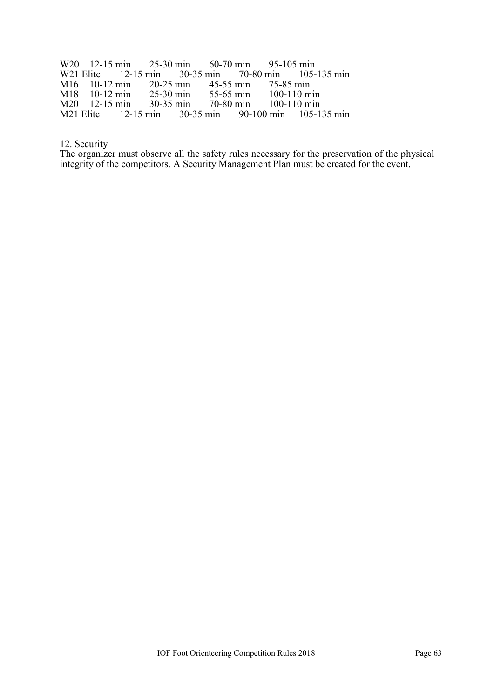W20 12-15 min 25-30 min 60-70 min 95-105 min<br>W21 Elite 12-15 min 30-35 min 70-80 min 105-W21 Elite 12-15 min 30-35 min 70-80 min 105-135 min<br>M16 10-12 min 20-25 min 45-55 min 75-85 min M16 10-12 min 20-25 min 45-55 min<br>M18 10-12 min 25-30 min 55-65 min M18 10-12 min 25-30 min 55-65 min 100-110 min<br>M20 12-15 min 30-35 min 70-80 min 100-110 min M20 12-15 min 30-35 min 70-80 min 100-110 min<br>M21 Elite 12-15 min 30-35 min 90-100 min 105-1  $105 - 135$  min

12. Security

The organizer must observe all the safety rules necessary for the preservation of the physical integrity of the competitors. A Security Management Plan must be created for the event.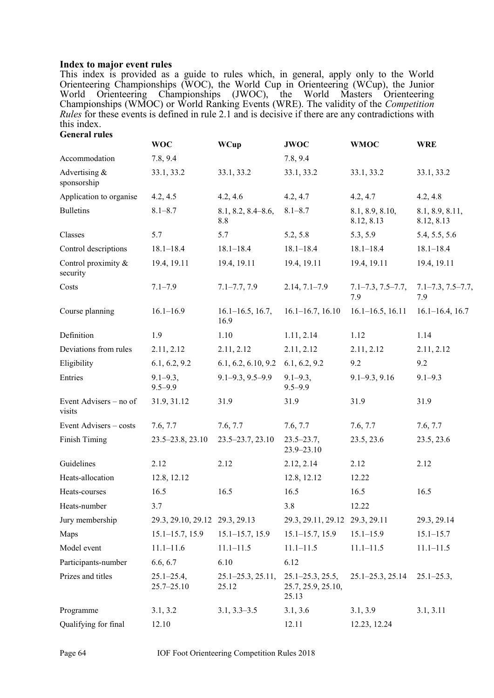#### <span id="page-63-0"></span>**Index to major event rules**

This index is provided as a guide to rules which, in general, apply only to the World Orienteering Championships (WOC), the World Cup in Orienteering (WCup), the Junior World Orienteering Championships (JWOC), the World Masters Orienteering Championships (WMOC) or World Ranking Events (WRE). The validity of the *Competition Rules* for these events is defined in rule 2.1 and is decisive if there are any contradictions with this index. **General rules**

|                                  | <b>WOC</b>                       | <b>WCup</b>                    | <b>JWOC</b>                                         | <b>WMOC</b>                    | <b>WRE</b>                     |
|----------------------------------|----------------------------------|--------------------------------|-----------------------------------------------------|--------------------------------|--------------------------------|
| Accommodation                    | 7.8, 9.4                         |                                | 7.8, 9.4                                            |                                |                                |
| Advertising &<br>sponsorship     | 33.1, 33.2                       | 33.1, 33.2                     | 33.1, 33.2                                          | 33.1, 33.2                     | 33.1, 33.2                     |
| Application to organise          | 4.2, 4.5                         | 4.2, 4.6                       | 4.2, 4.7                                            | 4.2, 4.7                       | 4.2, 4.8                       |
| <b>Bulletins</b>                 | $8.1 - 8.7$                      | $8.1, 8.2, 8.4 - 8.6,$<br>8.8  | $8.1 - 8.7$                                         | 8.1, 8.9, 8.10,<br>8.12, 8.13  | 8.1, 8.9, 8.11,<br>8.12, 8.13  |
| Classes                          | 5.7                              | 5.7                            | 5.2, 5.8                                            | 5.3, 5.9                       | 5.4, 5.5, 5.6                  |
| Control descriptions             | $18.1 - 18.4$                    | $18.1 - 18.4$                  | $18.1 - 18.4$                                       | $18.1 - 18.4$                  | $18.1 - 18.4$                  |
| Control proximity &<br>security  | 19.4, 19.11                      | 19.4, 19.11                    | 19.4, 19.11                                         | 19.4, 19.11                    | 19.4, 19.11                    |
| Costs                            | $7.1 - 7.9$                      | $7.1 - 7.7, 7.9$               | $2.14, 7.1 - 7.9$                                   | $7.1 - 7.3, 7.5 - 7.7,$<br>7.9 | $7.1 - 7.3, 7.5 - 7.7,$<br>7.9 |
| Course planning                  | $16.1 - 16.9$                    | $16.1 - 16.5$ , 16.7,<br>16.9  | $16.1 - 16.7$ , 16.10                               | $16.1 - 16.5$ , 16.11          | $16.1 - 16.4$ , 16.7           |
| Definition                       | 1.9                              | 1.10                           | 1.11, 2.14                                          | 1.12                           | 1.14                           |
| Deviations from rules            | 2.11, 2.12                       | 2.11, 2.12                     | 2.11, 2.12                                          | 2.11, 2.12                     | 2.11, 2.12                     |
| Eligibility                      | 6.1, 6.2, 9.2                    | 6.1, 6.2, 6.10, 9.2            | 6.1, 6.2, 9.2                                       | 9.2                            | 9.2                            |
| Entries                          | $9.1 - 9.3$ ,<br>$9.5 - 9.9$     | $9.1 - 9.3, 9.5 - 9.9$         | $9.1 - 9.3$ ,<br>$9.5 - 9.9$                        | $9.1 - 9.3, 9.16$              | $9.1 - 9.3$                    |
| Event Advisers – no of<br>visits | 31.9, 31.12                      | 31.9                           | 31.9                                                | 31.9                           | 31.9                           |
| Event Advisers - costs           | 7.6, 7.7                         | 7.6, 7.7                       | 7.6, 7.7                                            | 7.6, 7.7                       | 7.6, 7.7                       |
| Finish Timing                    | 23.5–23.8, 23.10                 | $23.5 - 23.7, 23.10$           | $23.5 - 23.7,$<br>$23.9 - 23.10$                    | 23.5, 23.6                     | 23.5, 23.6                     |
| Guidelines                       | 2.12                             | 2.12                           | 2.12, 2.14                                          | 2.12                           | 2.12                           |
| Heats-allocation                 | 12.8, 12.12                      |                                | 12.8, 12.12                                         | 12.22                          |                                |
| Heats-courses                    | 16.5                             | 16.5                           | 16.5                                                | 16.5                           | 16.5                           |
| Heats-number                     | 3.7                              |                                | 3.8                                                 | 12.22                          |                                |
| Jury membership                  | 29.3, 29.10, 29.12 29.3, 29.13   |                                | 29.3, 29.11, 29.12 29.3, 29.11                      |                                | 29.3, 29.14                    |
| Maps                             | $15.1 - 15.7$ , 15.9             | $15.1 - 15.7, 15.9$            | $15.1 - 15.7$ , 15.9                                | $15.1 - 15.9$                  | $15.1 - 15.7$                  |
| Model event                      | $11.1 - 11.6$                    | $11.1 - 11.5$                  | $11.1 - 11.5$                                       | $11.1 - 11.5$                  | $11.1 - 11.5$                  |
| Participants-number              | 6.6, 6.7                         | 6.10                           | 6.12                                                |                                |                                |
| Prizes and titles                | $25.1 - 25.4,$<br>$25.7 - 25.10$ | $25.1 - 25.3, 25.11,$<br>25.12 | $25.1 - 25.3, 25.5,$<br>25.7, 25.9, 25.10,<br>25.13 | $25.1 - 25.3, 25.14$           | $25.1 - 25.3,$                 |
| Programme                        | 3.1, 3.2                         | $3.1, 3.3 - 3.5$               | 3.1, 3.6                                            | 3.1, 3.9                       | 3.1, 3.11                      |
| Qualifying for final             | 12.10                            |                                | 12.11                                               | 12.23, 12.24                   |                                |

Page 64 **IOF Foot Orienteering Competition Rules** 2018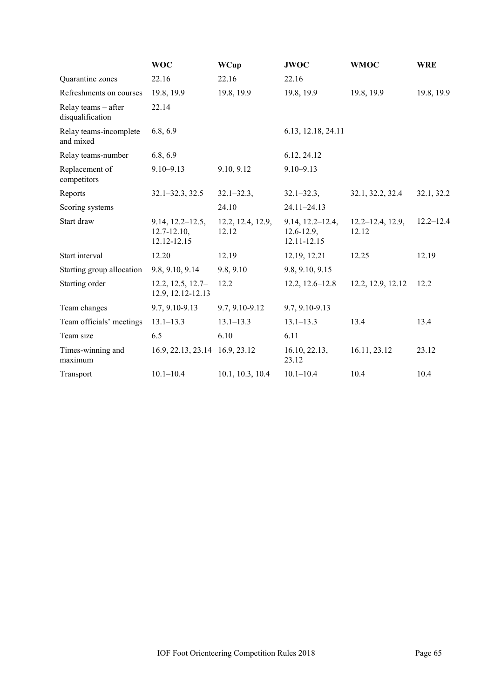|                                         | <b>WOC</b>                                              | <b>WCup</b>                | <b>JWOC</b>                                            | <b>WMOC</b>                    | <b>WRE</b>    |
|-----------------------------------------|---------------------------------------------------------|----------------------------|--------------------------------------------------------|--------------------------------|---------------|
| Quarantine zones                        | 22.16                                                   | 22.16                      | 22.16                                                  |                                |               |
| Refreshments on courses                 | 19.8, 19.9                                              | 19.8, 19.9                 | 19.8, 19.9                                             | 19.8, 19.9                     | 19.8, 19.9    |
| Relay teams - after<br>disqualification | 22.14                                                   |                            |                                                        |                                |               |
| Relay teams-incomplete<br>and mixed     | 6.8, 6.9                                                |                            | 6.13, 12.18, 24.11                                     |                                |               |
| Relay teams-number                      | 6.8, 6.9                                                |                            | 6.12, 24.12                                            |                                |               |
| Replacement of<br>competitors           | $9.10 - 9.13$                                           | 9.10, 9.12                 | $9.10 - 9.13$                                          |                                |               |
| Reports                                 | $32.1 - 32.3, 32.5$                                     | $32.1 - 32.3$ ,            | $32.1 - 32.3$ ,                                        | 32.1, 32.2, 32.4               | 32.1, 32.2    |
| Scoring systems                         |                                                         | 24.10                      | $24.11 - 24.13$                                        |                                |               |
| Start draw                              | $9.14, 12.2 - 12.5,$<br>$12.7 - 12.10$ ,<br>12.12-12.15 | 12.2, 12.4, 12.9,<br>12.12 | $9.14, 12.2 - 12.4,$<br>$12.6 - 12.9$ ,<br>12.11-12.15 | $12.2 - 12.4$ , 12.9,<br>12.12 | $12.2 - 12.4$ |
| Start interval                          | 12.20                                                   | 12.19                      | 12.19, 12.21                                           | 12.25                          | 12.19         |
| Starting group allocation               | 9.8, 9.10, 9.14                                         | 9.8, 9.10                  | 9.8, 9.10, 9.15                                        |                                |               |
| Starting order                          | $12.2, 12.5, 12.7-$<br>12.9, 12.12-12.13                | 12.2                       | $12.2, 12.6 - 12.8$                                    | 12.2, 12.9, 12.12              | 12.2          |
| Team changes                            | 9.7, 9.10-9.13                                          | 9.7, 9.10-9.12             | 9.7, 9.10-9.13                                         |                                |               |
| Team officials' meetings                | $13.1 - 13.3$                                           | $13.1 - 13.3$              | $13.1 - 13.3$                                          | 13.4                           | 13.4          |
| Team size                               | 6.5                                                     | 6.10                       | 6.11                                                   |                                |               |
| Times-winning and<br>maximum            | 16.9, 22.13, 23.14 16.9, 23.12                          |                            | 16.10, 22.13,<br>23.12                                 | 16.11, 23.12                   | 23.12         |
| Transport                               | $10.1 - 10.4$                                           | 10.1, 10.3, 10.4           | $10.1 - 10.4$                                          | 10.4                           | 10.4          |